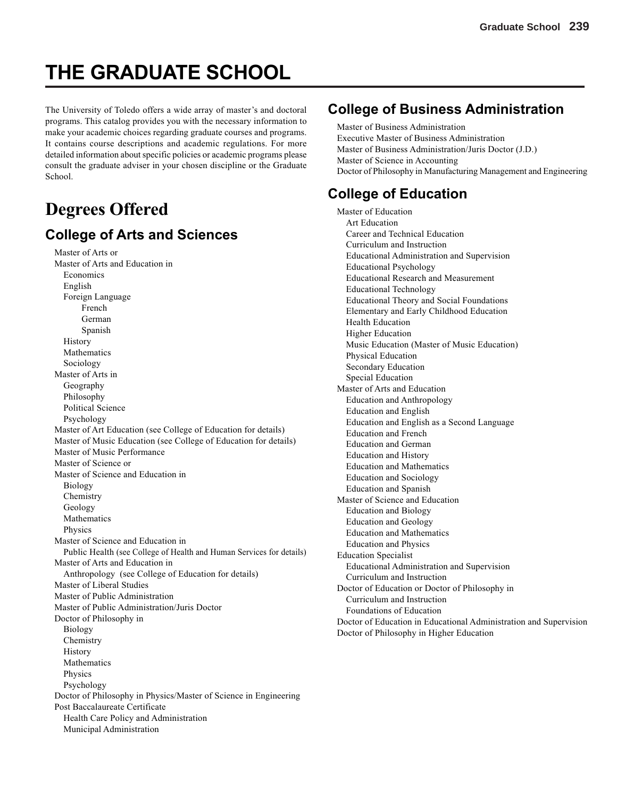# **THE GRADUATE SCHOOL**

The University of Toledo offers a wide array of master's and doctoral programs. This catalog provides you with the necessary information to make your academic choices regarding graduate courses and programs. It contains course descriptions and academic regulations. For more detailed information about specific policies or academic programs please consult the graduate adviser in your chosen discipline or the Graduate School.

# **Degrees Offered**

## **College of Arts and Sciences**

Master of Arts or Master of Arts and Education in Economics English Foreign Language French German Spanish History Mathematics Sociology Master of Arts in Geography Philosophy Political Science Psychology Master of Art Education (see College of Education for details) Master of Music Education (see College of Education for details) Master of Music Performance Master of Science or Master of Science and Education in Biology Chemistry Geology Mathematics Physics Master of Science and Education in Public Health (see College of Health and Human Services for details) Master of Arts and Education in Anthropology (see College of Education for details) Master of Liberal Studies Master of Public Administration Master of Public Administration/Juris Doctor Doctor of Philosophy in Biology Chemistry History Mathematics Physics Psychology Doctor of Philosophy in Physics/Master of Science in Engineering Post Baccalaureate Certificate Health Care Policy and Administration Municipal Administration

# **College of Business Administration**

Master of Business Administration Executive Master of Business Administration Master of Business Administration/Juris Doctor (J.D.) Master of Science in Accounting Doctor of Philosophy in Manufacturing Management and Engineering

# **College of Education**

Master of Education Art Education Career and Technical Education Curriculum and Instruction Educational Administration and Supervision Educational Psychology Educational Research and Measurement Educational Technology Educational Theory and Social Foundations Elementary and Early Childhood Education Health Education Higher Education Music Education (Master of Music Education) Physical Education Secondary Education Special Education Master of Arts and Education Education and Anthropology Education and English Education and English as a Second Language Education and French Education and German Education and History Education and Mathematics Education and Sociology Education and Spanish Master of Science and Education Education and Biology Education and Geology Education and Mathematics Education and Physics Education Specialist Educational Administration and Supervision Curriculum and Instruction Doctor of Education or Doctor of Philosophy in Curriculum and Instruction Foundations of Education Doctor of Education in Educational Administration and Supervision Doctor of Philosophy in Higher Education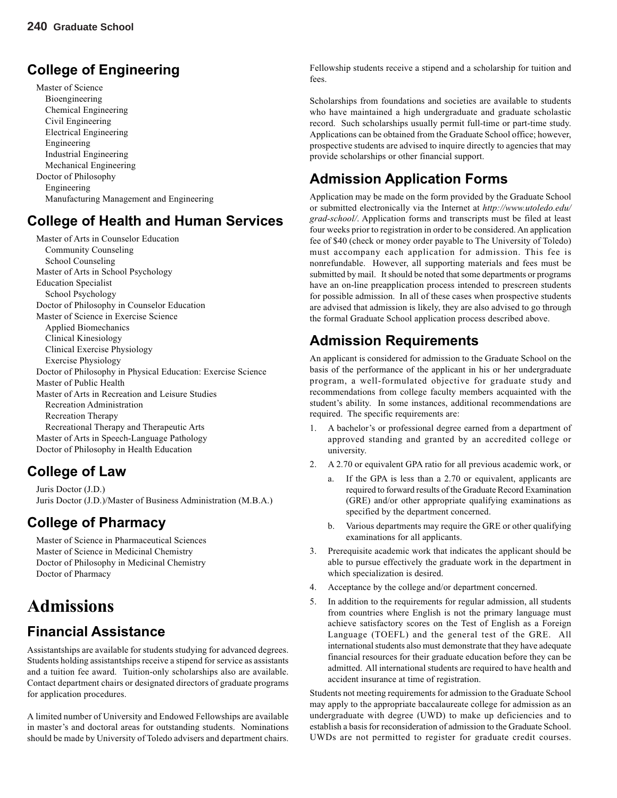# **College of Engineering**

Master of Science Bioengineering Chemical Engineering Civil Engineering Electrical Engineering Engineering Industrial Engineering Mechanical Engineering Doctor of Philosophy Engineering Manufacturing Management and Engineering

# **College of Health and Human Services**

Master of Arts in Counselor Education Community Counseling School Counseling Master of Arts in School Psychology Education Specialist School Psychology Doctor of Philosophy in Counselor Education Master of Science in Exercise Science Applied Biomechanics Clinical Kinesiology Clinical Exercise Physiology Exercise Physiology Doctor of Philosophy in Physical Education: Exercise Science Master of Public Health Master of Arts in Recreation and Leisure Studies Recreation Administration Recreation Therapy Recreational Therapy and Therapeutic Arts Master of Arts in Speech-Language Pathology Doctor of Philosophy in Health Education

# **College of Law**

Juris Doctor (J.D.) Juris Doctor (J.D.)/Master of Business Administration (M.B.A.)

# **College of Pharmacy**

Master of Science in Pharmaceutical Sciences Master of Science in Medicinal Chemistry Doctor of Philosophy in Medicinal Chemistry Doctor of Pharmacy

# **Admissions**

# **Financial Assistance**

Assistantships are available for students studying for advanced degrees. Students holding assistantships receive a stipend for service as assistants and a tuition fee award. Tuition-only scholarships also are available. Contact department chairs or designated directors of graduate programs for application procedures.

A limited number of University and Endowed Fellowships are available in master's and doctoral areas for outstanding students. Nominations should be made by University of Toledo advisers and department chairs.

Fellowship students receive a stipend and a scholarship for tuition and fees.

Scholarships from foundations and societies are available to students who have maintained a high undergraduate and graduate scholastic record. Such scholarships usually permit full-time or part-time study. Applications can be obtained from the Graduate School office; however, prospective students are advised to inquire directly to agencies that may provide scholarships or other financial support.

# **Admission Application Forms**

Application may be made on the form provided by the Graduate School or submitted electronically via the Internet at *http://www.utoledo.edu/ grad-school/*. Application forms and transcripts must be filed at least four weeks prior to registration in order to be considered. An application fee of \$40 (check or money order payable to The University of Toledo) must accompany each application for admission. This fee is nonrefundable. However, all supporting materials and fees must be submitted by mail. It should be noted that some departments or programs have an on-line preapplication process intended to prescreen students for possible admission. In all of these cases when prospective students are advised that admission is likely, they are also advised to go through the formal Graduate School application process described above.

# **Admission Requirements**

An applicant is considered for admission to the Graduate School on the basis of the performance of the applicant in his or her undergraduate program, a well-formulated objective for graduate study and recommendations from college faculty members acquainted with the student's ability. In some instances, additional recommendations are required. The specific requirements are:

- 1. A bachelor's or professional degree earned from a department of approved standing and granted by an accredited college or university.
- 2. A 2.70 or equivalent GPA ratio for all previous academic work, or
	- a. If the GPA is less than a 2.70 or equivalent, applicants are required to forward results of the Graduate Record Examination (GRE) and/or other appropriate qualifying examinations as specified by the department concerned.
	- b. Various departments may require the GRE or other qualifying examinations for all applicants.
- 3. Prerequisite academic work that indicates the applicant should be able to pursue effectively the graduate work in the department in which specialization is desired.
- 4. Acceptance by the college and/or department concerned.
- 5. In addition to the requirements for regular admission, all students from countries where English is not the primary language must achieve satisfactory scores on the Test of English as a Foreign Language (TOEFL) and the general test of the GRE. All international students also must demonstrate that they have adequate financial resources for their graduate education before they can be admitted. All international students are required to have health and accident insurance at time of registration.

Students not meeting requirements for admission to the Graduate School may apply to the appropriate baccalaureate college for admission as an undergraduate with degree (UWD) to make up deficiencies and to establish a basis for reconsideration of admission to the Graduate School. UWDs are not permitted to register for graduate credit courses.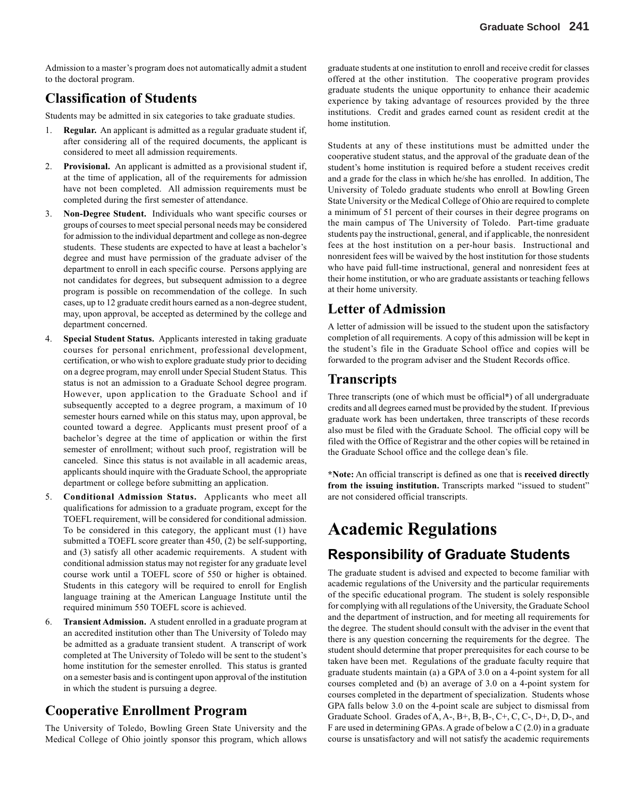Admission to a master's program does not automatically admit a student to the doctoral program.

### **Classification of Students**

Students may be admitted in six categories to take graduate studies.

- 1. **Regular.** An applicant is admitted as a regular graduate student if, after considering all of the required documents, the applicant is considered to meet all admission requirements.
- 2. **Provisional.** An applicant is admitted as a provisional student if, at the time of application, all of the requirements for admission have not been completed. All admission requirements must be completed during the first semester of attendance.
- 3. **Non-Degree Student.** Individuals who want specific courses or groups of courses to meet special personal needs may be considered for admission to the individual department and college as non-degree students. These students are expected to have at least a bachelor's degree and must have permission of the graduate adviser of the department to enroll in each specific course. Persons applying are not candidates for degrees, but subsequent admission to a degree program is possible on recommendation of the college. In such cases, up to 12 graduate credit hours earned as a non-degree student, may, upon approval, be accepted as determined by the college and department concerned.
- 4. **Special Student Status.** Applicants interested in taking graduate courses for personal enrichment, professional development, certification, or who wish to explore graduate study prior to deciding on a degree program, may enroll under Special Student Status. This status is not an admission to a Graduate School degree program. However, upon application to the Graduate School and if subsequently accepted to a degree program, a maximum of 10 semester hours earned while on this status may, upon approval, be counted toward a degree. Applicants must present proof of a bachelor's degree at the time of application or within the first semester of enrollment; without such proof, registration will be canceled. Since this status is not available in all academic areas, applicants should inquire with the Graduate School, the appropriate department or college before submitting an application.
- 5. **Conditional Admission Status.** Applicants who meet all qualifications for admission to a graduate program, except for the TOEFL requirement, will be considered for conditional admission. To be considered in this category, the applicant must (1) have submitted a TOEFL score greater than 450, (2) be self-supporting, and (3) satisfy all other academic requirements. A student with conditional admission status may not register for any graduate level course work until a TOEFL score of 550 or higher is obtained. Students in this category will be required to enroll for English language training at the American Language Institute until the required minimum 550 TOEFL score is achieved.
- 6. **Transient Admission.** A student enrolled in a graduate program at an accredited institution other than The University of Toledo may be admitted as a graduate transient student. A transcript of work completed at The University of Toledo will be sent to the student's home institution for the semester enrolled. This status is granted on a semester basis and is contingent upon approval of the institution in which the student is pursuing a degree.

### **Cooperative Enrollment Program**

The University of Toledo, Bowling Green State University and the Medical College of Ohio jointly sponsor this program, which allows

graduate students at one institution to enroll and receive credit for classes offered at the other institution. The cooperative program provides graduate students the unique opportunity to enhance their academic experience by taking advantage of resources provided by the three institutions. Credit and grades earned count as resident credit at the home institution.

Students at any of these institutions must be admitted under the cooperative student status, and the approval of the graduate dean of the student's home institution is required before a student receives credit and a grade for the class in which he/she has enrolled. In addition, The University of Toledo graduate students who enroll at Bowling Green State University or the Medical College of Ohio are required to complete a minimum of 51 percent of their courses in their degree programs on the main campus of The University of Toledo. Part-time graduate students pay the instructional, general, and if applicable, the nonresident fees at the host institution on a per-hour basis. Instructional and nonresident fees will be waived by the host institution for those students who have paid full-time instructional, general and nonresident fees at their home institution, or who are graduate assistants or teaching fellows at their home university.

### **Letter of Admission**

A letter of admission will be issued to the student upon the satisfactory completion of all requirements. A copy of this admission will be kept in the student's file in the Graduate School office and copies will be forwarded to the program adviser and the Student Records office.

### **Transcripts**

Three transcripts (one of which must be official**\***) of all undergraduate credits and all degrees earned must be provided by the student. If previous graduate work has been undertaken, three transcripts of these records also must be filed with the Graduate School. The official copy will be filed with the Office of Registrar and the other copies will be retained in the Graduate School office and the college dean's file.

**\*Note:** An official transcript is defined as one that is **received directly from the issuing institution.** Transcripts marked "issued to student" are not considered official transcripts.

# **Academic Regulations**

# **Responsibility of Graduate Students**

The graduate student is advised and expected to become familiar with academic regulations of the University and the particular requirements of the specific educational program. The student is solely responsible for complying with all regulations of the University, the Graduate School and the department of instruction, and for meeting all requirements for the degree. The student should consult with the adviser in the event that there is any question concerning the requirements for the degree. The student should determine that proper prerequisites for each course to be taken have been met. Regulations of the graduate faculty require that graduate students maintain (a) a GPA of 3.0 on a 4-point system for all courses completed and (b) an average of 3.0 on a 4-point system for courses completed in the department of specialization. Students whose GPA falls below 3.0 on the 4-point scale are subject to dismissal from Graduate School. Grades of A, A-, B+, B, B-, C+, C, C-, D+, D, D-, and F are used in determining GPAs. A grade of below a  $C(2.0)$  in a graduate course is unsatisfactory and will not satisfy the academic requirements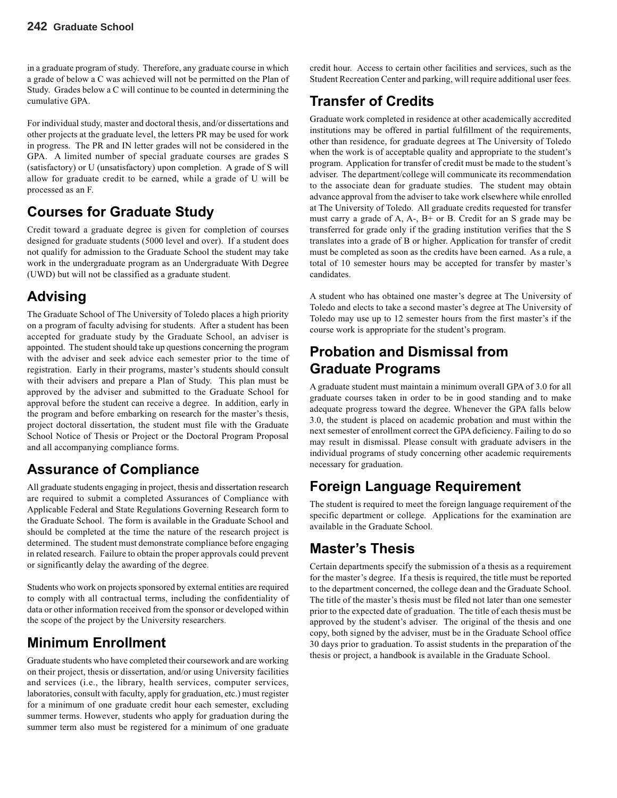in a graduate program of study. Therefore, any graduate course in which a grade of below a C was achieved will not be permitted on the Plan of Study. Grades below a C will continue to be counted in determining the cumulative GPA.

For individual study, master and doctoral thesis, and/or dissertations and other projects at the graduate level, the letters PR may be used for work in progress. The PR and IN letter grades will not be considered in the GPA. A limited number of special graduate courses are grades S (satisfactory) or U (unsatisfactory) upon completion. A grade of S will allow for graduate credit to be earned, while a grade of U will be processed as an F.

# **Courses for Graduate Study**

Credit toward a graduate degree is given for completion of courses designed for graduate students (5000 level and over). If a student does not qualify for admission to the Graduate School the student may take work in the undergraduate program as an Undergraduate With Degree (UWD) but will not be classified as a graduate student.

# **Advising**

The Graduate School of The University of Toledo places a high priority on a program of faculty advising for students. After a student has been accepted for graduate study by the Graduate School, an adviser is appointed. The student should take up questions concerning the program with the adviser and seek advice each semester prior to the time of registration. Early in their programs, master's students should consult with their advisers and prepare a Plan of Study. This plan must be approved by the adviser and submitted to the Graduate School for approval before the student can receive a degree. In addition, early in the program and before embarking on research for the master's thesis, project doctoral dissertation, the student must file with the Graduate School Notice of Thesis or Project or the Doctoral Program Proposal and all accompanying compliance forms.

# **Assurance of Compliance**

All graduate students engaging in project, thesis and dissertation research are required to submit a completed Assurances of Compliance with Applicable Federal and State Regulations Governing Research form to the Graduate School. The form is available in the Graduate School and should be completed at the time the nature of the research project is determined. The student must demonstrate compliance before engaging in related research. Failure to obtain the proper approvals could prevent or significantly delay the awarding of the degree.

Students who work on projects sponsored by external entities are required to comply with all contractual terms, including the confidentiality of data or other information received from the sponsor or developed within the scope of the project by the University researchers.

# **Minimum Enrollment**

Graduate students who have completed their coursework and are working on their project, thesis or dissertation, and/or using University facilities and services (i.e., the library, health services, computer services, laboratories, consult with faculty, apply for graduation, etc.) must register for a minimum of one graduate credit hour each semester, excluding summer terms. However, students who apply for graduation during the summer term also must be registered for a minimum of one graduate credit hour. Access to certain other facilities and services, such as the Student Recreation Center and parking, will require additional user fees.

# **Transfer of Credits**

Graduate work completed in residence at other academically accredited institutions may be offered in partial fulfillment of the requirements, other than residence, for graduate degrees at The University of Toledo when the work is of acceptable quality and appropriate to the student's program. Application for transfer of credit must be made to the student's adviser. The department/college will communicate its recommendation to the associate dean for graduate studies. The student may obtain advance approval from the adviser to take work elsewhere while enrolled at The University of Toledo. All graduate credits requested for transfer must carry a grade of A, A-, B+ or B. Credit for an S grade may be transferred for grade only if the grading institution verifies that the S translates into a grade of B or higher. Application for transfer of credit must be completed as soon as the credits have been earned. As a rule, a total of 10 semester hours may be accepted for transfer by master's candidates.

A student who has obtained one master's degree at The University of Toledo and elects to take a second master's degree at The University of Toledo may use up to 12 semester hours from the first master's if the course work is appropriate for the student's program.

# **Probation and Dismissal from Graduate Programs**

A graduate student must maintain a minimum overall GPA of 3.0 for all graduate courses taken in order to be in good standing and to make adequate progress toward the degree. Whenever the GPA falls below 3.0, the student is placed on academic probation and must within the next semester of enrollment correct the GPA deficiency. Failing to do so may result in dismissal. Please consult with graduate advisers in the individual programs of study concerning other academic requirements necessary for graduation.

# **Foreign Language Requirement**

The student is required to meet the foreign language requirement of the specific department or college. Applications for the examination are available in the Graduate School.

# **Master's Thesis**

Certain departments specify the submission of a thesis as a requirement for the master's degree. If a thesis is required, the title must be reported to the department concerned, the college dean and the Graduate School. The title of the master's thesis must be filed not later than one semester prior to the expected date of graduation. The title of each thesis must be approved by the student's adviser. The original of the thesis and one copy, both signed by the adviser, must be in the Graduate School office 30 days prior to graduation. To assist students in the preparation of the thesis or project, a handbook is available in the Graduate School.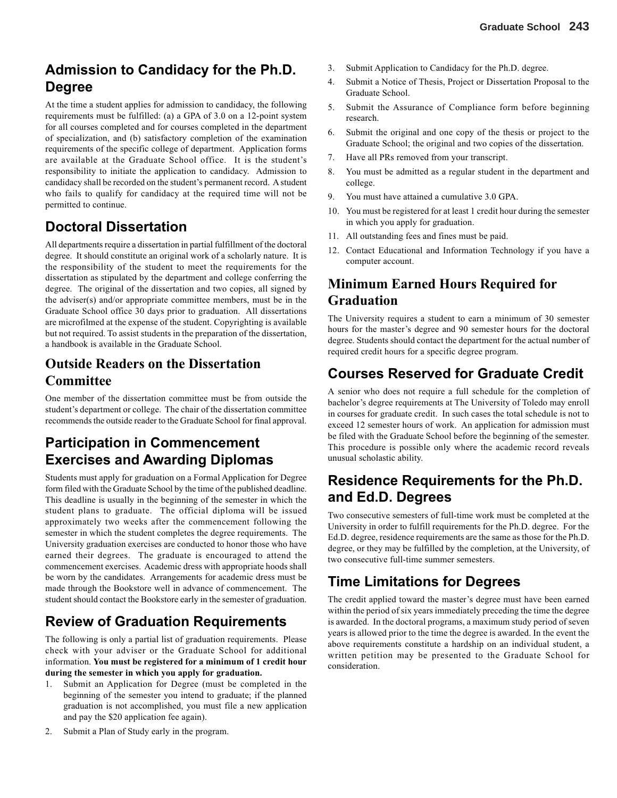# **Admission to Candidacy for the Ph.D. Degree**

At the time a student applies for admission to candidacy, the following requirements must be fulfilled: (a) a GPA of 3.0 on a 12-point system for all courses completed and for courses completed in the department of specialization, and (b) satisfactory completion of the examination requirements of the specific college of department. Application forms are available at the Graduate School office. It is the student's responsibility to initiate the application to candidacy. Admission to candidacy shall be recorded on the student's permanent record. A student who fails to qualify for candidacy at the required time will not be permitted to continue.

# **Doctoral Dissertation**

All departments require a dissertation in partial fulfillment of the doctoral degree. It should constitute an original work of a scholarly nature. It is the responsibility of the student to meet the requirements for the dissertation as stipulated by the department and college conferring the degree. The original of the dissertation and two copies, all signed by the adviser(s) and/or appropriate committee members, must be in the Graduate School office 30 days prior to graduation. All dissertations are microfilmed at the expense of the student. Copyrighting is available but not required. To assist students in the preparation of the dissertation, a handbook is available in the Graduate School.

# **Outside Readers on the Dissertation Committee**

One member of the dissertation committee must be from outside the student's department or college. The chair of the dissertation committee recommends the outside reader to the Graduate School for final approval.

# **Participation in Commencement Exercises and Awarding Diplomas**

Students must apply for graduation on a Formal Application for Degree form filed with the Graduate School by the time of the published deadline. This deadline is usually in the beginning of the semester in which the student plans to graduate. The official diploma will be issued approximately two weeks after the commencement following the semester in which the student completes the degree requirements. The University graduation exercises are conducted to honor those who have earned their degrees. The graduate is encouraged to attend the commencement exercises. Academic dress with appropriate hoods shall be worn by the candidates. Arrangements for academic dress must be made through the Bookstore well in advance of commencement. The student should contact the Bookstore early in the semester of graduation.

# **Review of Graduation Requirements**

The following is only a partial list of graduation requirements. Please check with your adviser or the Graduate School for additional information. **You must be registered for a minimum of 1 credit hour during the semester in which you apply for graduation.**

- 1. Submit an Application for Degree (must be completed in the beginning of the semester you intend to graduate; if the planned graduation is not accomplished, you must file a new application and pay the \$20 application fee again).
- 2. Submit a Plan of Study early in the program.
- 3. Submit Application to Candidacy for the Ph.D. degree.
- 4. Submit a Notice of Thesis, Project or Dissertation Proposal to the Graduate School.
- 5. Submit the Assurance of Compliance form before beginning research.
- 6. Submit the original and one copy of the thesis or project to the Graduate School; the original and two copies of the dissertation.
- 7. Have all PRs removed from your transcript.
- 8. You must be admitted as a regular student in the department and college.
- 9. You must have attained a cumulative 3.0 GPA.
- 10. You must be registered for at least 1 credit hour during the semester in which you apply for graduation.
- 11. All outstanding fees and fines must be paid.
- 12. Contact Educational and Information Technology if you have a computer account.

# **Minimum Earned Hours Required for Graduation**

The University requires a student to earn a minimum of 30 semester hours for the master's degree and 90 semester hours for the doctoral degree. Students should contact the department for the actual number of required credit hours for a specific degree program.

# **Courses Reserved for Graduate Credit**

A senior who does not require a full schedule for the completion of bachelor's degree requirements at The University of Toledo may enroll in courses for graduate credit. In such cases the total schedule is not to exceed 12 semester hours of work. An application for admission must be filed with the Graduate School before the beginning of the semester. This procedure is possible only where the academic record reveals unusual scholastic ability.

# **Residence Requirements for the Ph.D. and Ed.D. Degrees**

Two consecutive semesters of full-time work must be completed at the University in order to fulfill requirements for the Ph.D. degree. For the Ed.D. degree, residence requirements are the same as those for the Ph.D. degree, or they may be fulfilled by the completion, at the University, of two consecutive full-time summer semesters.

# **Time Limitations for Degrees**

The credit applied toward the master's degree must have been earned within the period of six years immediately preceding the time the degree is awarded. In the doctoral programs, a maximum study period of seven years is allowed prior to the time the degree is awarded. In the event the above requirements constitute a hardship on an individual student, a written petition may be presented to the Graduate School for consideration.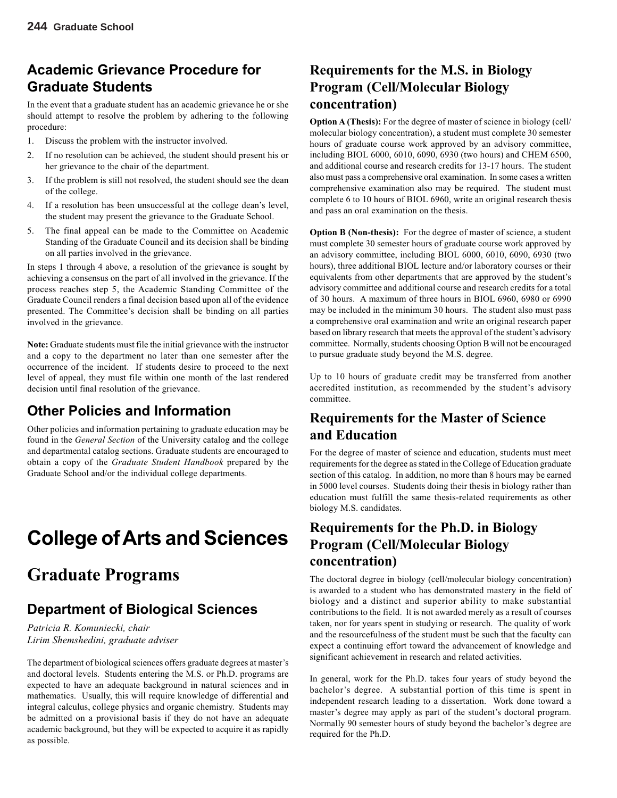# **Academic Grievance Procedure for Graduate Students**

In the event that a graduate student has an academic grievance he or she should attempt to resolve the problem by adhering to the following procedure:

- 1. Discuss the problem with the instructor involved.
- 2. If no resolution can be achieved, the student should present his or her grievance to the chair of the department.
- 3. If the problem is still not resolved, the student should see the dean of the college.
- 4. If a resolution has been unsuccessful at the college dean's level, the student may present the grievance to the Graduate School.
- 5. The final appeal can be made to the Committee on Academic Standing of the Graduate Council and its decision shall be binding on all parties involved in the grievance.

In steps 1 through 4 above, a resolution of the grievance is sought by achieving a consensus on the part of all involved in the grievance. If the process reaches step 5, the Academic Standing Committee of the Graduate Council renders a final decision based upon all of the evidence presented. The Committee's decision shall be binding on all parties involved in the grievance.

**Note:** Graduate students must file the initial grievance with the instructor and a copy to the department no later than one semester after the occurrence of the incident. If students desire to proceed to the next level of appeal, they must file within one month of the last rendered decision until final resolution of the grievance.

# **Other Policies and Information**

Other policies and information pertaining to graduate education may be found in the *General Section* of the University catalog and the college and departmental catalog sections. Graduate students are encouraged to obtain a copy of the *Graduate Student Handbook* prepared by the Graduate School and/or the individual college departments.

# **College of Arts and Sciences**

# **Graduate Programs**

# **Department of Biological Sciences**

*Patricia R. Komuniecki, chair Lirim Shemshedini, graduate adviser*

The department of biological sciences offers graduate degrees at master's and doctoral levels. Students entering the M.S. or Ph.D. programs are expected to have an adequate background in natural sciences and in mathematics. Usually, this will require knowledge of differential and integral calculus, college physics and organic chemistry. Students may be admitted on a provisional basis if they do not have an adequate academic background, but they will be expected to acquire it as rapidly as possible.

# **Requirements for the M.S. in Biology Program (Cell/Molecular Biology concentration)**

**Option A (Thesis):** For the degree of master of science in biology (cell/ molecular biology concentration), a student must complete 30 semester hours of graduate course work approved by an advisory committee, including BIOL 6000, 6010, 6090, 6930 (two hours) and CHEM 6500, and additional course and research credits for 13-17 hours. The student also must pass a comprehensive oral examination. In some cases a written comprehensive examination also may be required. The student must complete 6 to 10 hours of BIOL 6960, write an original research thesis and pass an oral examination on the thesis.

**Option B (Non-thesis):** For the degree of master of science, a student must complete 30 semester hours of graduate course work approved by an advisory committee, including BIOL 6000, 6010, 6090, 6930 (two hours), three additional BIOL lecture and/or laboratory courses or their equivalents from other departments that are approved by the student's advisory committee and additional course and research credits for a total of 30 hours. A maximum of three hours in BIOL 6960, 6980 or 6990 may be included in the minimum 30 hours. The student also must pass a comprehensive oral examination and write an original research paper based on library research that meets the approval of the student's advisory committee. Normally, students choosing Option B will not be encouraged to pursue graduate study beyond the M.S. degree.

Up to 10 hours of graduate credit may be transferred from another accredited institution, as recommended by the student's advisory committee.

# **Requirements for the Master of Science and Education**

For the degree of master of science and education, students must meet requirements for the degree as stated in the College of Education graduate section of this catalog. In addition, no more than 8 hours may be earned in 5000 level courses. Students doing their thesis in biology rather than education must fulfill the same thesis-related requirements as other biology M.S. candidates.

# **Requirements for the Ph.D. in Biology Program (Cell/Molecular Biology concentration)**

The doctoral degree in biology (cell/molecular biology concentration) is awarded to a student who has demonstrated mastery in the field of biology and a distinct and superior ability to make substantial contributions to the field. It is not awarded merely as a result of courses taken, nor for years spent in studying or research. The quality of work and the resourcefulness of the student must be such that the faculty can expect a continuing effort toward the advancement of knowledge and significant achievement in research and related activities.

In general, work for the Ph.D. takes four years of study beyond the bachelor's degree. A substantial portion of this time is spent in independent research leading to a dissertation. Work done toward a master's degree may apply as part of the student's doctoral program. Normally 90 semester hours of study beyond the bachelor's degree are required for the Ph.D.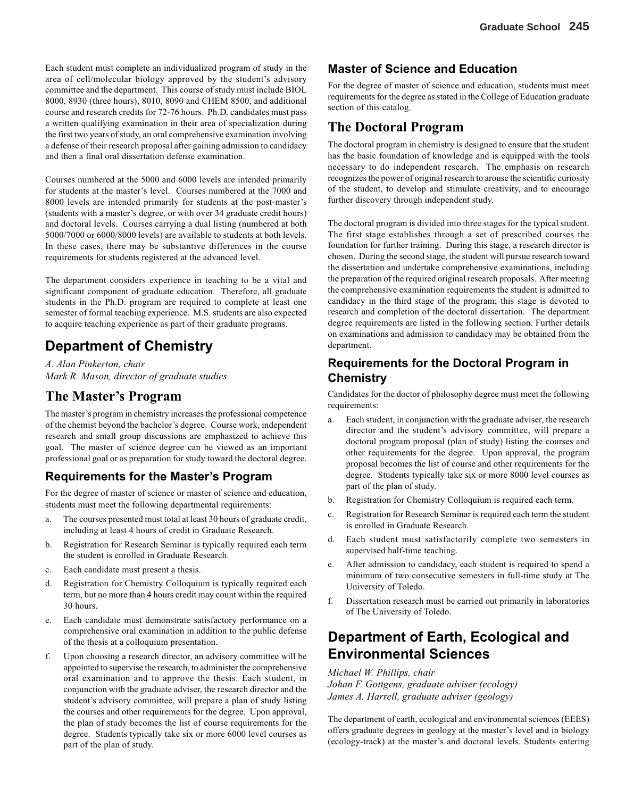Each student must complete an individualized program of study in the area of cell/molecular biology approved by the student's advisory committee and the department. This course of study must include BIOL 8000, 8930 (three hours), 8010, 8090 and CHEM 8500, and additional course and research credits for 72-76 hours. Ph.D. candidates must pass a written qualifying examination in their area of specialization during the first two years of study, an oral comprehensive examination involving a defense of their research proposal after gaining admission to candidacy and then a final oral dissertation defense examination.

Courses numbered at the 5000 and 6000 levels are intended primarily for students at the master's level. Courses numbered at the 7000 and 8000 levels are intended primarily for students at the post-master's (students with a master's degree, or with over 34 graduate credit hours) and doctoral levels. Courses carrying a dual listing (numbered at both 5000/7000 or 6000/8000 levels) are available to students at both levels. In these cases, there may be substantive differences in the course requirements for students registered at the advanced level.

The department considers experience in teaching to be a vital and significant component of graduate education. Therefore, all graduate students in the Ph.D. program are required to complete at least one semester of formal teaching experience. M.S. students are also expected to acquire teaching experience as part of their graduate programs.

# **Department of Chemistry**

*A. Alan Pinkerton, chair Mark R. Mason, director of graduate studies*

### **The Master's Program**

The master's program in chemistry increases the professional competence of the chemist beyond the bachelor's degree. Course work, independent research and small group discussions are emphasized to achieve this goal. The master of science degree can be viewed as an important professional goal or as preparation for study toward the doctoral degree.

### **Requirements for the Master's Program**

For the degree of master of science or master of science and education, students must meet the following departmental requirements:

- a. The courses presented must total at least 30 hours of graduate credit, including at least 4 hours of credit in Graduate Research.
- b. Registration for Research Seminar is typically required each term the student is enrolled in Graduate Research.
- c. Each candidate must present a thesis.
- d. Registration for Chemistry Colloquium is typically required each term, but no more than 4 hours credit may count within the required 30 hours.
- e. Each candidate must demonstrate satisfactory performance on a comprehensive oral examination in addition to the public defense of the thesis at a colloquium presentation.
- f. Upon choosing a research director, an advisory committee will be appointed to supervise the research, to administer the comprehensive oral examination and to approve the thesis. Each student, in conjunction with the graduate adviser, the research director and the student's advisory committee, will prepare a plan of study listing the courses and other requirements for the degree. Upon approval, the plan of study becomes the list of course requirements for the degree. Students typically take six or more 6000 level courses as part of the plan of study.

### **Master of Science and Education**

For the degree of master of science and education, students must meet requirements for the degree as stated in the College of Education graduate section of this catalog.

### **The Doctoral Program**

The doctoral program in chemistry is designed to ensure that the student has the basic foundation of knowledge and is equipped with the tools necessary to do independent research. The emphasis on research recognizes the power of original research to arouse the scientific curiosity of the student, to develop and stimulate creativity, and to encourage further discovery through independent study.

The doctoral program is divided into three stages for the typical student. The first stage establishes through a set of prescribed courses the foundation for further training. During this stage, a research director is chosen. During the second stage, the student will pursue research toward the dissertation and undertake comprehensive examinations, including the preparation of the required original research proposals. After meeting the comprehensive examination requirements the student is admitted to candidacy in the third stage of the program; this stage is devoted to research and completion of the doctoral dissertation. The department degree requirements are listed in the following section. Further details on examinations and admission to candidacy may be obtained from the department.

#### **Requirements for the Doctoral Program in Chemistry**

Candidates for the doctor of philosophy degree must meet the following requirements:

- a. Each student, in conjunction with the graduate adviser, the research director and the student's advisory committee, will prepare a doctoral program proposal (plan of study) listing the courses and other requirements for the degree. Upon approval, the program proposal becomes the list of course and other requirements for the degree. Students typically take six or more 8000 level courses as part of the plan of study.
- b. Registration for Chemistry Colloquium is required each term.
- c. Registration for Research Seminar is required each term the student is enrolled in Graduate Research.
- d. Each student must satisfactorily complete two semesters in supervised half-time teaching.
- e. After admission to candidacy, each student is required to spend a minimum of two consecutive semesters in full-time study at The University of Toledo.
- f. Dissertation research must be carried out primarily in laboratories of The University of Toledo.

# **Department of Earth, Ecological and Environmental Sciences**

*Michael W. Phillips, chair Johan F. Gottgens, graduate adviser (ecology) James A. Harrell, graduate adviser (geology)*

The department of earth, ecological and environmental sciences (EEES) offers graduate degrees in geology at the master's level and in biology (ecology-track) at the master's and doctoral levels. Students entering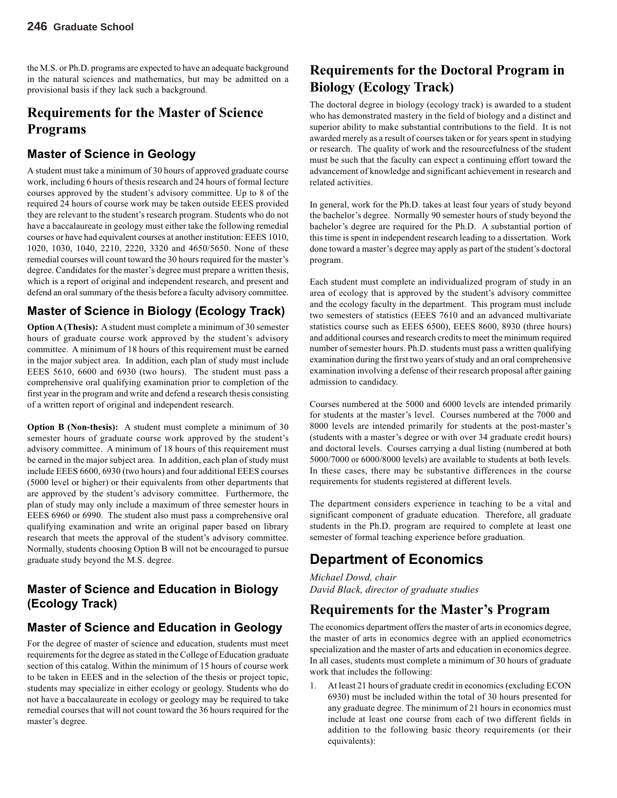the M.S. or Ph.D. programs are expected to have an adequate background in the natural sciences and mathematics, but may be admitted on a provisional basis if they lack such a background.

# **Requirements for the Master of Science Programs**

#### **Master of Science in Geology**

A student must take a minimum of 30 hours of approved graduate course work, including 6 hours of thesis research and 24 hours of formal lecture courses approved by the student's advisory committee. Up to 8 of the required 24 hours of course work may be taken outside EEES provided they are relevant to the student's research program. Students who do not have a baccalaureate in geology must either take the following remedial courses or have had equivalent courses at another institution: EEES 1010, 1020, 1030, 1040, 2210, 2220, 3320 and 4650/5650. None of these remedial courses will count toward the 30 hours required for the master's degree. Candidates for the master's degree must prepare a written thesis, which is a report of original and independent research, and present and defend an oral summary of the thesis before a faculty advisory committee.

### **Master of Science in Biology (Ecology Track)**

**Option A (Thesis):** A student must complete a minimum of 30 semester hours of graduate course work approved by the student's advisory committee. A minimum of 18 hours of this requirement must be earned in the major subject area. In addition, each plan of study must include EEES 5610, 6600 and 6930 (two hours). The student must pass a comprehensive oral qualifying examination prior to completion of the first year in the program and write and defend a research thesis consisting of a written report of original and independent research.

**Option B (Non-thesis):** A student must complete a minimum of 30 semester hours of graduate course work approved by the student's advisory committee. A minimum of 18 hours of this requirement must be earned in the major subject area. In addition, each plan of study must include EEES 6600, 6930 (two hours) and four additional EEES courses (5000 level or higher) or their equivalents from other departments that are approved by the student's advisory committee. Furthermore, the plan of study may only include a maximum of three semester hours in EEES 6960 or 6990. The student also must pass a comprehensive oral qualifying examination and write an original paper based on library research that meets the approval of the student's advisory committee. Normally, students choosing Option B will not be encouraged to pursue graduate study beyond the M.S. degree.

### **Master of Science and Education in Biology (Ecology Track)**

# **Master of Science and Education in Geology**

For the degree of master of science and education, students must meet requirements for the degree as stated in the College of Education graduate section of this catalog. Within the minimum of 15 hours of course work to be taken in EEES and in the selection of the thesis or project topic, students may specialize in either ecology or geology. Students who do not have a baccalaureate in ecology or geology may be required to take remedial courses that will not count toward the 36 hours required for the master's degree.

# **Requirements for the Doctoral Program in Biology (Ecology Track)**

The doctoral degree in biology (ecology track) is awarded to a student who has demonstrated mastery in the field of biology and a distinct and superior ability to make substantial contributions to the field. It is not awarded merely as a result of courses taken or for years spent in studying or research. The quality of work and the resourcefulness of the student must be such that the faculty can expect a continuing effort toward the advancement of knowledge and significant achievement in research and related activities.

In general, work for the Ph.D. takes at least four years of study beyond the bachelor's degree. Normally 90 semester hours of study beyond the bachelor's degree are required for the Ph.D. A substantial portion of this time is spent in independent research leading to a dissertation. Work done toward a master's degree may apply as part of the student's doctoral program.

Each student must complete an individualized program of study in an area of ecology that is approved by the student's advisory committee and the ecology faculty in the department. This program must include two semesters of statistics (EEES 7610 and an advanced multivariate statistics course such as EEES 6500), EEES 8600, 8930 (three hours) and additional courses and research credits to meet the minimum required number of semester hours. Ph.D. students must pass a written qualifying examination during the first two years of study and an oral comprehensive examination involving a defense of their research proposal after gaining admission to candidacy.

Courses numbered at the 5000 and 6000 levels are intended primarily for students at the master's level. Courses numbered at the 7000 and 8000 levels are intended primarily for students at the post-master's (students with a master's degree or with over 34 graduate credit hours) and doctoral levels. Courses carrying a dual listing (numbered at both 5000/7000 or 6000/8000 levels) are available to students at both levels. In these cases, there may be substantive differences in the course requirements for students registered at different levels.

The department considers experience in teaching to be a vital and significant component of graduate education. Therefore, all graduate students in the Ph.D. program are required to complete at least one semester of formal teaching experience before graduation.

# **Department of Economics**

*Michael Dowd, chair David Black, director of graduate studies*

### **Requirements for the Master's Program**

The economics department offers the master of arts in economics degree, the master of arts in economics degree with an applied econometrics specialization and the master of arts and education in economics degree. In all cases, students must complete a minimum of 30 hours of graduate work that includes the following:

1. At least 21 hours of graduate credit in economics (excluding ECON 6930) must be included within the total of 30 hours presented for any graduate degree. The minimum of 21 hours in economics must include at least one course from each of two different fields in addition to the following basic theory requirements (or their equivalents):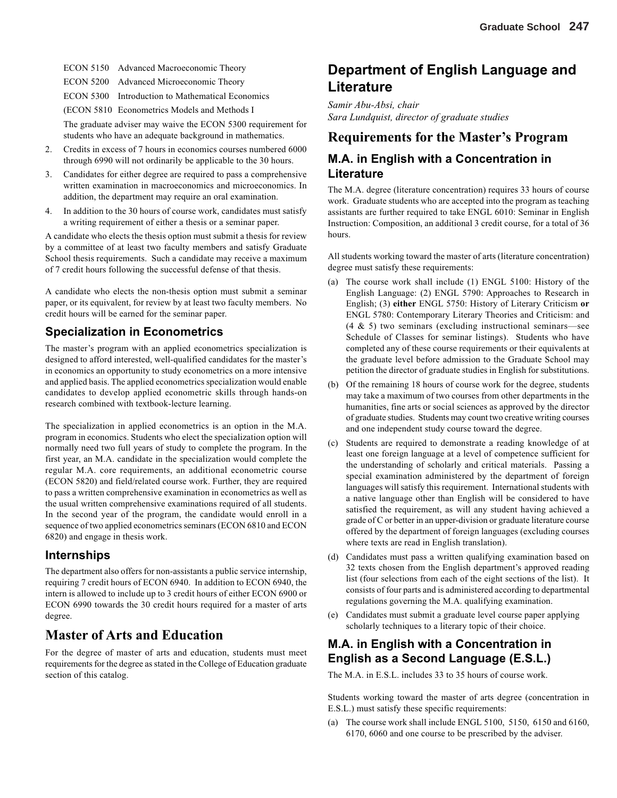ECON 5150 Advanced Macroeconomic Theory

ECON 5200 Advanced Microeconomic Theory

ECON 5300 Introduction to Mathematical Economics

(ECON 5810 Econometrics Models and Methods I

The graduate adviser may waive the ECON 5300 requirement for students who have an adequate background in mathematics.

- 2. Credits in excess of 7 hours in economics courses numbered 6000 through 6990 will not ordinarily be applicable to the 30 hours.
- 3. Candidates for either degree are required to pass a comprehensive written examination in macroeconomics and microeconomics. In addition, the department may require an oral examination.
- 4. In addition to the 30 hours of course work, candidates must satisfy a writing requirement of either a thesis or a seminar paper.

A candidate who elects the thesis option must submit a thesis for review by a committee of at least two faculty members and satisfy Graduate School thesis requirements. Such a candidate may receive a maximum of 7 credit hours following the successful defense of that thesis.

A candidate who elects the non-thesis option must submit a seminar paper, or its equivalent, for review by at least two faculty members. No credit hours will be earned for the seminar paper.

#### **Specialization in Econometrics**

The master's program with an applied econometrics specialization is designed to afford interested, well-qualified candidates for the master's in economics an opportunity to study econometrics on a more intensive and applied basis. The applied econometrics specialization would enable candidates to develop applied econometric skills through hands-on research combined with textbook-lecture learning.

The specialization in applied econometrics is an option in the M.A. program in economics. Students who elect the specialization option will normally need two full years of study to complete the program. In the first year, an M.A. candidate in the specialization would complete the regular M.A. core requirements, an additional econometric course (ECON 5820) and field/related course work. Further, they are required to pass a written comprehensive examination in econometrics as well as the usual written comprehensive examinations required of all students. In the second year of the program, the candidate would enroll in a sequence of two applied econometrics seminars (ECON 6810 and ECON 6820) and engage in thesis work.

#### **Internships**

The department also offers for non-assistants a public service internship, requiring 7 credit hours of ECON 6940. In addition to ECON 6940, the intern is allowed to include up to 3 credit hours of either ECON 6900 or ECON 6990 towards the 30 credit hours required for a master of arts degree.

#### **Master of Arts and Education**

For the degree of master of arts and education, students must meet requirements for the degree as stated in the College of Education graduate section of this catalog.

## **Department of English Language and Literature**

*Samir Abu-Absi, chair Sara Lundquist, director of graduate studies*

#### **Requirements for the Master's Program**

#### **M.A. in English with a Concentration in Literature**

The M.A. degree (literature concentration) requires 33 hours of course work. Graduate students who are accepted into the program as teaching assistants are further required to take ENGL 6010: Seminar in English Instruction: Composition, an additional 3 credit course, for a total of 36 hours.

All students working toward the master of arts (literature concentration) degree must satisfy these requirements:

- (a) The course work shall include (1) ENGL 5100: History of the English Language: (2) ENGL 5790: Approaches to Research in English; (3) **either** ENGL 5750: History of Literary Criticism **or** ENGL 5780: Contemporary Literary Theories and Criticism: and (4 & 5) two seminars (excluding instructional seminars—see Schedule of Classes for seminar listings). Students who have completed any of these course requirements or their equivalents at the graduate level before admission to the Graduate School may petition the director of graduate studies in English for substitutions.
- (b) Of the remaining 18 hours of course work for the degree, students may take a maximum of two courses from other departments in the humanities, fine arts or social sciences as approved by the director of graduate studies. Students may count two creative writing courses and one independent study course toward the degree.
- (c) Students are required to demonstrate a reading knowledge of at least one foreign language at a level of competence sufficient for the understanding of scholarly and critical materials. Passing a special examination administered by the department of foreign languages will satisfy this requirement. International students with a native language other than English will be considered to have satisfied the requirement, as will any student having achieved a grade of C or better in an upper-division or graduate literature course offered by the department of foreign languages (excluding courses where texts are read in English translation).
- (d) Candidates must pass a written qualifying examination based on 32 texts chosen from the English department's approved reading list (four selections from each of the eight sections of the list). It consists of four parts and is administered according to departmental regulations governing the M.A. qualifying examination.
- (e) Candidates must submit a graduate level course paper applying scholarly techniques to a literary topic of their choice.

#### **M.A. in English with a Concentration in English as a Second Language (E.S.L.)**

The M.A. in E.S.L. includes 33 to 35 hours of course work.

Students working toward the master of arts degree (concentration in E.S.L.) must satisfy these specific requirements:

(a) The course work shall include ENGL 5100, 5150, 6150 and 6160, 6170, 6060 and one course to be prescribed by the adviser.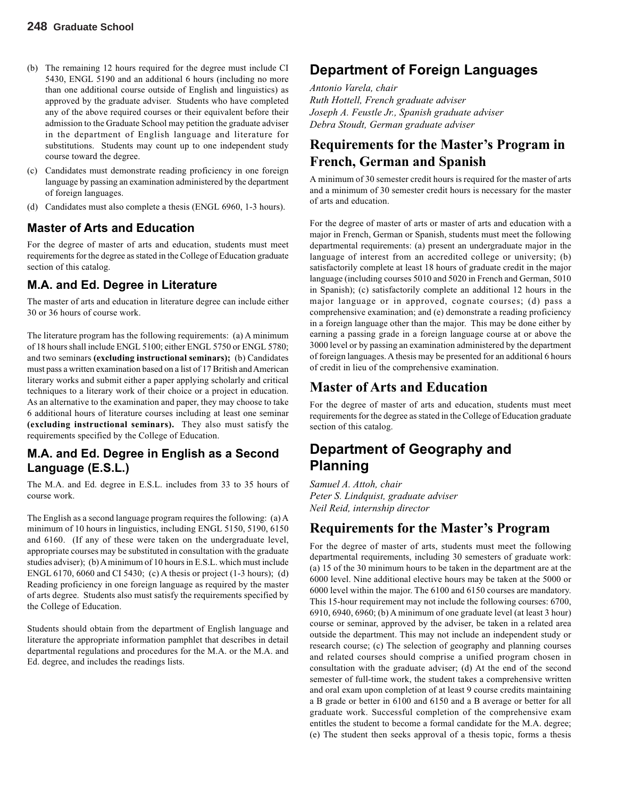- (b) The remaining 12 hours required for the degree must include CI 5430, ENGL 5190 and an additional 6 hours (including no more than one additional course outside of English and linguistics) as approved by the graduate adviser. Students who have completed any of the above required courses or their equivalent before their admission to the Graduate School may petition the graduate adviser in the department of English language and literature for substitutions. Students may count up to one independent study course toward the degree.
- (c) Candidates must demonstrate reading proficiency in one foreign language by passing an examination administered by the department of foreign languages.
- (d) Candidates must also complete a thesis (ENGL 6960, 1-3 hours).

#### **Master of Arts and Education**

For the degree of master of arts and education, students must meet requirements for the degree as stated in the College of Education graduate section of this catalog.

#### **M.A. and Ed. Degree in Literature**

The master of arts and education in literature degree can include either 30 or 36 hours of course work.

The literature program has the following requirements: (a) A minimum of 18 hours shall include ENGL 5100; either ENGL 5750 or ENGL 5780; and two seminars **(excluding instructional seminars);** (b) Candidates must pass a written examination based on a list of 17 British and American literary works and submit either a paper applying scholarly and critical techniques to a literary work of their choice or a project in education. As an alternative to the examination and paper, they may choose to take 6 additional hours of literature courses including at least one seminar **(excluding instructional seminars).** They also must satisfy the requirements specified by the College of Education.

#### **M.A. and Ed. Degree in English as a Second Language (E.S.L.)**

The M.A. and Ed. degree in E.S.L. includes from 33 to 35 hours of course work.

The English as a second language program requires the following: (a) A minimum of 10 hours in linguistics, including ENGL 5150, 5190, 6150 and 6160. (If any of these were taken on the undergraduate level, appropriate courses may be substituted in consultation with the graduate studies adviser); (b) A minimum of 10 hours in E.S.L. which must include ENGL 6170, 6060 and CI 5430; (c) A thesis or project (1-3 hours); (d) Reading proficiency in one foreign language as required by the master of arts degree. Students also must satisfy the requirements specified by the College of Education.

Students should obtain from the department of English language and literature the appropriate information pamphlet that describes in detail departmental regulations and procedures for the M.A. or the M.A. and Ed. degree, and includes the readings lists.

### **Department of Foreign Languages**

*Antonio Varela, chair Ruth Hottell, French graduate adviser Joseph A. Feustle Jr., Spanish graduate adviser Debra Stoudt, German graduate adviser*

# **Requirements for the Master's Program in French, German and Spanish**

A minimum of 30 semester credit hours is required for the master of arts and a minimum of 30 semester credit hours is necessary for the master of arts and education.

For the degree of master of arts or master of arts and education with a major in French, German or Spanish, students must meet the following departmental requirements: (a) present an undergraduate major in the language of interest from an accredited college or university; (b) satisfactorily complete at least 18 hours of graduate credit in the major language (including courses 5010 and 5020 in French and German, 5010 in Spanish); (c) satisfactorily complete an additional 12 hours in the major language or in approved, cognate courses; (d) pass a comprehensive examination; and (e) demonstrate a reading proficiency in a foreign language other than the major. This may be done either by earning a passing grade in a foreign language course at or above the 3000 level or by passing an examination administered by the department of foreign languages. A thesis may be presented for an additional 6 hours of credit in lieu of the comprehensive examination.

### **Master of Arts and Education**

For the degree of master of arts and education, students must meet requirements for the degree as stated in the College of Education graduate section of this catalog.

# **Department of Geography and Planning**

*Samuel A. Attoh, chair Peter S. Lindquist, graduate adviser Neil Reid, internship director*

### **Requirements for the Master's Program**

For the degree of master of arts, students must meet the following departmental requirements, including 30 semesters of graduate work: (a) 15 of the 30 minimum hours to be taken in the department are at the 6000 level. Nine additional elective hours may be taken at the 5000 or 6000 level within the major. The 6100 and 6150 courses are mandatory. This 15-hour requirement may not include the following courses: 6700, 6910, 6940, 6960; (b) A minimum of one graduate level (at least 3 hour) course or seminar, approved by the adviser, be taken in a related area outside the department. This may not include an independent study or research course; (c) The selection of geography and planning courses and related courses should comprise a unified program chosen in consultation with the graduate adviser; (d) At the end of the second semester of full-time work, the student takes a comprehensive written and oral exam upon completion of at least 9 course credits maintaining a B grade or better in 6100 and 6150 and a B average or better for all graduate work. Successful completion of the comprehensive exam entitles the student to become a formal candidate for the M.A. degree; (e) The student then seeks approval of a thesis topic, forms a thesis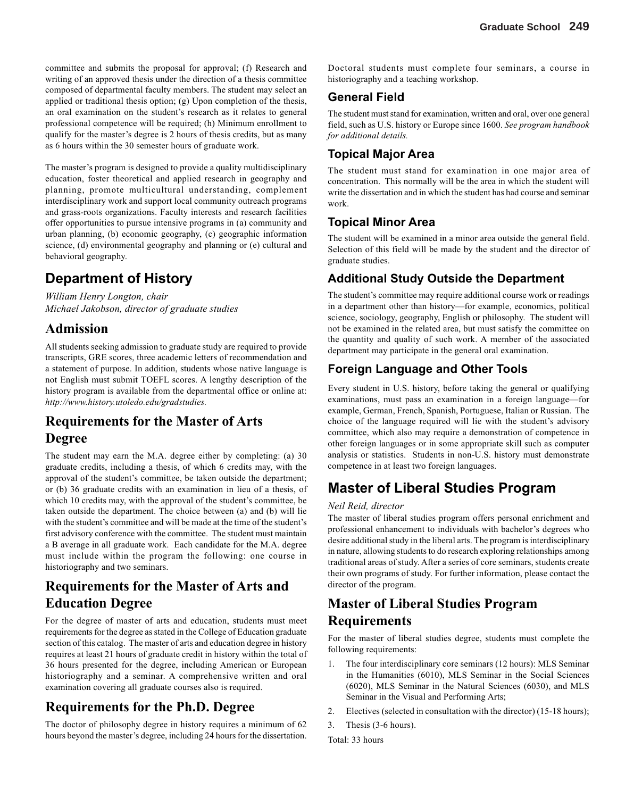committee and submits the proposal for approval; (f) Research and writing of an approved thesis under the direction of a thesis committee composed of departmental faculty members. The student may select an applied or traditional thesis option; (g) Upon completion of the thesis, an oral examination on the student's research as it relates to general professional competence will be required; (h) Minimum enrollment to qualify for the master's degree is 2 hours of thesis credits, but as many as 6 hours within the 30 semester hours of graduate work.

The master's program is designed to provide a quality multidisciplinary education, foster theoretical and applied research in geography and planning, promote multicultural understanding, complement interdisciplinary work and support local community outreach programs and grass-roots organizations. Faculty interests and research facilities offer opportunities to pursue intensive programs in (a) community and urban planning, (b) economic geography, (c) geographic information science, (d) environmental geography and planning or (e) cultural and behavioral geography.

# **Department of History**

*William Henry Longton, chair Michael Jakobson, director of graduate studies*

## **Admission**

All students seeking admission to graduate study are required to provide transcripts, GRE scores, three academic letters of recommendation and a statement of purpose. In addition, students whose native language is not English must submit TOEFL scores. A lengthy description of the history program is available from the departmental office or online at: *http://www.history.utoledo.edu/gradstudies.*

# **Requirements for the Master of Arts Degree**

The student may earn the M.A. degree either by completing: (a) 30 graduate credits, including a thesis, of which 6 credits may, with the approval of the student's committee, be taken outside the department; or (b) 36 graduate credits with an examination in lieu of a thesis, of which 10 credits may, with the approval of the student's committee, be taken outside the department. The choice between (a) and (b) will lie with the student's committee and will be made at the time of the student's first advisory conference with the committee. The student must maintain a B average in all graduate work. Each candidate for the M.A. degree must include within the program the following: one course in historiography and two seminars.

# **Requirements for the Master of Arts and Education Degree**

For the degree of master of arts and education, students must meet requirements for the degree as stated in the College of Education graduate section of this catalog. The master of arts and education degree in history requires at least 21 hours of graduate credit in history within the total of 36 hours presented for the degree, including American or European historiography and a seminar. A comprehensive written and oral examination covering all graduate courses also is required.

# **Requirements for the Ph.D. Degree**

The doctor of philosophy degree in history requires a minimum of 62 hours beyond the master's degree, including 24 hours for the dissertation. Doctoral students must complete four seminars, a course in historiography and a teaching workshop.

### **General Field**

The student must stand for examination, written and oral, over one general field, such as U.S. history or Europe since 1600. *See program handbook for additional details.*

### **Topical Major Area**

The student must stand for examination in one major area of concentration. This normally will be the area in which the student will write the dissertation and in which the student has had course and seminar work.

### **Topical Minor Area**

The student will be examined in a minor area outside the general field. Selection of this field will be made by the student and the director of graduate studies.

### **Additional Study Outside the Department**

The student's committee may require additional course work or readings in a department other than history—for example, economics, political science, sociology, geography, English or philosophy. The student will not be examined in the related area, but must satisfy the committee on the quantity and quality of such work. A member of the associated department may participate in the general oral examination.

### **Foreign Language and Other Tools**

Every student in U.S. history, before taking the general or qualifying examinations, must pass an examination in a foreign language—for example, German, French, Spanish, Portuguese, Italian or Russian. The choice of the language required will lie with the student's advisory committee, which also may require a demonstration of competence in other foreign languages or in some appropriate skill such as computer analysis or statistics. Students in non-U.S. history must demonstrate competence in at least two foreign languages.

# **Master of Liberal Studies Program**

#### *Neil Reid, director*

The master of liberal studies program offers personal enrichment and professional enhancement to individuals with bachelor's degrees who desire additional study in the liberal arts. The program is interdisciplinary in nature, allowing students to do research exploring relationships among traditional areas of study. After a series of core seminars, students create their own programs of study. For further information, please contact the director of the program.

# **Master of Liberal Studies Program Requirements**

For the master of liberal studies degree, students must complete the following requirements:

- 1. The four interdisciplinary core seminars (12 hours): MLS Seminar in the Humanities (6010), MLS Seminar in the Social Sciences (6020), MLS Seminar in the Natural Sciences (6030), and MLS Seminar in the Visual and Performing Arts;
- 2. Electives (selected in consultation with the director) (15-18 hours);
- 3. Thesis (3-6 hours).

Total: 33 hours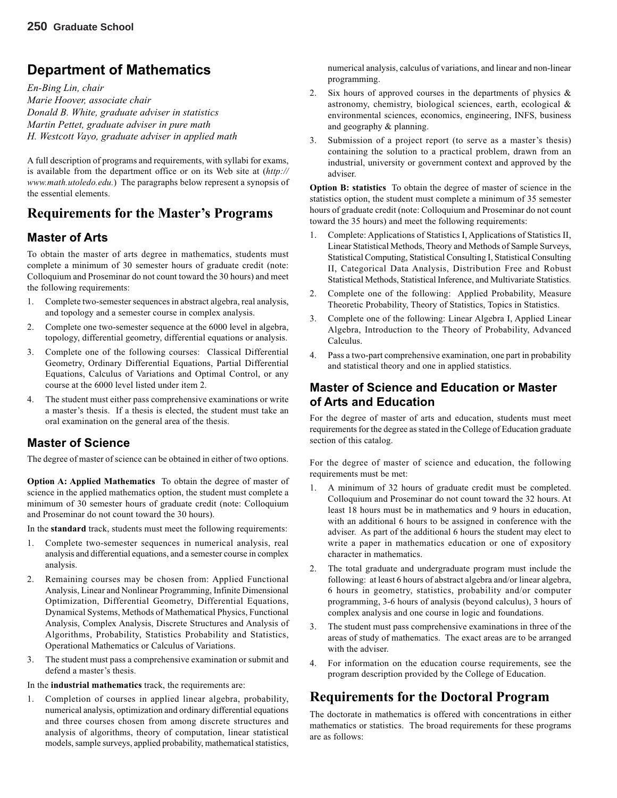# **Department of Mathematics**

*En-Bing Lin, chair Marie Hoover, associate chair Donald B. White, graduate adviser in statistics Martin Pettet, graduate adviser in pure math H. Westcott Vayo, graduate adviser in applied math*

A full description of programs and requirements, with syllabi for exams, is available from the department office or on its Web site at (*http:// www.math.utoledo.edu.*) The paragraphs below represent a synopsis of the essential elements.

# **Requirements for the Master's Programs**

#### **Master of Arts**

To obtain the master of arts degree in mathematics, students must complete a minimum of 30 semester hours of graduate credit (note: Colloquium and Proseminar do not count toward the 30 hours) and meet the following requirements:

- 1. Complete two-semester sequences in abstract algebra, real analysis, and topology and a semester course in complex analysis.
- 2. Complete one two-semester sequence at the 6000 level in algebra, topology, differential geometry, differential equations or analysis.
- 3. Complete one of the following courses: Classical Differential Geometry, Ordinary Differential Equations, Partial Differential Equations, Calculus of Variations and Optimal Control, or any course at the 6000 level listed under item 2.
- 4. The student must either pass comprehensive examinations or write a master's thesis. If a thesis is elected, the student must take an oral examination on the general area of the thesis.

### **Master of Science**

The degree of master of science can be obtained in either of two options.

**Option A: Applied Mathematics** To obtain the degree of master of science in the applied mathematics option, the student must complete a minimum of 30 semester hours of graduate credit (note: Colloquium and Proseminar do not count toward the 30 hours).

In the **standard** track, students must meet the following requirements:

- 1. Complete two-semester sequences in numerical analysis, real analysis and differential equations, and a semester course in complex analysis.
- 2. Remaining courses may be chosen from: Applied Functional Analysis, Linear and Nonlinear Programming, Infinite Dimensional Optimization, Differential Geometry, Differential Equations, Dynamical Systems, Methods of Mathematical Physics, Functional Analysis, Complex Analysis, Discrete Structures and Analysis of Algorithms, Probability, Statistics Probability and Statistics, Operational Mathematics or Calculus of Variations.
- 3. The student must pass a comprehensive examination or submit and defend a master's thesis.

In the **industrial mathematics** track, the requirements are:

1. Completion of courses in applied linear algebra, probability, numerical analysis, optimization and ordinary differential equations and three courses chosen from among discrete structures and analysis of algorithms, theory of computation, linear statistical models, sample surveys, applied probability, mathematical statistics, numerical analysis, calculus of variations, and linear and non-linear programming.

- 2. Six hours of approved courses in the departments of physics  $\&$ astronomy, chemistry, biological sciences, earth, ecological & environmental sciences, economics, engineering, INFS, business and geography & planning.
- 3. Submission of a project report (to serve as a master's thesis) containing the solution to a practical problem, drawn from an industrial, university or government context and approved by the adviser.

**Option B: statistics** To obtain the degree of master of science in the statistics option, the student must complete a minimum of 35 semester hours of graduate credit (note: Colloquium and Proseminar do not count toward the 35 hours) and meet the following requirements:

- 1. Complete: Applications of Statistics I, Applications of Statistics II, Linear Statistical Methods, Theory and Methods of Sample Surveys, Statistical Computing, Statistical Consulting I, Statistical Consulting II, Categorical Data Analysis, Distribution Free and Robust Statistical Methods, Statistical Inference, and Multivariate Statistics.
- 2. Complete one of the following: Applied Probability, Measure Theoretic Probability, Theory of Statistics, Topics in Statistics.
- 3. Complete one of the following: Linear Algebra I, Applied Linear Algebra, Introduction to the Theory of Probability, Advanced Calculus.
- 4. Pass a two-part comprehensive examination, one part in probability and statistical theory and one in applied statistics.

#### **Master of Science and Education or Master of Arts and Education**

For the degree of master of arts and education, students must meet requirements for the degree as stated in the College of Education graduate section of this catalog.

For the degree of master of science and education, the following requirements must be met:

- 1. A minimum of 32 hours of graduate credit must be completed. Colloquium and Proseminar do not count toward the 32 hours. At least 18 hours must be in mathematics and 9 hours in education, with an additional 6 hours to be assigned in conference with the adviser. As part of the additional 6 hours the student may elect to write a paper in mathematics education or one of expository character in mathematics.
- 2. The total graduate and undergraduate program must include the following: at least 6 hours of abstract algebra and/or linear algebra, 6 hours in geometry, statistics, probability and/or computer programming, 3-6 hours of analysis (beyond calculus), 3 hours of complex analysis and one course in logic and foundations.
- 3. The student must pass comprehensive examinations in three of the areas of study of mathematics. The exact areas are to be arranged with the adviser.
- 4. For information on the education course requirements, see the program description provided by the College of Education.

# **Requirements for the Doctoral Program**

The doctorate in mathematics is offered with concentrations in either mathematics or statistics. The broad requirements for these programs are as follows: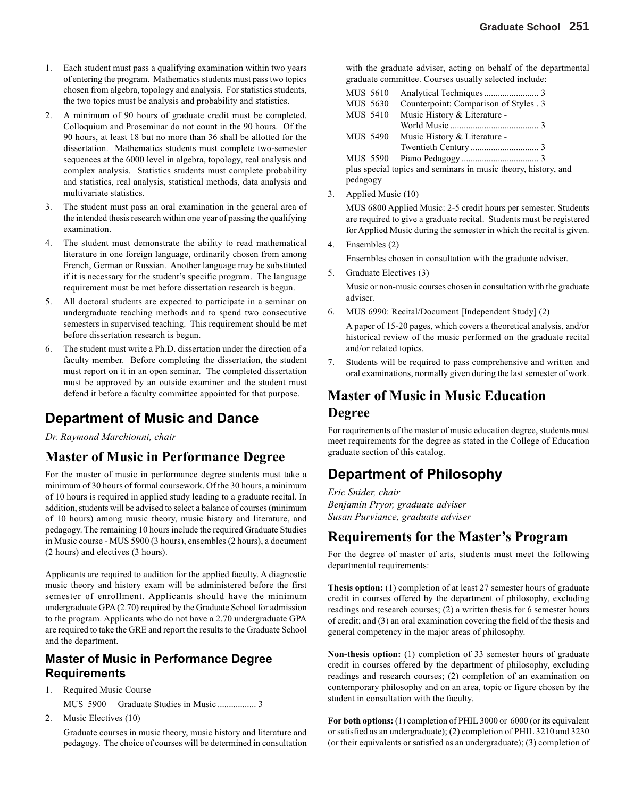- 1. Each student must pass a qualifying examination within two years of entering the program. Mathematics students must pass two topics chosen from algebra, topology and analysis. For statistics students, the two topics must be analysis and probability and statistics.
- 2. A minimum of 90 hours of graduate credit must be completed. Colloquium and Proseminar do not count in the 90 hours. Of the 90 hours, at least 18 but no more than 36 shall be allotted for the dissertation. Mathematics students must complete two-semester sequences at the 6000 level in algebra, topology, real analysis and complex analysis. Statistics students must complete probability and statistics, real analysis, statistical methods, data analysis and multivariate statistics.
- 3. The student must pass an oral examination in the general area of the intended thesis research within one year of passing the qualifying examination.
- 4. The student must demonstrate the ability to read mathematical literature in one foreign language, ordinarily chosen from among French, German or Russian. Another language may be substituted if it is necessary for the student's specific program. The language requirement must be met before dissertation research is begun.
- 5. All doctoral students are expected to participate in a seminar on undergraduate teaching methods and to spend two consecutive semesters in supervised teaching. This requirement should be met before dissertation research is begun.
- 6. The student must write a Ph.D. dissertation under the direction of a faculty member. Before completing the dissertation, the student must report on it in an open seminar. The completed dissertation must be approved by an outside examiner and the student must defend it before a faculty committee appointed for that purpose.

# **Department of Music and Dance**

*Dr. Raymond Marchionni, chair*

### **Master of Music in Performance Degree**

For the master of music in performance degree students must take a minimum of 30 hours of formal coursework. Of the 30 hours, a minimum of 10 hours is required in applied study leading to a graduate recital. In addition, students will be advised to select a balance of courses (minimum of 10 hours) among music theory, music history and literature, and pedagogy. The remaining 10 hours include the required Graduate Studies in Music course - MUS 5900 (3 hours), ensembles (2 hours), a document (2 hours) and electives (3 hours).

Applicants are required to audition for the applied faculty. A diagnostic music theory and history exam will be administered before the first semester of enrollment. Applicants should have the minimum undergraduate GPA (2.70) required by the Graduate School for admission to the program. Applicants who do not have a 2.70 undergraduate GPA are required to take the GRE and report the results to the Graduate School and the department.

#### **Master of Music in Performance Degree Requirements**

- 1. Required Music Course MUS 5900 Graduate Studies in Music ................. 3
- 2. Music Electives (10)

Graduate courses in music theory, music history and literature and pedagogy. The choice of courses will be determined in consultation

with the graduate adviser, acting on behalf of the departmental graduate committee. Courses usually selected include:

| <b>MUS 5610</b> |                                                                |  |
|-----------------|----------------------------------------------------------------|--|
| MUS 5630        | Counterpoint: Comparison of Styles . 3                         |  |
| <b>MUS 5410</b> | Music History & Literature -                                   |  |
|                 |                                                                |  |
| MUS 5490        | Music History & Literature -                                   |  |
|                 |                                                                |  |
| MUS 5590        |                                                                |  |
|                 | plus special topics and seminars in music theory, history, and |  |
| pedagogy        |                                                                |  |

3. Applied Music (10)

MUS 6800 Applied Music: 2-5 credit hours per semester. Students are required to give a graduate recital. Students must be registered for Applied Music during the semester in which the recital is given.

4. Ensembles (2)

Ensembles chosen in consultation with the graduate adviser.

5. Graduate Electives (3)

Music or non-music courses chosen in consultation with the graduate adviser.

6. MUS 6990: Recital/Document [Independent Study] (2)

A paper of 15-20 pages, which covers a theoretical analysis, and/or historical review of the music performed on the graduate recital and/or related topics.

7. Students will be required to pass comprehensive and written and oral examinations, normally given during the last semester of work.

# **Master of Music in Music Education Degree**

For requirements of the master of music education degree, students must meet requirements for the degree as stated in the College of Education graduate section of this catalog.

# **Department of Philosophy**

*Eric Snider, chair Benjamin Pryor, graduate adviser Susan Purviance, graduate adviser*

# **Requirements for the Master's Program**

For the degree of master of arts, students must meet the following departmental requirements:

**Thesis option:** (1) completion of at least 27 semester hours of graduate credit in courses offered by the department of philosophy, excluding readings and research courses; (2) a written thesis for 6 semester hours of credit; and (3) an oral examination covering the field of the thesis and general competency in the major areas of philosophy.

**Non-thesis option:** (1) completion of 33 semester hours of graduate credit in courses offered by the department of philosophy, excluding readings and research courses; (2) completion of an examination on contemporary philosophy and on an area, topic or figure chosen by the student in consultation with the faculty.

**For both options:** (1) completion of PHIL 3000 or 6000 (or its equivalent or satisfied as an undergraduate); (2) completion of PHIL 3210 and 3230 (or their equivalents or satisfied as an undergraduate); (3) completion of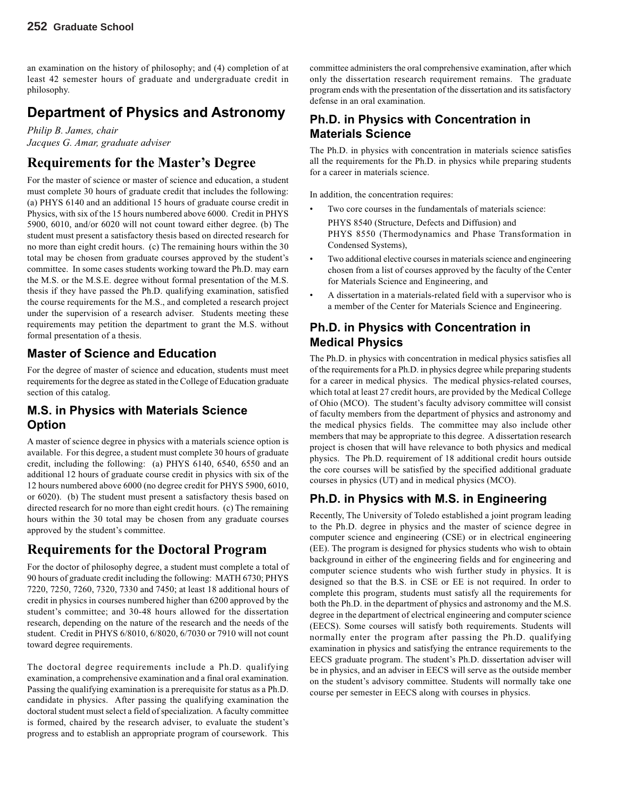an examination on the history of philosophy; and (4) completion of at least 42 semester hours of graduate and undergraduate credit in philosophy.

# **Department of Physics and Astronomy**

*Philip B. James, chair Jacques G. Amar, graduate adviser*

# **Requirements for the Master's Degree**

For the master of science or master of science and education, a student must complete 30 hours of graduate credit that includes the following: (a) PHYS 6140 and an additional 15 hours of graduate course credit in Physics, with six of the 15 hours numbered above 6000. Credit in PHYS 5900, 6010, and/or 6020 will not count toward either degree. (b) The student must present a satisfactory thesis based on directed research for no more than eight credit hours. (c) The remaining hours within the 30 total may be chosen from graduate courses approved by the student's committee. In some cases students working toward the Ph.D. may earn the M.S. or the M.S.E. degree without formal presentation of the M.S. thesis if they have passed the Ph.D. qualifying examination, satisfied the course requirements for the M.S., and completed a research project under the supervision of a research adviser. Students meeting these requirements may petition the department to grant the M.S. without formal presentation of a thesis.

#### **Master of Science and Education**

For the degree of master of science and education, students must meet requirements for the degree as stated in the College of Education graduate section of this catalog.

#### **M.S. in Physics with Materials Science Option**

A master of science degree in physics with a materials science option is available. For this degree, a student must complete 30 hours of graduate credit, including the following: (a) PHYS 6140, 6540, 6550 and an additional 12 hours of graduate course credit in physics with six of the 12 hours numbered above 6000 (no degree credit for PHYS 5900, 6010, or 6020). (b) The student must present a satisfactory thesis based on directed research for no more than eight credit hours. (c) The remaining hours within the 30 total may be chosen from any graduate courses approved by the student's committee.

### **Requirements for the Doctoral Program**

For the doctor of philosophy degree, a student must complete a total of 90 hours of graduate credit including the following: MATH 6730; PHYS 7220, 7250, 7260, 7320, 7330 and 7450; at least 18 additional hours of credit in physics in courses numbered higher than 6200 approved by the student's committee; and 30-48 hours allowed for the dissertation research, depending on the nature of the research and the needs of the student. Credit in PHYS 6/8010, 6/8020, 6/7030 or 7910 will not count toward degree requirements.

The doctoral degree requirements include a Ph.D. qualifying examination, a comprehensive examination and a final oral examination. Passing the qualifying examination is a prerequisite for status as a Ph.D. candidate in physics. After passing the qualifying examination the doctoral student must select a field of specialization. A faculty committee is formed, chaired by the research adviser, to evaluate the student's progress and to establish an appropriate program of coursework. This

committee administers the oral comprehensive examination, after which only the dissertation research requirement remains. The graduate program ends with the presentation of the dissertation and its satisfactory defense in an oral examination.

### **Ph.D. in Physics with Concentration in Materials Science**

The Ph.D. in physics with concentration in materials science satisfies all the requirements for the Ph.D. in physics while preparing students for a career in materials science.

In addition, the concentration requires:

- Two core courses in the fundamentals of materials science: PHYS 8540 (Structure, Defects and Diffusion) and PHYS 8550 (Thermodynamics and Phase Transformation in Condensed Systems),
- Two additional elective courses in materials science and engineering chosen from a list of courses approved by the faculty of the Center for Materials Science and Engineering, and
- A dissertation in a materials-related field with a supervisor who is a member of the Center for Materials Science and Engineering.

#### **Ph.D. in Physics with Concentration in Medical Physics**

The Ph.D. in physics with concentration in medical physics satisfies all of the requirements for a Ph.D. in physics degree while preparing students for a career in medical physics. The medical physics-related courses, which total at least 27 credit hours, are provided by the Medical College of Ohio (MCO). The student's faculty advisory committee will consist of faculty members from the department of physics and astronomy and the medical physics fields. The committee may also include other members that may be appropriate to this degree. A dissertation research project is chosen that will have relevance to both physics and medical physics. The Ph.D. requirement of 18 additional credit hours outside the core courses will be satisfied by the specified additional graduate courses in physics (UT) and in medical physics (MCO).

### **Ph.D. in Physics with M.S. in Engineering**

Recently, The University of Toledo established a joint program leading to the Ph.D. degree in physics and the master of science degree in computer science and engineering (CSE) or in electrical engineering (EE). The program is designed for physics students who wish to obtain background in either of the engineering fields and for engineering and computer science students who wish further study in physics. It is designed so that the B.S. in CSE or EE is not required. In order to complete this program, students must satisfy all the requirements for both the Ph.D. in the department of physics and astronomy and the M.S. degree in the department of electrical engineering and computer science (EECS). Some courses will satisfy both requirements. Students will normally enter the program after passing the Ph.D. qualifying examination in physics and satisfying the entrance requirements to the EECS graduate program. The student's Ph.D. dissertation adviser will be in physics, and an adviser in EECS will serve as the outside member on the student's advisory committee. Students will normally take one course per semester in EECS along with courses in physics.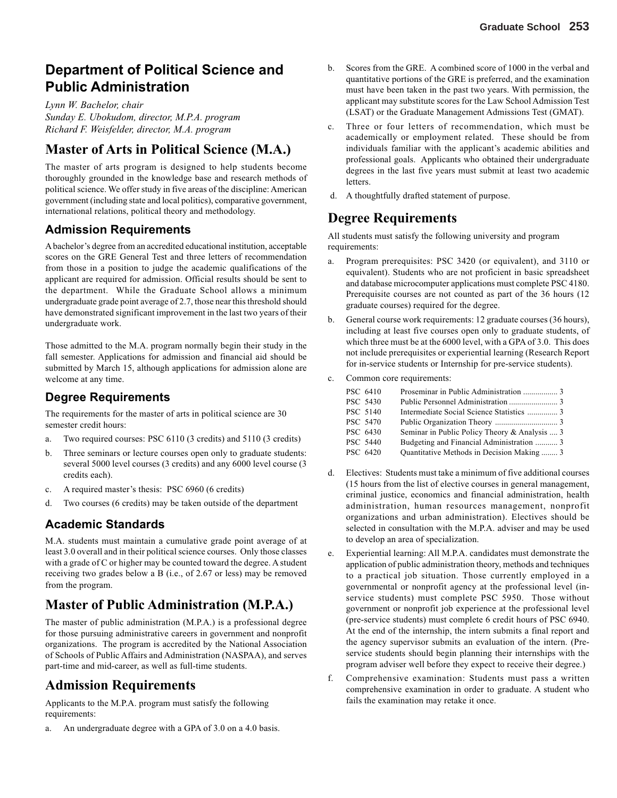# **Department of Political Science and Public Administration**

*Lynn W. Bachelor, chair Sunday E. Ubokudom, director, M.P.A. program Richard F. Weisfelder, director, M.A. program*

## **Master of Arts in Political Science (M.A.)**

The master of arts program is designed to help students become thoroughly grounded in the knowledge base and research methods of political science. We offer study in five areas of the discipline: American government (including state and local politics), comparative government, international relations, political theory and methodology.

#### **Admission Requirements**

A bachelor's degree from an accredited educational institution, acceptable scores on the GRE General Test and three letters of recommendation from those in a position to judge the academic qualifications of the applicant are required for admission. Official results should be sent to the department. While the Graduate School allows a minimum undergraduate grade point average of 2.7, those near this threshold should have demonstrated significant improvement in the last two years of their undergraduate work.

Those admitted to the M.A. program normally begin their study in the fall semester. Applications for admission and financial aid should be submitted by March 15, although applications for admission alone are welcome at any time.

#### **Degree Requirements**

The requirements for the master of arts in political science are 30 semester credit hours:

- a. Two required courses: PSC 6110 (3 credits) and 5110 (3 credits)
- b. Three seminars or lecture courses open only to graduate students: several 5000 level courses (3 credits) and any 6000 level course (3 credits each).
- c. A required master's thesis: PSC 6960 (6 credits)
- d. Two courses (6 credits) may be taken outside of the department

#### **Academic Standards**

M.A. students must maintain a cumulative grade point average of at least 3.0 overall and in their political science courses. Only those classes with a grade of C or higher may be counted toward the degree. A student receiving two grades below a B (i.e., of 2.67 or less) may be removed from the program.

### **Master of Public Administration (M.P.A.)**

The master of public administration (M.P.A.) is a professional degree for those pursuing administrative careers in government and nonprofit organizations. The program is accredited by the National Association of Schools of Public Affairs and Administration (NASPAA), and serves part-time and mid-career, as well as full-time students.

### **Admission Requirements**

Applicants to the M.P.A. program must satisfy the following requirements:

a. An undergraduate degree with a GPA of 3.0 on a 4.0 basis.

- b. Scores from the GRE. A combined score of 1000 in the verbal and quantitative portions of the GRE is preferred, and the examination must have been taken in the past two years. With permission, the applicant may substitute scores for the Law School Admission Test (LSAT) or the Graduate Management Admissions Test (GMAT).
- c. Three or four letters of recommendation, which must be academically or employment related. These should be from individuals familiar with the applicant's academic abilities and professional goals. Applicants who obtained their undergraduate degrees in the last five years must submit at least two academic letters.
- d. A thoughtfully drafted statement of purpose.

### **Degree Requirements**

All students must satisfy the following university and program requirements:

- a. Program prerequisites: PSC 3420 (or equivalent), and 3110 or equivalent). Students who are not proficient in basic spreadsheet and database microcomputer applications must complete PSC 4180. Prerequisite courses are not counted as part of the 36 hours (12 graduate courses) required for the degree.
- b. General course work requirements: 12 graduate courses (36 hours), including at least five courses open only to graduate students, of which three must be at the 6000 level, with a GPA of 3.0. This does not include prerequisites or experiential learning (Research Report for in-service students or Internship for pre-service students).
- c. Common core requirements:

| PSC 6410        |                                               |
|-----------------|-----------------------------------------------|
| <b>PSC 5430</b> |                                               |
| PSC 5140        | Intermediate Social Science Statistics  3     |
| <b>PSC 5470</b> |                                               |
| PSC 6430        | Seminar in Public Policy Theory & Analysis  3 |
| <b>PSC 5440</b> | Budgeting and Financial Administration  3     |
| PSC 6420        | Quantitative Methods in Decision Making  3    |

- d. Electives: Students must take a minimum of five additional courses (15 hours from the list of elective courses in general management, criminal justice, economics and financial administration, health administration, human resources management, nonprofit organizations and urban administration). Electives should be selected in consultation with the M.P.A. adviser and may be used to develop an area of specialization.
- e. Experiential learning: All M.P.A. candidates must demonstrate the application of public administration theory, methods and techniques to a practical job situation. Those currently employed in a governmental or nonprofit agency at the professional level (inservice students) must complete PSC 5950. Those without government or nonprofit job experience at the professional level (pre-service students) must complete 6 credit hours of PSC 6940. At the end of the internship, the intern submits a final report and the agency supervisor submits an evaluation of the intern. (Preservice students should begin planning their internships with the program adviser well before they expect to receive their degree.)
- f. Comprehensive examination: Students must pass a written comprehensive examination in order to graduate. A student who fails the examination may retake it once.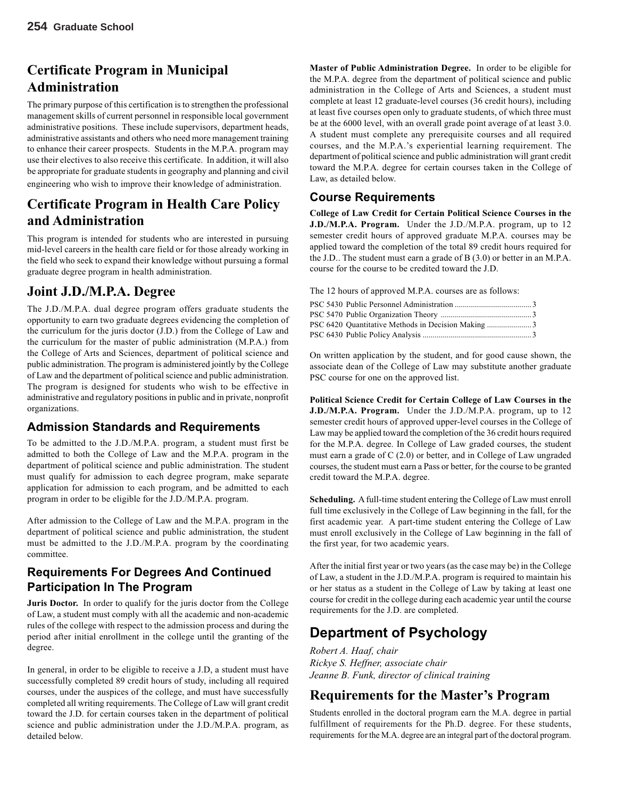# **Certificate Program in Municipal Administration**

The primary purpose of this certification is to strengthen the professional management skills of current personnel in responsible local government administrative positions. These include supervisors, department heads, administrative assistants and others who need more management training to enhance their career prospects. Students in the M.P.A. program may use their electives to also receive this certificate. In addition, it will also be appropriate for graduate students in geography and planning and civil engineering who wish to improve their knowledge of administration.

## **Certificate Program in Health Care Policy and Administration**

This program is intended for students who are interested in pursuing mid-level careers in the health care field or for those already working in the field who seek to expand their knowledge without pursuing a formal graduate degree program in health administration.

### **Joint J.D./M.P.A. Degree**

The J.D./M.P.A. dual degree program offers graduate students the opportunity to earn two graduate degrees evidencing the completion of the curriculum for the juris doctor (J.D.) from the College of Law and the curriculum for the master of public administration (M.P.A.) from the College of Arts and Sciences, department of political science and public administration. The program is administered jointly by the College of Law and the department of political science and public administration. The program is designed for students who wish to be effective in administrative and regulatory positions in public and in private, nonprofit organizations.

#### **Admission Standards and Requirements**

To be admitted to the J.D./M.P.A. program, a student must first be admitted to both the College of Law and the M.P.A. program in the department of political science and public administration. The student must qualify for admission to each degree program, make separate application for admission to each program, and be admitted to each program in order to be eligible for the J.D./M.P.A. program.

After admission to the College of Law and the M.P.A. program in the department of political science and public administration, the student must be admitted to the J.D./M.P.A. program by the coordinating committee.

#### **Requirements For Degrees And Continued Participation In The Program**

**Juris Doctor.** In order to qualify for the juris doctor from the College of Law, a student must comply with all the academic and non-academic rules of the college with respect to the admission process and during the period after initial enrollment in the college until the granting of the degree.

In general, in order to be eligible to receive a J.D, a student must have successfully completed 89 credit hours of study, including all required courses, under the auspices of the college, and must have successfully completed all writing requirements. The College of Law will grant credit toward the J.D. for certain courses taken in the department of political science and public administration under the J.D./M.P.A. program, as detailed below.

**Master of Public Administration Degree.** In order to be eligible for the M.P.A. degree from the department of political science and public administration in the College of Arts and Sciences, a student must complete at least 12 graduate-level courses (36 credit hours), including at least five courses open only to graduate students, of which three must be at the 6000 level, with an overall grade point average of at least 3.0. A student must complete any prerequisite courses and all required courses, and the M.P.A.'s experiential learning requirement. The department of political science and public administration will grant credit toward the M.P.A. degree for certain courses taken in the College of Law, as detailed below.

#### **Course Requirements**

**College of Law Credit for Certain Political Science Courses in the J.D./M.P.A. Program.** Under the J.D./M.P.A. program, up to 12 semester credit hours of approved graduate M.P.A. courses may be applied toward the completion of the total 89 credit hours required for the J.D.. The student must earn a grade of B (3.0) or better in an M.P.A. course for the course to be credited toward the J.D.

The 12 hours of approved M.P.A. courses are as follows:

On written application by the student, and for good cause shown, the associate dean of the College of Law may substitute another graduate PSC course for one on the approved list.

**Political Science Credit for Certain College of Law Courses in the J.D./M.P.A. Program.** Under the J.D./M.P.A. program, up to 12 semester credit hours of approved upper-level courses in the College of Law may be applied toward the completion of the 36 credit hours required for the M.P.A. degree. In College of Law graded courses, the student must earn a grade of C (2.0) or better, and in College of Law ungraded courses, the student must earn a Pass or better, for the course to be granted credit toward the M.P.A. degree.

**Scheduling.** A full-time student entering the College of Law must enroll full time exclusively in the College of Law beginning in the fall, for the first academic year. A part-time student entering the College of Law must enroll exclusively in the College of Law beginning in the fall of the first year, for two academic years.

After the initial first year or two years (as the case may be) in the College of Law, a student in the J.D./M.P.A. program is required to maintain his or her status as a student in the College of Law by taking at least one course for credit in the college during each academic year until the course requirements for the J.D. are completed.

# **Department of Psychology**

*Robert A. Haaf, chair Rickye S. Heffner, associate chair Jeanne B. Funk, director of clinical training*

### **Requirements for the Master's Program**

Students enrolled in the doctoral program earn the M.A. degree in partial fulfillment of requirements for the Ph.D. degree. For these students, requirements for the M.A. degree are an integral part of the doctoral program.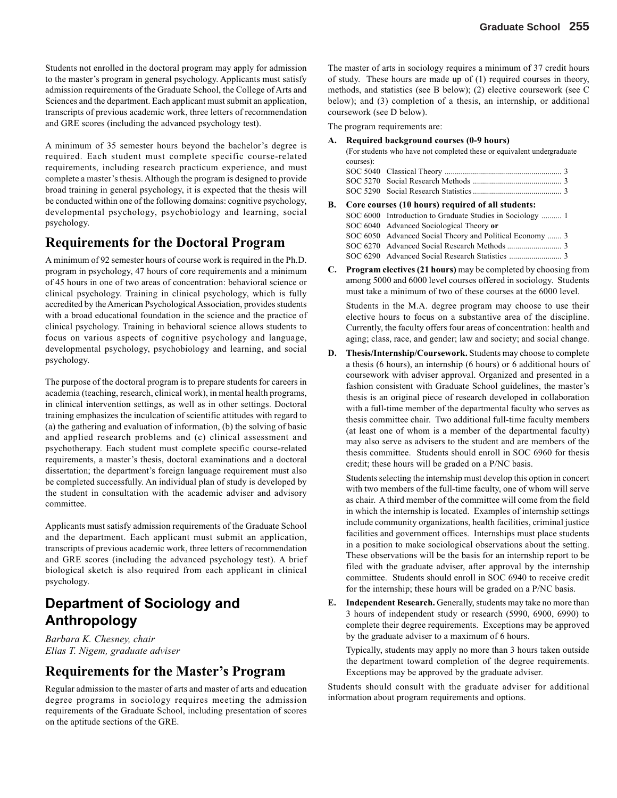Students not enrolled in the doctoral program may apply for admission to the master's program in general psychology. Applicants must satisfy admission requirements of the Graduate School, the College of Arts and Sciences and the department. Each applicant must submit an application, transcripts of previous academic work, three letters of recommendation and GRE scores (including the advanced psychology test).

A minimum of 35 semester hours beyond the bachelor's degree is required. Each student must complete specific course-related requirements, including research practicum experience, and must complete a master's thesis. Although the program is designed to provide broad training in general psychology, it is expected that the thesis will be conducted within one of the following domains: cognitive psychology, developmental psychology, psychobiology and learning, social psychology.

#### **Requirements for the Doctoral Program**

A minimum of 92 semester hours of course work is required in the Ph.D. program in psychology, 47 hours of core requirements and a minimum of 45 hours in one of two areas of concentration: behavioral science or clinical psychology. Training in clinical psychology, which is fully accredited by the American Psychological Association, provides students with a broad educational foundation in the science and the practice of clinical psychology. Training in behavioral science allows students to focus on various aspects of cognitive psychology and language, developmental psychology, psychobiology and learning, and social psychology.

The purpose of the doctoral program is to prepare students for careers in academia (teaching, research, clinical work), in mental health programs, in clinical intervention settings, as well as in other settings. Doctoral training emphasizes the inculcation of scientific attitudes with regard to (a) the gathering and evaluation of information, (b) the solving of basic and applied research problems and (c) clinical assessment and psychotherapy. Each student must complete specific course-related requirements, a master's thesis, doctoral examinations and a doctoral dissertation; the department's foreign language requirement must also be completed successfully. An individual plan of study is developed by the student in consultation with the academic adviser and advisory committee.

Applicants must satisfy admission requirements of the Graduate School and the department. Each applicant must submit an application, transcripts of previous academic work, three letters of recommendation and GRE scores (including the advanced psychology test). A brief biological sketch is also required from each applicant in clinical psychology.

# **Department of Sociology and Anthropology**

*Barbara K. Chesney, chair Elias T. Nigem, graduate adviser*

#### **Requirements for the Master's Program**

Regular admission to the master of arts and master of arts and education degree programs in sociology requires meeting the admission requirements of the Graduate School, including presentation of scores on the aptitude sections of the GRE.

The master of arts in sociology requires a minimum of 37 credit hours of study. These hours are made up of (1) required courses in theory, methods, and statistics (see B below); (2) elective coursework (see C below); and (3) completion of a thesis, an internship, or additional coursework (see D below).

The program requirements are:

**A. Required background courses (0-9 hours)**

(For students who have not completed these or equivalent undergraduate courses):

- SOC 5040 Classical Theory .......................................................... 3 SOC 5270 Social Research Methods ............................................ 3 SOC 5290 Social Research Statistics............................................ 3
- **B. Core courses (10 hours) required of all students:** SOC 6000 Introduction to Graduate Studies in Sociology .......... 1 SOC 6040 Advanced Sociological Theory **or** SOC 6050 Advanced Social Theory and Political Economy ....... 3 SOC 6270 Advanced Social Research Methods ........................... 3 SOC 6290 Advanced Social Research Statistics .......................... 3
- **C. Program electives (21 hours)** may be completed by choosing from among 5000 and 6000 level courses offered in sociology. Students must take a minimum of two of these courses at the 6000 level.

Students in the M.A. degree program may choose to use their elective hours to focus on a substantive area of the discipline. Currently, the faculty offers four areas of concentration: health and aging; class, race, and gender; law and society; and social change.

**D. Thesis/Internship/Coursework.** Students may choose to complete a thesis (6 hours), an internship (6 hours) or 6 additional hours of coursework with adviser approval. Organized and presented in a fashion consistent with Graduate School guidelines, the master's thesis is an original piece of research developed in collaboration with a full-time member of the departmental faculty who serves as thesis committee chair. Two additional full-time faculty members (at least one of whom is a member of the departmental faculty) may also serve as advisers to the student and are members of the thesis committee. Students should enroll in SOC 6960 for thesis credit; these hours will be graded on a P/NC basis.

Students selecting the internship must develop this option in concert with two members of the full-time faculty, one of whom will serve as chair. A third member of the committee will come from the field in which the internship is located. Examples of internship settings include community organizations, health facilities, criminal justice facilities and government offices. Internships must place students in a position to make sociological observations about the setting. These observations will be the basis for an internship report to be filed with the graduate adviser, after approval by the internship committee. Students should enroll in SOC 6940 to receive credit for the internship; these hours will be graded on a P/NC basis.

**E. Independent Research.** Generally, students may take no more than 3 hours of independent study or research (5990, 6900, 6990) to complete their degree requirements. Exceptions may be approved by the graduate adviser to a maximum of 6 hours.

Typically, students may apply no more than 3 hours taken outside the department toward completion of the degree requirements. Exceptions may be approved by the graduate adviser.

Students should consult with the graduate adviser for additional information about program requirements and options.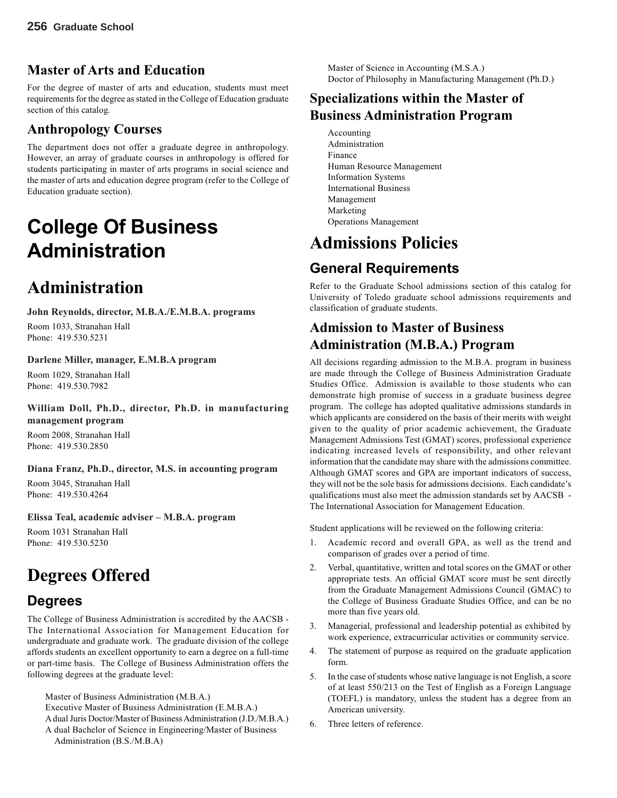# **Master of Arts and Education**

For the degree of master of arts and education, students must meet requirements for the degree as stated in the College of Education graduate section of this catalog.

# **Anthropology Courses**

The department does not offer a graduate degree in anthropology. However, an array of graduate courses in anthropology is offered for students participating in master of arts programs in social science and the master of arts and education degree program (refer to the College of Education graduate section).

# **College Of Business Administration**

# **Administration**

**John Reynolds, director, M.B.A./E.M.B.A. programs** Room 1033, Stranahan Hall Phone: 419.530.5231

#### **Darlene Miller, manager, E.M.B.A program**

Room 1029, Stranahan Hall Phone: 419.530.7982

**William Doll, Ph.D., director, Ph.D. in manufacturing management program**

Room 2008, Stranahan Hall Phone: 419.530.2850

**Diana Franz, Ph.D., director, M.S. in accounting program** Room 3045, Stranahan Hall

Phone: 419.530.4264

**Elissa Teal, academic adviser – M.B.A. program**

Room 1031 Stranahan Hall Phone: 419.530.5230

# **Degrees Offered**

# **Degrees**

The College of Business Administration is accredited by the AACSB - The International Association for Management Education for undergraduate and graduate work. The graduate division of the college affords students an excellent opportunity to earn a degree on a full-time or part-time basis. The College of Business Administration offers the following degrees at the graduate level:

Master of Business Administration (M.B.A.)

Executive Master of Business Administration (E.M.B.A.)

A dual Juris Doctor/Master of Business Administration (J.D./M.B.A.) A dual Bachelor of Science in Engineering/Master of Business

Administration (B.S./M.B.A)

Master of Science in Accounting (M.S.A.) Doctor of Philosophy in Manufacturing Management (Ph.D.)

# **Specializations within the Master of Business Administration Program**

Accounting Administration Finance Human Resource Management Information Systems International Business Management Marketing Operations Management

# **Admissions Policies**

# **General Requirements**

Refer to the Graduate School admissions section of this catalog for University of Toledo graduate school admissions requirements and classification of graduate students.

# **Admission to Master of Business Administration (M.B.A.) Program**

All decisions regarding admission to the M.B.A. program in business are made through the College of Business Administration Graduate Studies Office. Admission is available to those students who can demonstrate high promise of success in a graduate business degree program. The college has adopted qualitative admissions standards in which applicants are considered on the basis of their merits with weight given to the quality of prior academic achievement, the Graduate Management Admissions Test (GMAT) scores, professional experience indicating increased levels of responsibility, and other relevant information that the candidate may share with the admissions committee. Although GMAT scores and GPA are important indicators of success, they will not be the sole basis for admissions decisions. Each candidate's qualifications must also meet the admission standards set by AACSB - The International Association for Management Education.

Student applications will be reviewed on the following criteria:

- 1. Academic record and overall GPA, as well as the trend and comparison of grades over a period of time.
- 2. Verbal, quantitative, written and total scores on the GMAT or other appropriate tests. An official GMAT score must be sent directly from the Graduate Management Admissions Council (GMAC) to the College of Business Graduate Studies Office, and can be no more than five years old.
- 3. Managerial, professional and leadership potential as exhibited by work experience, extracurricular activities or community service.
- 4. The statement of purpose as required on the graduate application form.
- 5. In the case of students whose native language is not English, a score of at least 550/213 on the Test of English as a Foreign Language (TOEFL) is mandatory, unless the student has a degree from an American university.
- 6. Three letters of reference.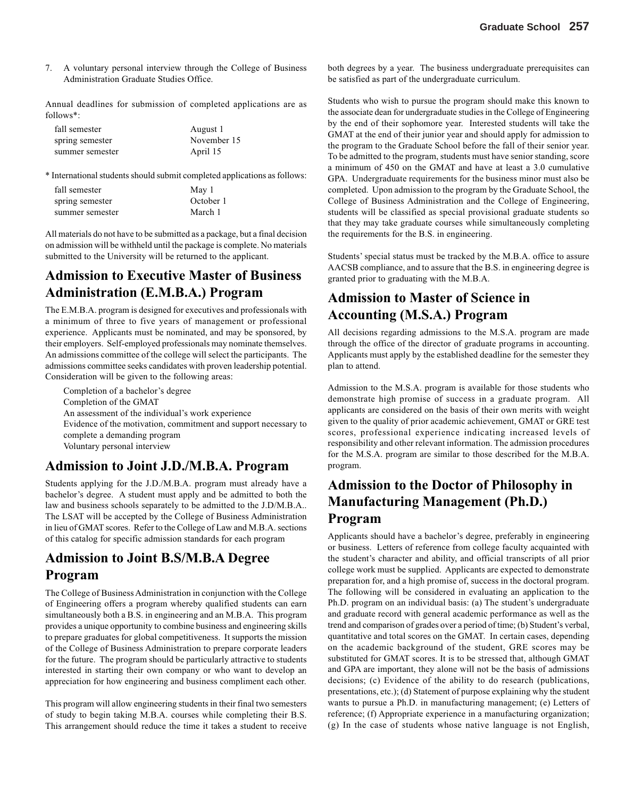7. A voluntary personal interview through the College of Business Administration Graduate Studies Office.

Annual deadlines for submission of completed applications are as follows\*:

| fall semester   | August 1    |
|-----------------|-------------|
| spring semester | November 15 |
| summer semester | April 15    |

\* International students should submit completed applications as follows:

| fall semester   | May 1     |
|-----------------|-----------|
| spring semester | October 1 |
| summer semester | March 1   |

All materials do not have to be submitted as a package, but a final decision on admission will be withheld until the package is complete. No materials submitted to the University will be returned to the applicant.

### **Admission to Executive Master of Business Administration (E.M.B.A.) Program**

The E.M.B.A. program is designed for executives and professionals with a minimum of three to five years of management or professional experience. Applicants must be nominated, and may be sponsored, by their employers. Self-employed professionals may nominate themselves. An admissions committee of the college will select the participants. The admissions committee seeks candidates with proven leadership potential. Consideration will be given to the following areas:

Completion of a bachelor's degree Completion of the GMAT An assessment of the individual's work experience Evidence of the motivation, commitment and support necessary to complete a demanding program Voluntary personal interview

#### **Admission to Joint J.D./M.B.A. Program**

Students applying for the J.D./M.B.A. program must already have a bachelor's degree. A student must apply and be admitted to both the law and business schools separately to be admitted to the J.D/M.B.A.. The LSAT will be accepted by the College of Business Administration in lieu of GMAT scores. Refer to the College of Law and M.B.A. sections of this catalog for specific admission standards for each program

### **Admission to Joint B.S/M.B.A Degree Program**

The College of Business Administration in conjunction with the College of Engineering offers a program whereby qualified students can earn simultaneously both a B.S. in engineering and an M.B.A. This program provides a unique opportunity to combine business and engineering skills to prepare graduates for global competitiveness. It supports the mission of the College of Business Administration to prepare corporate leaders for the future. The program should be particularly attractive to students interested in starting their own company or who want to develop an appreciation for how engineering and business compliment each other.

This program will allow engineering students in their final two semesters of study to begin taking M.B.A. courses while completing their B.S. This arrangement should reduce the time it takes a student to receive both degrees by a year. The business undergraduate prerequisites can be satisfied as part of the undergraduate curriculum.

Students who wish to pursue the program should make this known to the associate dean for undergraduate studies in the College of Engineering by the end of their sophomore year. Interested students will take the GMAT at the end of their junior year and should apply for admission to the program to the Graduate School before the fall of their senior year. To be admitted to the program, students must have senior standing, score a minimum of 450 on the GMAT and have at least a 3.0 cumulative GPA. Undergraduate requirements for the business minor must also be completed. Upon admission to the program by the Graduate School, the College of Business Administration and the College of Engineering, students will be classified as special provisional graduate students so that they may take graduate courses while simultaneously completing the requirements for the B.S. in engineering.

Students' special status must be tracked by the M.B.A. office to assure AACSB compliance, and to assure that the B.S. in engineering degree is granted prior to graduating with the M.B.A.

# **Admission to Master of Science in Accounting (M.S.A.) Program**

All decisions regarding admissions to the M.S.A. program are made through the office of the director of graduate programs in accounting. Applicants must apply by the established deadline for the semester they plan to attend.

Admission to the M.S.A. program is available for those students who demonstrate high promise of success in a graduate program. All applicants are considered on the basis of their own merits with weight given to the quality of prior academic achievement, GMAT or GRE test scores, professional experience indicating increased levels of responsibility and other relevant information. The admission procedures for the M.S.A. program are similar to those described for the M.B.A. program.

### **Admission to the Doctor of Philosophy in Manufacturing Management (Ph.D.) Program**

Applicants should have a bachelor's degree, preferably in engineering or business. Letters of reference from college faculty acquainted with the student's character and ability, and official transcripts of all prior college work must be supplied. Applicants are expected to demonstrate preparation for, and a high promise of, success in the doctoral program. The following will be considered in evaluating an application to the Ph.D. program on an individual basis: (a) The student's undergraduate and graduate record with general academic performance as well as the trend and comparison of grades over a period of time; (b) Student's verbal, quantitative and total scores on the GMAT. In certain cases, depending on the academic background of the student, GRE scores may be substituted for GMAT scores. It is to be stressed that, although GMAT and GPA are important, they alone will not be the basis of admissions decisions; (c) Evidence of the ability to do research (publications, presentations, etc.); (d) Statement of purpose explaining why the student wants to pursue a Ph.D. in manufacturing management; (e) Letters of reference; (f) Appropriate experience in a manufacturing organization; (g) In the case of students whose native language is not English,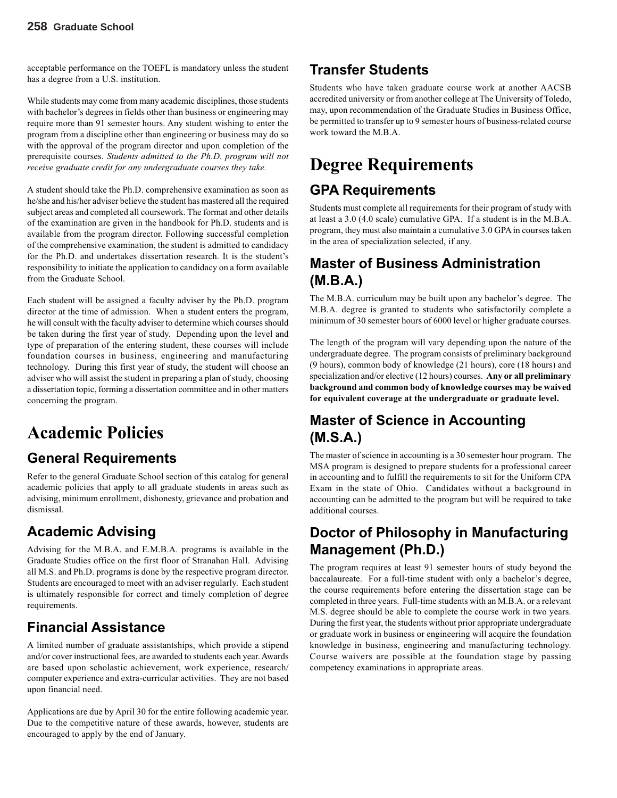acceptable performance on the TOEFL is mandatory unless the student has a degree from a U.S. institution.

While students may come from many academic disciplines, those students with bachelor's degrees in fields other than business or engineering may require more than 91 semester hours. Any student wishing to enter the program from a discipline other than engineering or business may do so with the approval of the program director and upon completion of the prerequisite courses. *Students admitted to the Ph.D. program will not receive graduate credit for any undergraduate courses they take.*

A student should take the Ph.D. comprehensive examination as soon as he/she and his/her adviser believe the student has mastered all the required subject areas and completed all coursework. The format and other details of the examination are given in the handbook for Ph.D. students and is available from the program director. Following successful completion of the comprehensive examination, the student is admitted to candidacy for the Ph.D. and undertakes dissertation research. It is the student's responsibility to initiate the application to candidacy on a form available from the Graduate School.

Each student will be assigned a faculty adviser by the Ph.D. program director at the time of admission. When a student enters the program, he will consult with the faculty adviser to determine which courses should be taken during the first year of study. Depending upon the level and type of preparation of the entering student, these courses will include foundation courses in business, engineering and manufacturing technology. During this first year of study, the student will choose an adviser who will assist the student in preparing a plan of study, choosing a dissertation topic, forming a dissertation committee and in other matters concerning the program.

# **Academic Policies**

# **General Requirements**

Refer to the general Graduate School section of this catalog for general academic policies that apply to all graduate students in areas such as advising, minimum enrollment, dishonesty, grievance and probation and dismissal.

# **Academic Advising**

Advising for the M.B.A. and E.M.B.A. programs is available in the Graduate Studies office on the first floor of Stranahan Hall. Advising all M.S. and Ph.D. programs is done by the respective program director. Students are encouraged to meet with an adviser regularly. Each student is ultimately responsible for correct and timely completion of degree requirements.

# **Financial Assistance**

A limited number of graduate assistantships, which provide a stipend and/or cover instructional fees, are awarded to students each year. Awards are based upon scholastic achievement, work experience, research/ computer experience and extra-curricular activities. They are not based upon financial need.

Applications are due by April 30 for the entire following academic year. Due to the competitive nature of these awards, however, students are encouraged to apply by the end of January.

# **Transfer Students**

Students who have taken graduate course work at another AACSB accredited university or from another college at The University of Toledo, may, upon recommendation of the Graduate Studies in Business Office, be permitted to transfer up to 9 semester hours of business-related course work toward the M.B.A.

# **Degree Requirements**

# **GPA Requirements**

Students must complete all requirements for their program of study with at least a 3.0 (4.0 scale) cumulative GPA. If a student is in the M.B.A. program, they must also maintain a cumulative 3.0 GPA in courses taken in the area of specialization selected, if any.

# **Master of Business Administration (M.B.A.)**

The M.B.A. curriculum may be built upon any bachelor's degree. The M.B.A. degree is granted to students who satisfactorily complete a minimum of 30 semester hours of 6000 level or higher graduate courses.

The length of the program will vary depending upon the nature of the undergraduate degree. The program consists of preliminary background (9 hours), common body of knowledge (21 hours), core (18 hours) and specialization and/or elective (12 hours) courses. **Any or all preliminary background and common body of knowledge courses may be waived for equivalent coverage at the undergraduate or graduate level.**

# **Master of Science in Accounting (M.S.A.)**

The master of science in accounting is a 30 semester hour program. The MSA program is designed to prepare students for a professional career in accounting and to fulfill the requirements to sit for the Uniform CPA Exam in the state of Ohio. Candidates without a background in accounting can be admitted to the program but will be required to take additional courses.

# **Doctor of Philosophy in Manufacturing Management (Ph.D.)**

The program requires at least 91 semester hours of study beyond the baccalaureate. For a full-time student with only a bachelor's degree, the course requirements before entering the dissertation stage can be completed in three years. Full-time students with an M.B.A. or a relevant M.S. degree should be able to complete the course work in two years. During the first year, the students without prior appropriate undergraduate or graduate work in business or engineering will acquire the foundation knowledge in business, engineering and manufacturing technology. Course waivers are possible at the foundation stage by passing competency examinations in appropriate areas.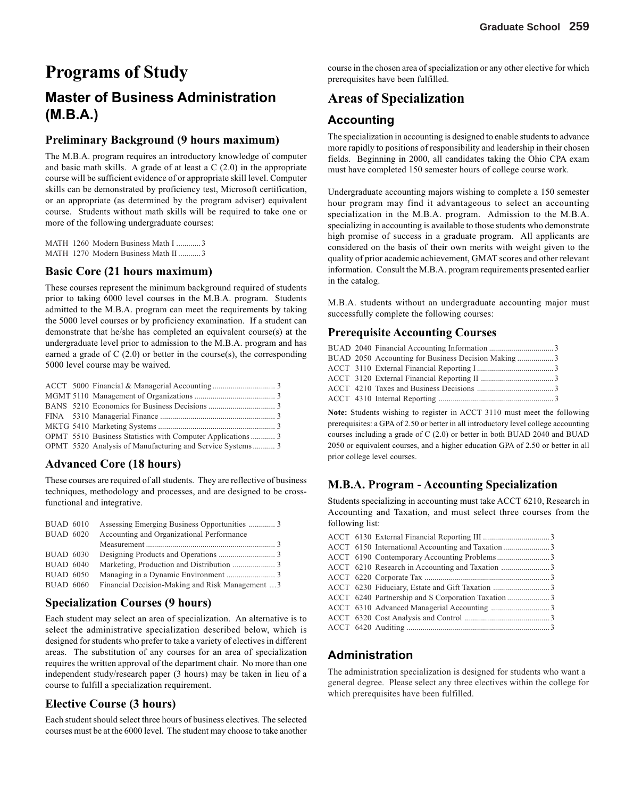# **Programs of Study**

# **Master of Business Administration (M.B.A.)**

#### **Preliminary Background (9 hours maximum)**

The M.B.A. program requires an introductory knowledge of computer and basic math skills. A grade of at least a C (2.0) in the appropriate course will be sufficient evidence of or appropriate skill level. Computer skills can be demonstrated by proficiency test, Microsoft certification, or an appropriate (as determined by the program adviser) equivalent course. Students without math skills will be required to take one or more of the following undergraduate courses:

|  |  | MATH 1260 Modern Business Math I 3   |  |
|--|--|--------------------------------------|--|
|  |  | MATH 1270 Modern Business Math II  3 |  |

#### **Basic Core (21 hours maximum)**

These courses represent the minimum background required of students prior to taking 6000 level courses in the M.B.A. program. Students admitted to the M.B.A. program can meet the requirements by taking the 5000 level courses or by proficiency examination. If a student can demonstrate that he/she has completed an equivalent course(s) at the undergraduate level prior to admission to the M.B.A. program and has earned a grade of  $C(2.0)$  or better in the course(s), the corresponding 5000 level course may be waived.

|  | OPMT 5520 Analysis of Manufacturing and Service Systems 3 |  |
|--|-----------------------------------------------------------|--|

#### **Advanced Core (18 hours)**

These courses are required of all students. They are reflective of business techniques, methodology and processes, and are designed to be crossfunctional and integrative.

| <b>BUAD 6010</b> |                                                 |  |
|------------------|-------------------------------------------------|--|
| <b>BUAD 6020</b> | Accounting and Organizational Performance       |  |
|                  |                                                 |  |
| <b>BUAD 6030</b> |                                                 |  |
| <b>BUAD 6040</b> |                                                 |  |
| <b>BUAD 6050</b> |                                                 |  |
| <b>BUAD 6060</b> | Financial Decision-Making and Risk Management 3 |  |

#### **Specialization Courses (9 hours)**

Each student may select an area of specialization. An alternative is to select the administrative specialization described below, which is designed for students who prefer to take a variety of electives in different areas. The substitution of any courses for an area of specialization requires the written approval of the department chair. No more than one independent study/research paper (3 hours) may be taken in lieu of a course to fulfill a specialization requirement.

#### **Elective Course (3 hours)**

Each student should select three hours of business electives. The selected courses must be at the 6000 level. The student may choose to take another

course in the chosen area of specialization or any other elective for which prerequisites have been fulfilled.

# **Areas of Specialization**

### **Accounting**

The specialization in accounting is designed to enable students to advance more rapidly to positions of responsibility and leadership in their chosen fields. Beginning in 2000, all candidates taking the Ohio CPA exam must have completed 150 semester hours of college course work.

Undergraduate accounting majors wishing to complete a 150 semester hour program may find it advantageous to select an accounting specialization in the M.B.A. program. Admission to the M.B.A. specializing in accounting is available to those students who demonstrate high promise of success in a graduate program. All applicants are considered on the basis of their own merits with weight given to the quality of prior academic achievement, GMAT scores and other relevant information. Consult the M.B.A. program requirements presented earlier in the catalog.

M.B.A. students without an undergraduate accounting major must successfully complete the following courses:

#### **Prerequisite Accounting Courses**

|  | BUAD 2050 Accounting for Business Decision Making3 |  |
|--|----------------------------------------------------|--|
|  |                                                    |  |
|  |                                                    |  |
|  |                                                    |  |
|  |                                                    |  |

**Note:** Students wishing to register in ACCT 3110 must meet the following prerequisites: a GPA of 2.50 or better in all introductory level college accounting courses including a grade of C (2.0) or better in both BUAD 2040 and BUAD 2050 or equivalent courses, and a higher education GPA of 2.50 or better in all prior college level courses.

### **M.B.A. Program - Accounting Specialization**

Students specializing in accounting must take ACCT 6210, Research in Accounting and Taxation, and must select three courses from the following list:

|  | ACCT 6240 Partnership and S Corporation Taxation3 |  |
|--|---------------------------------------------------|--|
|  |                                                   |  |
|  |                                                   |  |
|  |                                                   |  |
|  |                                                   |  |

### **Administration**

The administration specialization is designed for students who want a general degree. Please select any three electives within the college for which prerequisites have been fulfilled.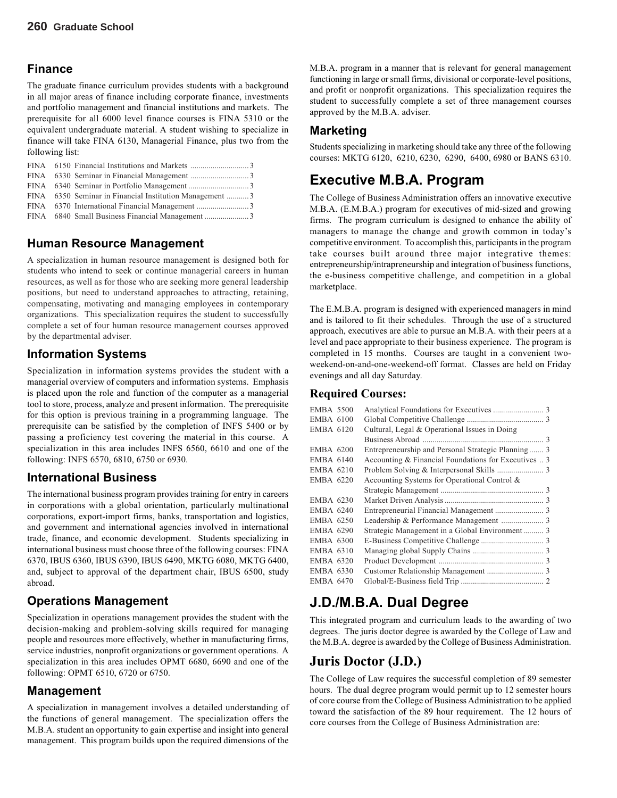#### **Finance**

The graduate finance curriculum provides students with a background in all major areas of finance including corporate finance, investments and portfolio management and financial institutions and markets. The prerequisite for all 6000 level finance courses is FINA 5310 or the equivalent undergraduate material. A student wishing to specialize in finance will take FINA 6130, Managerial Finance, plus two from the following list:

|  | FINA 6350 Seminar in Financial Institution Management 3 |  |
|--|---------------------------------------------------------|--|
|  |                                                         |  |
|  |                                                         |  |

#### **Human Resource Management**

A specialization in human resource management is designed both for students who intend to seek or continue managerial careers in human resources, as well as for those who are seeking more general leadership positions, but need to understand approaches to attracting, retaining, compensating, motivating and managing employees in contemporary organizations. This specialization requires the student to successfully complete a set of four human resource management courses approved by the departmental adviser.

#### **Information Systems**

Specialization in information systems provides the student with a managerial overview of computers and information systems. Emphasis is placed upon the role and function of the computer as a managerial tool to store, process, analyze and present information. The prerequisite for this option is previous training in a programming language. The prerequisite can be satisfied by the completion of INFS 5400 or by passing a proficiency test covering the material in this course. A specialization in this area includes INFS 6560, 6610 and one of the following: INFS 6570, 6810, 6750 or 6930.

#### **International Business**

The international business program provides training for entry in careers in corporations with a global orientation, particularly multinational corporations, export-import firms, banks, transportation and logistics, and government and international agencies involved in international trade, finance, and economic development. Students specializing in international business must choose three of the following courses: FINA 6370, IBUS 6360, IBUS 6390, IBUS 6490, MKTG 6080, MKTG 6400, and, subject to approval of the department chair, IBUS 6500, study abroad.

#### **Operations Management**

Specialization in operations management provides the student with the decision-making and problem-solving skills required for managing people and resources more effectively, whether in manufacturing firms, service industries, nonprofit organizations or government operations. A specialization in this area includes OPMT 6680, 6690 and one of the following: OPMT 6510, 6720 or 6750.

#### **Management**

A specialization in management involves a detailed understanding of the functions of general management. The specialization offers the M.B.A. student an opportunity to gain expertise and insight into general management. This program builds upon the required dimensions of the

M.B.A. program in a manner that is relevant for general management functioning in large or small firms, divisional or corporate-level positions, and profit or nonprofit organizations. This specialization requires the student to successfully complete a set of three management courses approved by the M.B.A. adviser.

#### **Marketing**

Students specializing in marketing should take any three of the following courses: MKTG 6120, 6210, 6230, 6290, 6400, 6980 or BANS 6310.

# **Executive M.B.A. Program**

The College of Business Administration offers an innovative executive M.B.A. (E.M.B.A.) program for executives of mid-sized and growing firms. The program curriculum is designed to enhance the ability of managers to manage the change and growth common in today's competitive environment. To accomplish this, participants in the program take courses built around three major integrative themes: entrepreneurship/intrapreneurship and integration of business functions, the e-business competitive challenge, and competition in a global marketplace.

The E.M.B.A. program is designed with experienced managers in mind and is tailored to fit their schedules. Through the use of a structured approach, executives are able to pursue an M.B.A. with their peers at a level and pace appropriate to their business experience. The program is completed in 15 months. Courses are taught in a convenient twoweekend-on-and-one-weekend-off format. Classes are held on Friday evenings and all day Saturday.

#### **Required Courses:**

| Cultural, Legal & Operational Issues in Doing                                                                                                                                                                                                                                                    |                                                    |
|--------------------------------------------------------------------------------------------------------------------------------------------------------------------------------------------------------------------------------------------------------------------------------------------------|----------------------------------------------------|
|                                                                                                                                                                                                                                                                                                  |                                                    |
|                                                                                                                                                                                                                                                                                                  |                                                    |
| Accounting & Financial Foundations for Executives  3                                                                                                                                                                                                                                             |                                                    |
|                                                                                                                                                                                                                                                                                                  |                                                    |
| Accounting Systems for Operational Control &                                                                                                                                                                                                                                                     |                                                    |
|                                                                                                                                                                                                                                                                                                  |                                                    |
|                                                                                                                                                                                                                                                                                                  |                                                    |
|                                                                                                                                                                                                                                                                                                  |                                                    |
|                                                                                                                                                                                                                                                                                                  |                                                    |
| Strategic Management in a Global Environment 3                                                                                                                                                                                                                                                   |                                                    |
|                                                                                                                                                                                                                                                                                                  |                                                    |
|                                                                                                                                                                                                                                                                                                  |                                                    |
|                                                                                                                                                                                                                                                                                                  |                                                    |
|                                                                                                                                                                                                                                                                                                  |                                                    |
|                                                                                                                                                                                                                                                                                                  |                                                    |
| <b>EMBA 5500</b><br><b>EMBA 6100</b><br><b>EMBA 6120</b><br><b>EMBA 6200</b><br><b>EMBA 6140</b><br><b>EMBA 6210</b><br>EMBA 6220<br><b>EMBA 6230</b><br>EMBA 6240<br><b>EMBA 6250</b><br><b>EMBA 6290</b><br>EMBA 6300<br><b>EMBA 6310</b><br><b>EMBA 6320</b><br><b>EMBA 6330</b><br>EMBA 6470 | Entrepreneurship and Personal Strategic Planning 3 |

# **J.D./M.B.A. Dual Degree**

This integrated program and curriculum leads to the awarding of two degrees. The juris doctor degree is awarded by the College of Law and the M.B.A. degree is awarded by the College of Business Administration.

### **Juris Doctor (J.D.)**

The College of Law requires the successful completion of 89 semester hours. The dual degree program would permit up to 12 semester hours of core course from the College of Business Administration to be applied toward the satisfaction of the 89 hour requirement. The 12 hours of core courses from the College of Business Administration are: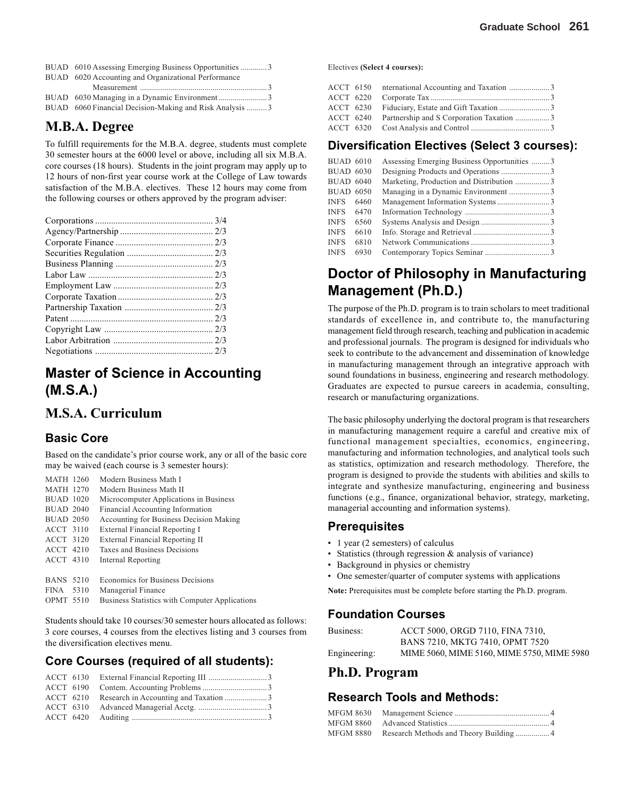| BUAD 6010 Assessing Emerging Business Opportunities 3    |  |
|----------------------------------------------------------|--|
| BUAD 6020 Accounting and Organizational Performance      |  |
|                                                          |  |
| BUAD 6030 Managing in a Dynamic Environment3             |  |
| BUAD 6060 Financial Decision-Making and Risk Analysis  3 |  |

# **M.B.A. Degree**

To fulfill requirements for the M.B.A. degree, students must complete 30 semester hours at the 6000 level or above, including all six M.B.A. core courses (18 hours). Students in the joint program may apply up to 12 hours of non-first year course work at the College of Law towards satisfaction of the M.B.A. electives. These 12 hours may come from the following courses or others approved by the program adviser:

# **Master of Science in Accounting (M.S.A.)**

### **M.S.A. Curriculum**

#### **Basic Core**

Based on the candidate's prior course work, any or all of the basic core may be waived (each course is 3 semester hours):

| <b>MATH 1260</b> | Modern Business Math I                         |
|------------------|------------------------------------------------|
| <b>MATH 1270</b> | Modern Business Math II                        |
| <b>BUAD 1020</b> | Microcomputer Applications in Business         |
| <b>BUAD 2040</b> | Financial Accounting Information               |
| <b>BUAD 2050</b> | Accounting for Business Decision Making        |
| <b>ACCT 3110</b> | External Financial Reporting I                 |
| ACCT 3120        | External Financial Reporting II                |
| ACCT 4210        | Taxes and Business Decisions                   |
| <b>ACCT 4310</b> | Internal Reporting                             |
| <b>BANS 5210</b> | Economics for Business Decisions               |
| FINA 5310        | Managerial Finance                             |
| $ODMTE$ $5510$   | Ducinese Statistics with Committee Anglication |

OPMT 5510 Business Statistics with Computer Applications

Students should take 10 courses/30 semester hours allocated as follows: 3 core courses, 4 courses from the electives listing and 3 courses from the diversification electives menu.

#### **Core Courses (required of all students):**

Electives **(Select 4 courses):**

|  | ACCT 6150 nternational Accounting and Taxation 3   |  |
|--|----------------------------------------------------|--|
|  |                                                    |  |
|  |                                                    |  |
|  | ACCT 6240 Partnership and S Corporation Taxation 3 |  |
|  |                                                    |  |
|  |                                                    |  |

#### **Diversification Electives (Select 3 courses):**

| <b>BUAD 6010</b> |      | Assessing Emerging Business Opportunities 3 |  |
|------------------|------|---------------------------------------------|--|
| <b>BUAD 6030</b> |      |                                             |  |
| <b>BUAD 6040</b> |      | Marketing, Production and Distribution 3    |  |
| <b>BUAD 6050</b> |      | Managing in a Dynamic Environment 3         |  |
| INFS.            | 6460 |                                             |  |
| INFS.            | 6470 |                                             |  |
| <b>INFS</b>      | 6560 |                                             |  |
| <b>INFS</b>      | 6610 |                                             |  |
| <b>INFS</b>      | 6810 |                                             |  |
| <b>INFS</b>      | 6930 |                                             |  |
|                  |      |                                             |  |

# **Doctor of Philosophy in Manufacturing Management (Ph.D.)**

The purpose of the Ph.D. program is to train scholars to meet traditional standards of excellence in, and contribute to, the manufacturing management field through research, teaching and publication in academic and professional journals. The program is designed for individuals who seek to contribute to the advancement and dissemination of knowledge in manufacturing management through an integrative approach with sound foundations in business, engineering and research methodology. Graduates are expected to pursue careers in academia, consulting, research or manufacturing organizations.

The basic philosophy underlying the doctoral program is that researchers in manufacturing management require a careful and creative mix of functional management specialties, economics, engineering, manufacturing and information technologies, and analytical tools such as statistics, optimization and research methodology. Therefore, the program is designed to provide the students with abilities and skills to integrate and synthesize manufacturing, engineering and business functions (e.g., finance, organizational behavior, strategy, marketing, managerial accounting and information systems).

#### **Prerequisites**

- 1 year (2 semesters) of calculus
- Statistics (through regression & analysis of variance)
- Background in physics or chemistry
- One semester/quarter of computer systems with applications

**Note:** Prerequisites must be complete before starting the Ph.D. program.

#### **Foundation Courses**

| Business:    | ACCT 5000, ORGD 7110, FINA 7310,           |
|--------------|--------------------------------------------|
|              | BANS 7210, MKTG 7410, OPMT 7520            |
| Engineering: | MIME 5060, MIME 5160, MIME 5750, MIME 5980 |

### **Ph.D. Program**

#### **Research Tools and Methods:**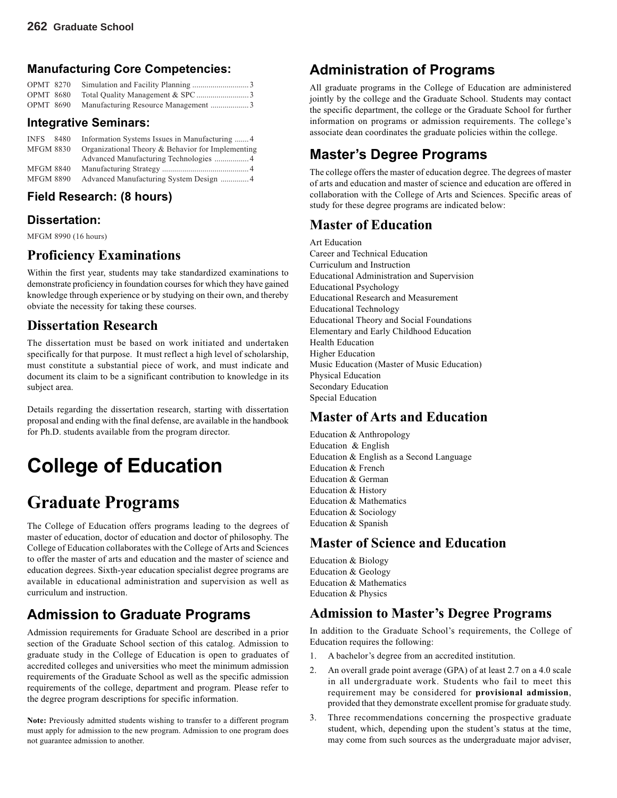#### **Manufacturing Core Competencies:**

| OPMT 8270 |                                               |  |
|-----------|-----------------------------------------------|--|
|           |                                               |  |
|           | OPMT 8690 Manufacturing Resource Management 3 |  |

#### **Integrative Seminars:**

| <b>INFS</b>      | 8480 | Information Systems Issues in Manufacturing 4     |
|------------------|------|---------------------------------------------------|
| <b>MFGM 8830</b> |      | Organizational Theory & Behavior for Implementing |
|                  |      |                                                   |
| <b>MFGM 8840</b> |      |                                                   |
| <b>MFGM 8890</b> |      |                                                   |

#### **Field Research: (8 hours)**

#### **Dissertation:**

MFGM 8990 (16 hours)

### **Proficiency Examinations**

Within the first year, students may take standardized examinations to demonstrate proficiency in foundation courses for which they have gained knowledge through experience or by studying on their own, and thereby obviate the necessity for taking these courses.

## **Dissertation Research**

The dissertation must be based on work initiated and undertaken specifically for that purpose. It must reflect a high level of scholarship, must constitute a substantial piece of work, and must indicate and document its claim to be a significant contribution to knowledge in its subject area.

Details regarding the dissertation research, starting with dissertation proposal and ending with the final defense, are available in the handbook for Ph.D. students available from the program director.

# **College of Education**

# **Graduate Programs**

The College of Education offers programs leading to the degrees of master of education, doctor of education and doctor of philosophy. The College of Education collaborates with the College of Arts and Sciences to offer the master of arts and education and the master of science and education degrees. Sixth-year education specialist degree programs are available in educational administration and supervision as well as curriculum and instruction.

# **Admission to Graduate Programs**

Admission requirements for Graduate School are described in a prior section of the Graduate School section of this catalog. Admission to graduate study in the College of Education is open to graduates of accredited colleges and universities who meet the minimum admission requirements of the Graduate School as well as the specific admission requirements of the college, department and program. Please refer to the degree program descriptions for specific information.

**Note:** Previously admitted students wishing to transfer to a different program must apply for admission to the new program. Admission to one program does not guarantee admission to another.

# **Administration of Programs**

All graduate programs in the College of Education are administered jointly by the college and the Graduate School. Students may contact the specific department, the college or the Graduate School for further information on programs or admission requirements. The college's associate dean coordinates the graduate policies within the college.

# **Master's Degree Programs**

The college offers the master of education degree. The degrees of master of arts and education and master of science and education are offered in collaboration with the College of Arts and Sciences. Specific areas of study for these degree programs are indicated below:

### **Master of Education**

Art Education Career and Technical Education Curriculum and Instruction Educational Administration and Supervision Educational Psychology Educational Research and Measurement Educational Technology Educational Theory and Social Foundations Elementary and Early Childhood Education Health Education Higher Education Music Education (Master of Music Education) Physical Education Secondary Education Special Education

### **Master of Arts and Education**

Education & Anthropology Education & English Education & English as a Second Language Education & French Education & German Education & History Education & Mathematics Education & Sociology Education & Spanish

### **Master of Science and Education**

Education & Biology Education & Geology Education & Mathematics Education & Physics

### **Admission to Master's Degree Programs**

In addition to the Graduate School's requirements, the College of Education requires the following:

- 1. A bachelor's degree from an accredited institution.
- 2. An overall grade point average (GPA) of at least 2.7 on a 4.0 scale in all undergraduate work. Students who fail to meet this requirement may be considered for **provisional admission**, provided that they demonstrate excellent promise for graduate study.
- 3. Three recommendations concerning the prospective graduate student, which, depending upon the student's status at the time, may come from such sources as the undergraduate major adviser,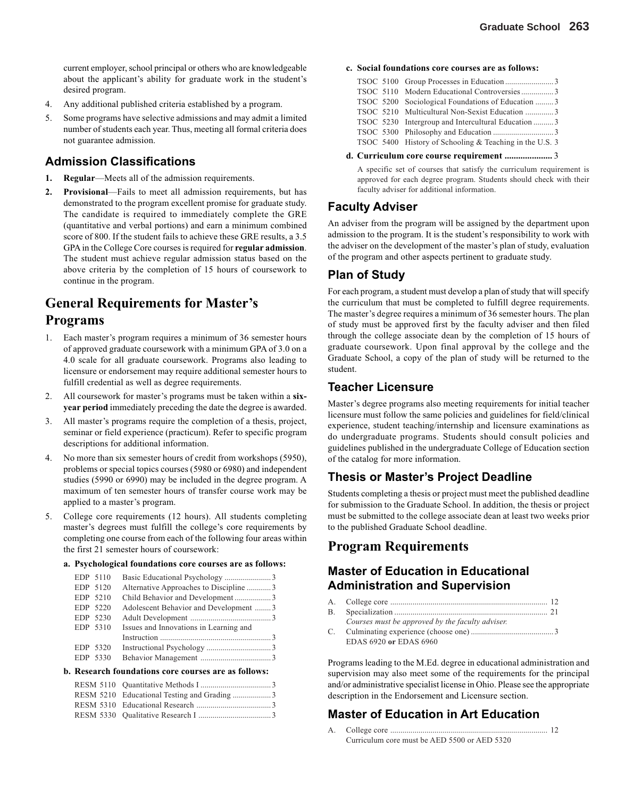current employer, school principal or others who are knowledgeable about the applicant's ability for graduate work in the student's desired program.

- 4. Any additional published criteria established by a program.
- 5. Some programs have selective admissions and may admit a limited number of students each year. Thus, meeting all formal criteria does not guarantee admission.

#### **Admission Classifications**

- **1. Regular**—Meets all of the admission requirements.
- **2. Provisional**—Fails to meet all admission requirements, but has demonstrated to the program excellent promise for graduate study. The candidate is required to immediately complete the GRE (quantitative and verbal portions) and earn a minimum combined score of 800. If the student fails to achieve these GRE results, a 3.5 GPA in the College Core courses is required for **regular admission**. The student must achieve regular admission status based on the above criteria by the completion of 15 hours of coursework to continue in the program.

# **General Requirements for Master's Programs**

- 1. Each master's program requires a minimum of 36 semester hours of approved graduate coursework with a minimum GPA of 3.0 on a 4.0 scale for all graduate coursework. Programs also leading to licensure or endorsement may require additional semester hours to fulfill credential as well as degree requirements.
- 2. All coursework for master's programs must be taken within a **sixyear period** immediately preceding the date the degree is awarded.
- 3. All master's programs require the completion of a thesis, project, seminar or field experience (practicum). Refer to specific program descriptions for additional information.
- 4. No more than six semester hours of credit from workshops (5950), problems or special topics courses (5980 or 6980) and independent studies (5990 or 6990) may be included in the degree program. A maximum of ten semester hours of transfer course work may be applied to a master's program.
- 5. College core requirements (12 hours). All students completing master's degrees must fulfill the college's core requirements by completing one course from each of the following four areas within the first 21 semester hours of coursework:

#### **a. Psychological foundations core courses are as follows:**

|  | EDP 5110 |                                        |  |
|--|----------|----------------------------------------|--|
|  | EDP 5120 | Alternative Approaches to Discipline 3 |  |
|  | EDP 5210 |                                        |  |
|  | EDP 5220 | Adolescent Behavior and Development 3  |  |
|  | EDP 5230 |                                        |  |
|  | EDP 5310 | Issues and Innovations in Learning and |  |
|  |          |                                        |  |
|  | EDP 5320 |                                        |  |
|  | EDP 5330 |                                        |  |
|  |          |                                        |  |

#### **b. Research foundations core courses are as follows:**

#### **c. Social foundations core courses are as follows:**

| TSOC 5110 Modern Educational Controversies3             |  |
|---------------------------------------------------------|--|
| TSOC 5200 Sociological Foundations of Education 3       |  |
| TSOC 5210 Multicultural Non-Sexist Education 3          |  |
| TSOC 5230 Intergroup and Intercultural Education 3      |  |
|                                                         |  |
| TSOC 5400 History of Schooling & Teaching in the U.S. 3 |  |

#### **d. Curriculum core course requirement .....................** 3

A specific set of courses that satisfy the curriculum requirement is approved for each degree program. Students should check with their faculty adviser for additional information.

#### **Faculty Adviser**

An adviser from the program will be assigned by the department upon admission to the program. It is the student's responsibility to work with the adviser on the development of the master's plan of study, evaluation of the program and other aspects pertinent to graduate study.

#### **Plan of Study**

For each program, a student must develop a plan of study that will specify the curriculum that must be completed to fulfill degree requirements. The master's degree requires a minimum of 36 semester hours. The plan of study must be approved first by the faculty adviser and then filed through the college associate dean by the completion of 15 hours of graduate coursework. Upon final approval by the college and the Graduate School, a copy of the plan of study will be returned to the student.

#### **Teacher Licensure**

Master's degree programs also meeting requirements for initial teacher licensure must follow the same policies and guidelines for field/clinical experience, student teaching/internship and licensure examinations as do undergraduate programs. Students should consult policies and guidelines published in the undergraduate College of Education section of the catalog for more information.

#### **Thesis or Master's Project Deadline**

Students completing a thesis or project must meet the published deadline for submission to the Graduate School. In addition, the thesis or project must be submitted to the college associate dean at least two weeks prior to the published Graduate School deadline.

### **Program Requirements**

#### **Master of Education in Educational Administration and Supervision**

| Courses must be approved by the faculty adviser. |  |
|--------------------------------------------------|--|
|                                                  |  |
| EDAS 6920 or EDAS 6960                           |  |

Programs leading to the M.Ed. degree in educational administration and supervision may also meet some of the requirements for the principal and/or administrative specialist license in Ohio. Please see the appropriate description in the Endorsement and Licensure section.

#### **Master of Education in Art Education**

A. College core .............................................................................. 12 Curriculum core must be AED 5500 or AED 5320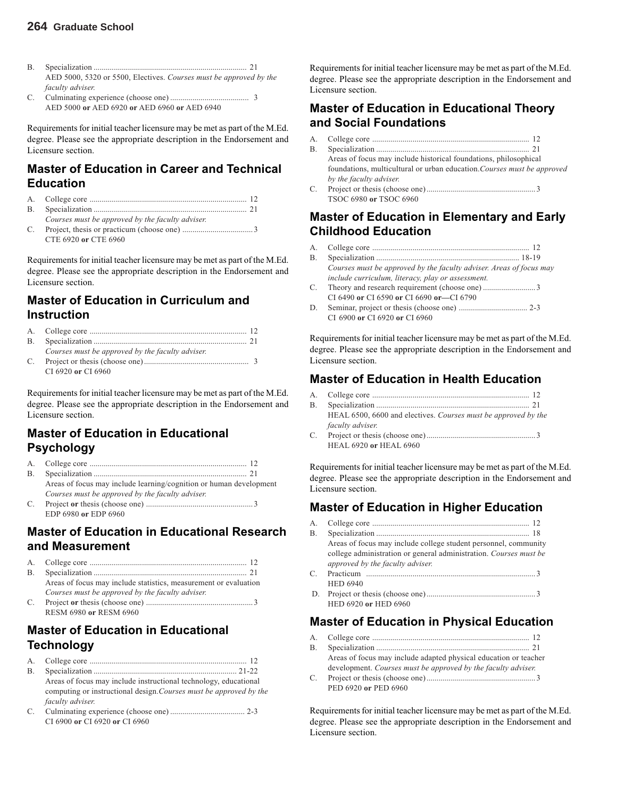- B. Specialization ............................................................................ 21 AED 5000, 5320 or 5500, Electives. *Courses must be approved by the faculty adviser.*
- C. Culminating experience (choose one) ....................................... 3 AED 5000 **or** AED 6920 **or** AED 6960 **or** AED 6940

Requirements for initial teacher licensure may be met as part of the M.Ed. degree. Please see the appropriate description in the Endorsement and Licensure section.

#### **Master of Education in Career and Technical Education**

- A. College core .............................................................................. 12
- B. Specialization ............................................................................ 21 *Courses must be approved by the faculty adviser.*
- C. Project, thesis or practicum (choose one) ...................................3 CTE 6920 **or** CTE 6960

Requirements for initial teacher licensure may be met as part of the M.Ed. degree. Please see the appropriate description in the Endorsement and Licensure section.

#### **Master of Education in Curriculum and Instruction**

| Courses must be approved by the faculty adviser. |  |
|--------------------------------------------------|--|
|                                                  |  |

CI 6920 **or** CI 6960

Requirements for initial teacher licensure may be met as part of the M.Ed. degree. Please see the appropriate description in the Endorsement and Licensure section.

### **Master of Education in Educational Psychology**

|    | Areas of focus may include learning/cognition or human development |  |
|----|--------------------------------------------------------------------|--|
|    | Courses must be approved by the faculty adviser.                   |  |
| C. |                                                                    |  |
|    | EDP 6980 or EDP 6960                                               |  |

#### **Master of Education in Educational Research and Measurement**

|             | Areas of focus may include statistics, measurement or evaluation |
|-------------|------------------------------------------------------------------|
|             | Courses must be approved by the faculty adviser.                 |
| $C_{\cdot}$ |                                                                  |
|             | RESM 6980 or RESM 6960                                           |

### **Master of Education in Educational Technology**

- A. College core .............................................................................. 12 B. Specialization ....................................................................... 21-22 Areas of focus may include instructional technology, educational computing or instructional design.*Courses must be approved by the faculty adviser.*
- C. Culminating experience (choose one) ..................................... 2-3 CI 6900 **or** CI 6920 **or** CI 6960

Requirements for initial teacher licensure may be met as part of the M.Ed. degree. Please see the appropriate description in the Endorsement and Licensure section.

#### **Master of Education in Educational Theory and Social Foundations**

- A. College core .............................................................................. 12
- B. Specialization ............................................................................ 21 Areas of focus may include historical foundations, philosophical foundations, multicultural or urban education.*Courses must be approved by the faculty adviser.* C. Project or thesis (choose one)...................................................... 3
- TSOC 6980 **or** TSOC 6960

### **Master of Education in Elementary and Early Childhood Education**

- A. College core .............................................................................. 12
- B. Specialization ....................................................................... 18-19 *Courses must be approved by the faculty adviser. Areas of focus may include curriculum, literacy, play or assessment.*
- C. Theory and research requirement (choose one) ..........................3 CI 6490 **or** CI 6590 **or** CI 6690 **or—**CI 6790
- D. Seminar, project or thesis (choose one) .................................. 2-3 CI 6900 **or** CI 6920 **or** CI 6960

Requirements for initial teacher licensure may be met as part of the M.Ed. degree. Please see the appropriate description in the Endorsement and Licensure section.

### **Master of Education in Health Education**

| R | Specialization Specialization Specialization Specialization |  |
|---|-------------------------------------------------------------|--|

- HEAL 6500, 6600 and electives. *Courses must be approved by the faculty adviser.*
- C. Project or thesis (choose one)...................................................... 3 HEAL 6920 **or** HEAL 6960

Requirements for initial teacher licensure may be met as part of the M.Ed. degree. Please see the appropriate description in the Endorsement and Licensure section.

### **Master of Education in Higher Education**

| A.           |                                                                   |
|--------------|-------------------------------------------------------------------|
| В.           |                                                                   |
|              | Areas of focus may include college student personnel, community   |
|              | college administration or general administration. Courses must be |
|              | approved by the faculty adviser.                                  |
| $\mathbf{C}$ |                                                                   |
|              | <b>HED 6940</b>                                                   |
|              |                                                                   |
|              | HED 6920 or HED 6960                                              |

### **Master of Education in Physical Education**

| Areas of focus may include adapted physical education or teacher |  |
|------------------------------------------------------------------|--|

- development. *Courses must be approved by the faculty adviser.* C. Project or thesis (choose one)...................................................... 3
- PED 6920 **or** PED 6960

Requirements for initial teacher licensure may be met as part of the M.Ed. degree. Please see the appropriate description in the Endorsement and Licensure section.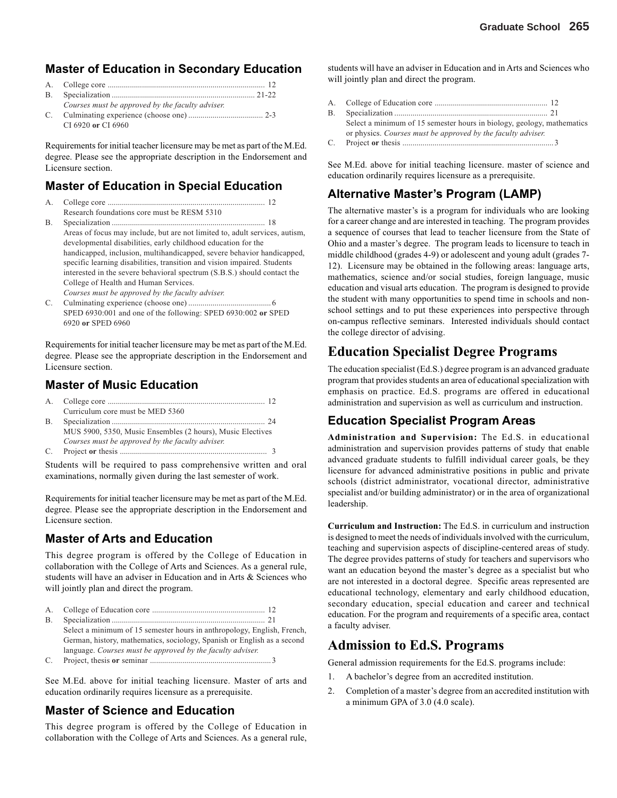#### **Master of Education in Secondary Education**

| Courses must be approved by the faculty adviser. |  |
|--------------------------------------------------|--|
|                                                  |  |
| CI 6920 or CI 6960                               |  |

Requirements for initial teacher licensure may be met as part of the M.Ed. degree. Please see the appropriate description in the Endorsement and Licensure section.

#### **Master of Education in Special Education**

- A. College core .............................................................................. 12
- Research foundations core must be RESM 5310 B. Specialization ............................................................................ 18 Areas of focus may include, but are not limited to, adult services, autism, developmental disabilities, early childhood education for the handicapped, inclusion, multihandicapped, severe behavior handicapped, specific learning disabilities, transition and vision impaired. Students interested in the severe behavioral spectrum (S.B.S.) should contact the College of Health and Human Services. *Courses must be approved by the faculty adviser.*

C. Culminating experience (choose one) .........................................6

SPED 6930:001 and one of the following: SPED 6930:002 **or** SPED 6920 **or** SPED 6960

Requirements for initial teacher licensure may be met as part of the M.Ed. degree. Please see the appropriate description in the Endorsement and Licensure section.

#### **Master of Music Education**

| Curriculum core must be MED 5360                           |  |
|------------------------------------------------------------|--|
|                                                            |  |
| MUS 5900, 5350, Music Ensembles (2 hours), Music Electives |  |
| Courses must be approved by the faculty adviser.           |  |
|                                                            |  |
|                                                            |  |

Students will be required to pass comprehensive written and oral examinations, normally given during the last semester of work.

Requirements for initial teacher licensure may be met as part of the M.Ed. degree. Please see the appropriate description in the Endorsement and Licensure section.

### **Master of Arts and Education**

This degree program is offered by the College of Education in collaboration with the College of Arts and Sciences. As a general rule, students will have an adviser in Education and in Arts & Sciences who will jointly plan and direct the program.

A. College of Education core ........................................................ 12 B. Specialization ............................................................................ 21 Select a minimum of 15 semester hours in anthropology, English, French, German, history, mathematics, sociology, Spanish or English as a second language. *Courses must be approved by the faculty adviser.* C. Project, thesis **or** seminar ............................................................ 3

See M.Ed. above for initial teaching licensure. Master of arts and education ordinarily requires licensure as a prerequisite.

#### **Master of Science and Education**

This degree program is offered by the College of Education in collaboration with the College of Arts and Sciences. As a general rule,

students will have an adviser in Education and in Arts and Sciences who will jointly plan and direct the program.

- A. College of Education core ........................................................ 12
- B. Specialization ............................................................................ 21 Select a minimum of 15 semester hours in biology, geology, mathematics or physics. *Courses must be approved by the faculty adviser.*
- C. Project **or** thesis ........................................................................... 3

See M.Ed. above for initial teaching licensure. master of science and education ordinarily requires licensure as a prerequisite.

#### **Alternative Master's Program (LAMP)**

The alternative master's is a program for individuals who are looking for a career change and are interested in teaching. The program provides a sequence of courses that lead to teacher licensure from the State of Ohio and a master's degree. The program leads to licensure to teach in middle childhood (grades 4-9) or adolescent and young adult (grades 7- 12). Licensure may be obtained in the following areas: language arts, mathematics, science and/or social studies, foreign language, music education and visual arts education. The program is designed to provide the student with many opportunities to spend time in schools and nonschool settings and to put these experiences into perspective through on-campus reflective seminars. Interested individuals should contact the college director of advising.

### **Education Specialist Degree Programs**

The education specialist (Ed.S.) degree program is an advanced graduate program that provides students an area of educational specialization with emphasis on practice. Ed.S. programs are offered in educational administration and supervision as well as curriculum and instruction.

#### **Education Specialist Program Areas**

**Administration and Supervision:** The Ed.S. in educational administration and supervision provides patterns of study that enable advanced graduate students to fulfill individual career goals, be they licensure for advanced administrative positions in public and private schools (district administrator, vocational director, administrative specialist and/or building administrator) or in the area of organizational leadership.

**Curriculum and Instruction:** The Ed.S. in curriculum and instruction is designed to meet the needs of individuals involved with the curriculum, teaching and supervision aspects of discipline-centered areas of study. The degree provides patterns of study for teachers and supervisors who want an education beyond the master's degree as a specialist but who are not interested in a doctoral degree. Specific areas represented are educational technology, elementary and early childhood education, secondary education, special education and career and technical education. For the program and requirements of a specific area, contact a faculty adviser.

### **Admission to Ed.S. Programs**

General admission requirements for the Ed.S. programs include:

- 1. A bachelor's degree from an accredited institution.
- 2. Completion of a master's degree from an accredited institution with a minimum GPA of 3.0 (4.0 scale).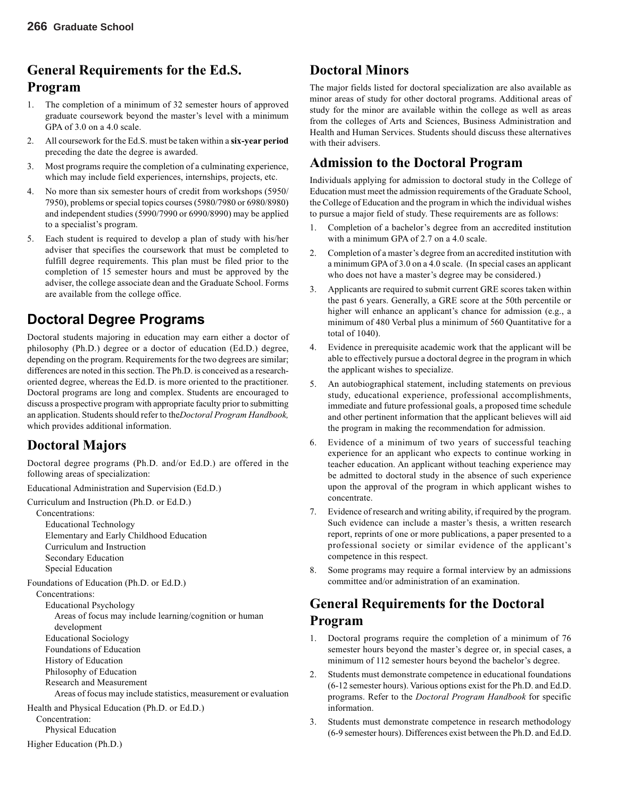# **General Requirements for the Ed.S. Program**

- 1. The completion of a minimum of 32 semester hours of approved graduate coursework beyond the master's level with a minimum GPA of 3.0 on a 4.0 scale.
- 2. All coursework for the Ed.S. must be taken within a **six-year period** preceding the date the degree is awarded.
- 3. Most programs require the completion of a culminating experience, which may include field experiences, internships, projects, etc.
- 4. No more than six semester hours of credit from workshops (5950/ 7950), problems or special topics courses (5980/7980 or 6980/8980) and independent studies (5990/7990 or 6990/8990) may be applied to a specialist's program.
- 5. Each student is required to develop a plan of study with his/her adviser that specifies the coursework that must be completed to fulfill degree requirements. This plan must be filed prior to the completion of 15 semester hours and must be approved by the adviser, the college associate dean and the Graduate School. Forms are available from the college office.

# **Doctoral Degree Programs**

Doctoral students majoring in education may earn either a doctor of philosophy (Ph.D.) degree or a doctor of education (Ed.D.) degree, depending on the program. Requirements for the two degrees are similar; differences are noted in this section. The Ph.D. is conceived as a researchoriented degree, whereas the Ed.D. is more oriented to the practitioner. Doctoral programs are long and complex. Students are encouraged to discuss a prospective program with appropriate faculty prior to submitting an application. Students should refer to the*Doctoral Program Handbook,* which provides additional information.

# **Doctoral Majors**

Doctoral degree programs (Ph.D. and/or Ed.D.) are offered in the following areas of specialization:

Educational Administration and Supervision (Ed.D.)

Curriculum and Instruction (Ph.D. or Ed.D.)

Concentrations: Educational Technology Elementary and Early Childhood Education Curriculum and Instruction Secondary Education

Special Education

Foundations of Education (Ph.D. or Ed.D.)

Concentrations:

Educational Psychology

Areas of focus may include learning/cognition or human development Educational Sociology Foundations of Education History of Education Philosophy of Education

Research and Measurement

Areas of focus may include statistics, measurement or evaluation

Health and Physical Education (Ph.D. or Ed.D.) Concentration:

Physical Education

Higher Education (Ph.D.)

# **Doctoral Minors**

The major fields listed for doctoral specialization are also available as minor areas of study for other doctoral programs. Additional areas of study for the minor are available within the college as well as areas from the colleges of Arts and Sciences, Business Administration and Health and Human Services. Students should discuss these alternatives with their advisers.

# **Admission to the Doctoral Program**

Individuals applying for admission to doctoral study in the College of Education must meet the admission requirements of the Graduate School, the College of Education and the program in which the individual wishes to pursue a major field of study. These requirements are as follows:

- 1. Completion of a bachelor's degree from an accredited institution with a minimum GPA of 2.7 on a 4.0 scale.
- 2. Completion of a master's degree from an accredited institution with a minimum GPA of 3.0 on a 4.0 scale. (In special cases an applicant who does not have a master's degree may be considered.)
- 3. Applicants are required to submit current GRE scores taken within the past 6 years. Generally, a GRE score at the 50th percentile or higher will enhance an applicant's chance for admission (e.g., a minimum of 480 Verbal plus a minimum of 560 Quantitative for a total of 1040).
- 4. Evidence in prerequisite academic work that the applicant will be able to effectively pursue a doctoral degree in the program in which the applicant wishes to specialize.
- 5. An autobiographical statement, including statements on previous study, educational experience, professional accomplishments, immediate and future professional goals, a proposed time schedule and other pertinent information that the applicant believes will aid the program in making the recommendation for admission.
- 6. Evidence of a minimum of two years of successful teaching experience for an applicant who expects to continue working in teacher education. An applicant without teaching experience may be admitted to doctoral study in the absence of such experience upon the approval of the program in which applicant wishes to concentrate.
- 7. Evidence of research and writing ability, if required by the program. Such evidence can include a master's thesis, a written research report, reprints of one or more publications, a paper presented to a professional society or similar evidence of the applicant's competence in this respect.
- 8. Some programs may require a formal interview by an admissions committee and/or administration of an examination.

# **General Requirements for the Doctoral Program**

- 1. Doctoral programs require the completion of a minimum of 76 semester hours beyond the master's degree or, in special cases, a minimum of 112 semester hours beyond the bachelor's degree.
- 2. Students must demonstrate competence in educational foundations (6-12 semester hours). Various options exist for the Ph.D. and Ed.D. programs. Refer to the *Doctoral Program Handbook* for specific information.
- 3. Students must demonstrate competence in research methodology (6-9 semester hours). Differences exist between the Ph.D. and Ed.D.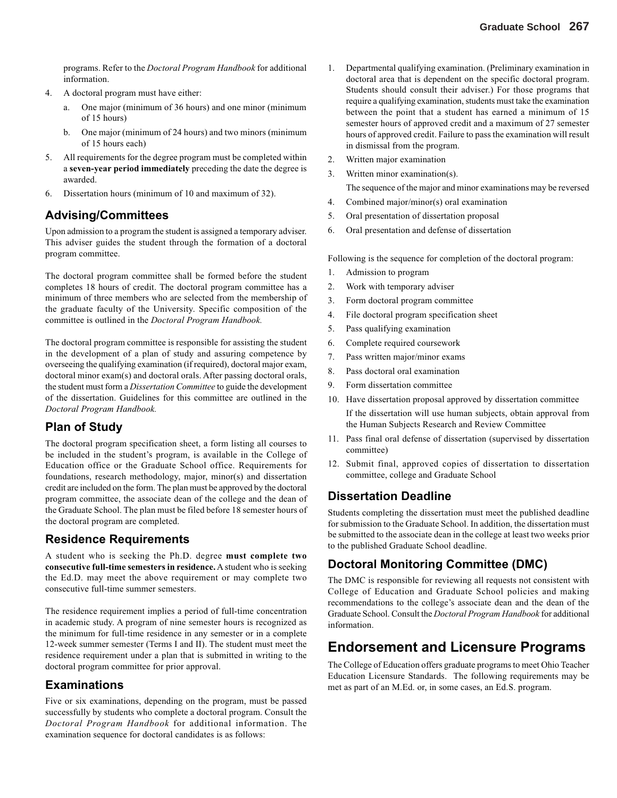programs. Refer to the *Doctoral Program Handbook* for additional information.

- 4. A doctoral program must have either:
	- a. One major (minimum of 36 hours) and one minor (minimum of 15 hours)
	- b. One major (minimum of 24 hours) and two minors (minimum of 15 hours each)
- 5. All requirements for the degree program must be completed within a **seven-year period immediately** preceding the date the degree is awarded.
- 6. Dissertation hours (minimum of 10 and maximum of 32).

#### **Advising/Committees**

Upon admission to a program the student is assigned a temporary adviser. This adviser guides the student through the formation of a doctoral program committee.

The doctoral program committee shall be formed before the student completes 18 hours of credit. The doctoral program committee has a minimum of three members who are selected from the membership of the graduate faculty of the University. Specific composition of the committee is outlined in the *Doctoral Program Handbook.*

The doctoral program committee is responsible for assisting the student in the development of a plan of study and assuring competence by overseeing the qualifying examination (if required), doctoral major exam, doctoral minor exam(s) and doctoral orals. After passing doctoral orals, the student must form a *Dissertation Committee* to guide the development of the dissertation. Guidelines for this committee are outlined in the *Doctoral Program Handbook.*

#### **Plan of Study**

The doctoral program specification sheet, a form listing all courses to be included in the student's program, is available in the College of Education office or the Graduate School office. Requirements for foundations, research methodology, major, minor(s) and dissertation credit are included on the form. The plan must be approved by the doctoral program committee, the associate dean of the college and the dean of the Graduate School. The plan must be filed before 18 semester hours of the doctoral program are completed.

#### **Residence Requirements**

A student who is seeking the Ph.D. degree **must complete two consecutive full-time semesters in residence.** A student who is seeking the Ed.D. may meet the above requirement or may complete two consecutive full-time summer semesters.

The residence requirement implies a period of full-time concentration in academic study. A program of nine semester hours is recognized as the minimum for full-time residence in any semester or in a complete 12-week summer semester (Terms I and II). The student must meet the residence requirement under a plan that is submitted in writing to the doctoral program committee for prior approval.

#### **Examinations**

Five or six examinations, depending on the program, must be passed successfully by students who complete a doctoral program. Consult the *Doctoral Program Handbook* for additional information. The examination sequence for doctoral candidates is as follows:

- 1. Departmental qualifying examination. (Preliminary examination in doctoral area that is dependent on the specific doctoral program. Students should consult their adviser.) For those programs that require a qualifying examination, students must take the examination between the point that a student has earned a minimum of 15 semester hours of approved credit and a maximum of 27 semester hours of approved credit. Failure to pass the examination will result in dismissal from the program.
- 2. Written major examination
- 3. Written minor examination(s).

The sequence of the major and minor examinations may be reversed

- 4. Combined major/minor(s) oral examination
- 5. Oral presentation of dissertation proposal
- 6. Oral presentation and defense of dissertation

Following is the sequence for completion of the doctoral program:

- 1. Admission to program
- 2. Work with temporary adviser
- 3. Form doctoral program committee
- 4. File doctoral program specification sheet
- 5. Pass qualifying examination
- 6. Complete required coursework
- 7. Pass written major/minor exams
- 8. Pass doctoral oral examination
- 9. Form dissertation committee
- 10. Have dissertation proposal approved by dissertation committee If the dissertation will use human subjects, obtain approval from the Human Subjects Research and Review Committee
- 11. Pass final oral defense of dissertation (supervised by dissertation committee)
- 12. Submit final, approved copies of dissertation to dissertation committee, college and Graduate School

#### **Dissertation Deadline**

Students completing the dissertation must meet the published deadline for submission to the Graduate School. In addition, the dissertation must be submitted to the associate dean in the college at least two weeks prior to the published Graduate School deadline.

#### **Doctoral Monitoring Committee (DMC)**

The DMC is responsible for reviewing all requests not consistent with College of Education and Graduate School policies and making recommendations to the college's associate dean and the dean of the Graduate School. Consult the *Doctoral Program Handbook* for additional information.

# **Endorsement and Licensure Programs**

The College of Education offers graduate programs to meet Ohio Teacher Education Licensure Standards. The following requirements may be met as part of an M.Ed. or, in some cases, an Ed.S. program.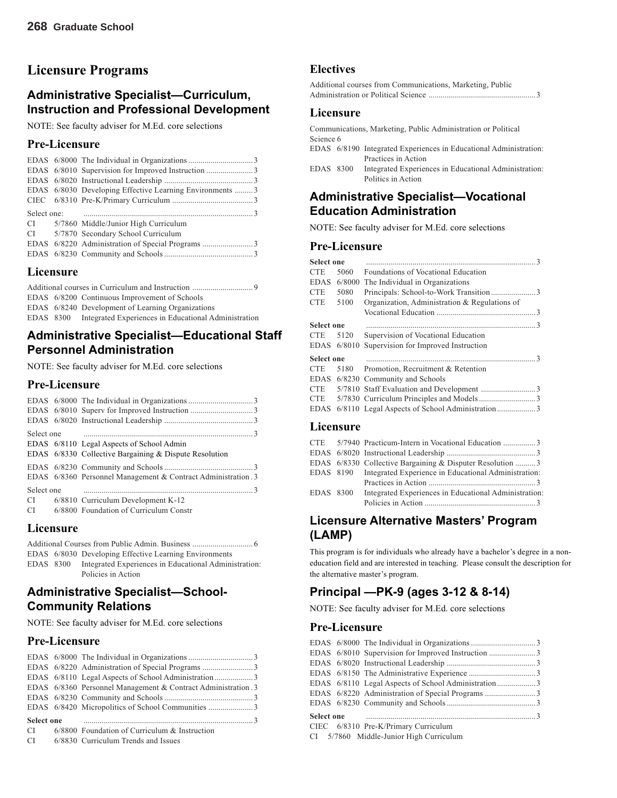# **Licensure Programs**

#### **Administrative Specialist—Curriculum, Instruction and Professional Development**

NOTE: See faculty adviser for M.Ed. core selections

#### **Pre-Licensure**

|  | EDAS 6/8030 Developing Effective Learning Environments 3 |  |
|--|----------------------------------------------------------|--|
|  |                                                          |  |
|  |                                                          |  |
|  |                                                          |  |
|  | CI 5/7860 Middle/Junior High Curriculum                  |  |
|  | CI 5/7870 Secondary School Curriculum                    |  |
|  |                                                          |  |
|  |                                                          |  |

#### **Licensure**

|  |  | EDAS 6/8200 Continuous Improvement of Schools                  |  |
|--|--|----------------------------------------------------------------|--|
|  |  | EDAS 6/8240 Development of Learning Organizations              |  |
|  |  | EDAS 8300 Integrated Experiences in Educational Administration |  |

#### **Administrative Specialist—Educational Staff Personnel Administration**

NOTE: See faculty adviser for M.Ed. core selections

#### **Pre-Licensure**

| Select one |                                                               |  |
|------------|---------------------------------------------------------------|--|
|            | EDAS 6/8110 Legal Aspects of School Admin                     |  |
|            | EDAS 6/8330 Collective Bargaining & Dispute Resolution        |  |
|            |                                                               |  |
|            | EDAS 6/8360 Personnel Management & Contract Administration .3 |  |
| Select one |                                                               |  |
| CI         | 6/8810 Curriculum Development K-12                            |  |
| CI         | 6/8800 Foundation of Curriculum Constr                        |  |
|            |                                                               |  |

#### **Licensure**

|  |           | EDAS 6/8030 Developing Effective Learning Environments |  |
|--|-----------|--------------------------------------------------------|--|
|  | EDAS 8300 | Integrated Experiences in Educational Administration:  |  |
|  |           | Policies in Action                                     |  |
|  |           |                                                        |  |

#### **Administrative Specialist—School-Community Relations**

NOTE: See faculty adviser for M.Ed. core selections

#### **Pre-Licensure**

|                   |  | EDAS 6/8360 Personnel Management & Contract Administration .3 |  |
|-------------------|--|---------------------------------------------------------------|--|
|                   |  |                                                               |  |
|                   |  |                                                               |  |
| <b>Select one</b> |  |                                                               |  |
|                   |  | $CI$ 6/8800 Foundation of Curriculum & Instruction            |  |
|                   |  | CI 6/8830 Curriculum Trends and Issues                        |  |

#### **Electives**

| Additional courses from Communications, Marketing, Public |
|-----------------------------------------------------------|
|                                                           |

#### **Licensure**

Communications, Marketing, Public Administration or Political Science 6

EDAS 6/8190 Integrated Experiences in Educational Administration: Practices in Action

EDAS 8300 Integrated Experiences in Educational Administration: Politics in Action

#### **Administrative Specialist—Vocational Education Administration**

NOTE: See faculty adviser for M.Ed. core selections

#### **Pre-Licensure**

| <b>Select one</b> |             | $\mathcal{R}$                                 |
|-------------------|-------------|-----------------------------------------------|
| <b>CTE</b>        | 5060        | Foundations of Vocational Education           |
| <b>EDAS</b>       | 6/8000      | The Individual in Organizations               |
| <b>CTE</b>        | 5080        |                                               |
| <b>CTE</b>        | 5100        | Organization, Administration & Regulations of |
|                   |             |                                               |
| <b>Select one</b> |             |                                               |
| CTE.              | 5120        | Supervision of Vocational Education           |
|                   | EDAS 6/8010 | Supervision for Improved Instruction          |
| <b>Select one</b> |             |                                               |
| <b>CTE</b>        | 5180        | Promotion, Recruitment & Retention            |
| EDAS              |             | 6/8230 Community and Schools                  |
| CTE.              |             |                                               |
| CTE.              |             |                                               |
| <b>EDAS</b>       |             |                                               |

#### **Licensure**

|           | CTE 5/7940 Practicum-Intern in Vocational Education 3          |  |
|-----------|----------------------------------------------------------------|--|
|           |                                                                |  |
|           | EDAS 6/8330 Collective Bargaining & Disputer Resolution 3      |  |
|           | EDAS 8190 Integrated Experience in Educational Administration: |  |
|           |                                                                |  |
| EDAS 8300 | Integrated Experiences in Educational Administration:          |  |
|           |                                                                |  |

#### **Licensure Alternative Masters' Program (LAMP)**

This program is for individuals who already have a bachelor's degree in a noneducation field and are interested in teaching. Please consult the description for the alternative master's program.

### **Principal —PK-9 (ages 3-12 & 8-14)**

NOTE: See faculty adviser for M.Ed. core selections

#### **Pre-Licensure**

|  | CIEC 6/8310 Pre-K/Primary Curriculum |  |
|--|--------------------------------------|--|

CI 5/7860 Middle-Junior High Curriculum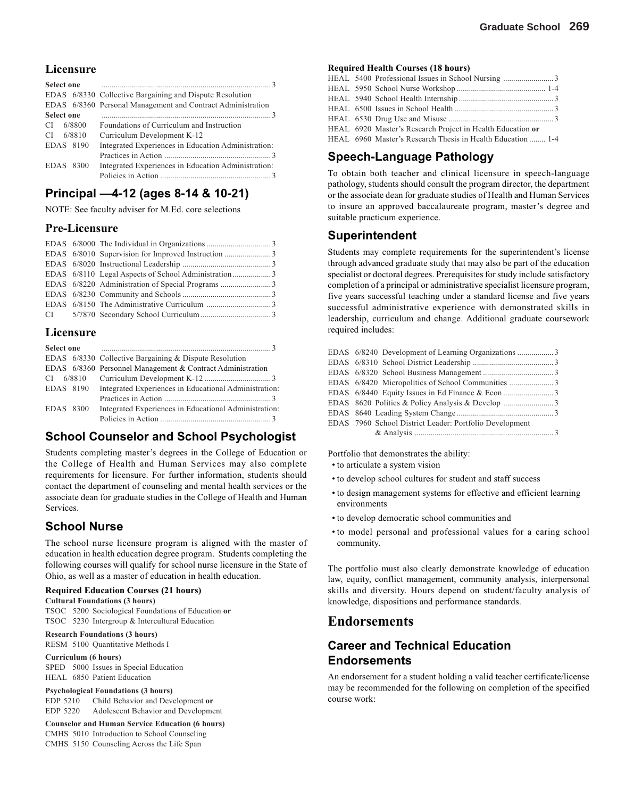#### **Licensure**

| <b>Select one</b> |                                                             |
|-------------------|-------------------------------------------------------------|
|                   | EDAS 6/8330 Collective Bargaining and Dispute Resolution    |
|                   | EDAS 6/8360 Personal Management and Contract Administration |
| <b>Select one</b> |                                                             |
| 6/8800<br>CI.     | Foundations of Curriculum and Instruction                   |
| 6/8810<br>CI.     | Curriculum Development K-12                                 |
| EDAS 8190         | Integrated Experiences in Education Administration:         |
|                   |                                                             |
| EDAS 8300         | Integrated Experiences in Education Administration:         |
|                   |                                                             |

#### **Principal —4-12 (ages 8-14 & 10-21)**

NOTE: See faculty adviser for M.Ed. core selections

#### **Pre-Licensure**

#### **Licensure**

| <b>Select one</b> |                                                            |
|-------------------|------------------------------------------------------------|
|                   | EDAS 6/8330 Collective Bargaining & Dispute Resolution     |
|                   | EDAS 6/8360 Personnel Management & Contract Administration |
|                   |                                                            |
| EDAS 8190         | Integrated Experiences in Educational Administration:      |
|                   |                                                            |
| EDAS 8300         | Integrated Experiences in Educational Administration:      |
|                   |                                                            |

#### **School Counselor and School Psychologist**

Students completing master's degrees in the College of Education or the College of Health and Human Services may also complete requirements for licensure. For further information, students should contact the department of counseling and mental health services or the associate dean for graduate studies in the College of Health and Human Services.

#### **School Nurse**

The school nurse licensure program is aligned with the master of education in health education degree program. Students completing the following courses will qualify for school nurse licensure in the State of Ohio, as well as a master of education in health education.

#### **Required Education Courses (21 hours)**

**Cultural Foundations (3 hours)** TSOC 5200 Sociological Foundations of Education **or** TSOC 5230 Intergroup & Intercultural Education

**Research Foundations (3 hours)** RESM 5100 Quantitative Methods I

**Curriculum (6 hours)** SPED 5000 Issues in Special Education HEAL 6850 Patient Education

**Psychological Foundations (3 hours)** EDP 5210 Child Behavior and Development **or** EDP 5220 Adolescent Behavior and Development

**Counselor and Human Service Education (6 hours)** CMHS 5010 Introduction to School Counseling CMHS 5150 Counseling Across the Life Span

#### **Required Health Courses (18 hours)**

|  | HEAL 6920 Master's Research Project in Health Education or  |
|--|-------------------------------------------------------------|
|  | HEAL 6960 Master's Research Thesis in Health Education  1-4 |

#### **Speech-Language Pathology**

To obtain both teacher and clinical licensure in speech-language pathology, students should consult the program director, the department or the associate dean for graduate studies of Health and Human Services to insure an approved baccalaureate program, master's degree and suitable practicum experience.

#### **Superintendent**

Students may complete requirements for the superintendent's license through advanced graduate study that may also be part of the education specialist or doctoral degrees. Prerequisites for study include satisfactory completion of a principal or administrative specialist licensure program, five years successful teaching under a standard license and five years successful administrative experience with demonstrated skills in leadership, curriculum and change. Additional graduate coursework required includes:

| EDAS 6/8240 Development of Learning Organizations 3     |  |
|---------------------------------------------------------|--|
|                                                         |  |
|                                                         |  |
| EDAS 6/8420 Micropolitics of School Communities 3       |  |
|                                                         |  |
|                                                         |  |
|                                                         |  |
| EDAS 7960 School District Leader: Portfolio Development |  |
|                                                         |  |

Portfolio that demonstrates the ability:

- to articulate a system vision
- to develop school cultures for student and staff success
- to design management systems for effective and efficient learning environments
- to develop democratic school communities and
- to model personal and professional values for a caring school community.

The portfolio must also clearly demonstrate knowledge of education law, equity, conflict management, community analysis, interpersonal skills and diversity. Hours depend on student/faculty analysis of knowledge, dispositions and performance standards.

#### **Endorsements**

#### **Career and Technical Education Endorsements**

An endorsement for a student holding a valid teacher certificate/license may be recommended for the following on completion of the specified course work: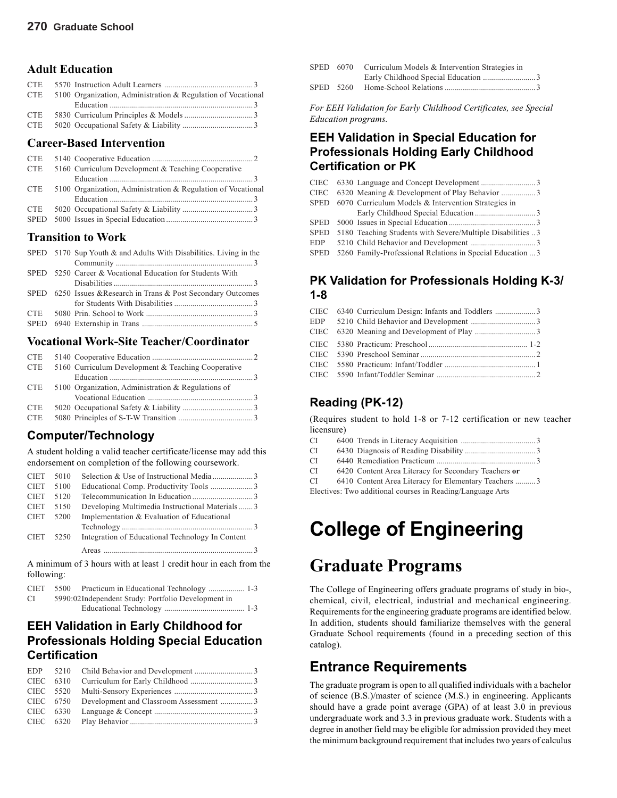#### **Adult Education**

| <b>CTE</b> |                                                              |  |
|------------|--------------------------------------------------------------|--|
| <b>CTE</b> | 5100 Organization, Administration & Regulation of Vocational |  |
|            |                                                              |  |
| <b>CTE</b> |                                                              |  |
| <b>CTE</b> |                                                              |  |

#### **Career-Based Intervention**

| <b>CTE</b>  |                                                              |  |
|-------------|--------------------------------------------------------------|--|
| <b>CTE</b>  | 5160 Curriculum Development & Teaching Cooperative           |  |
|             |                                                              |  |
| <b>CTE</b>  | 5100 Organization, Administration & Regulation of Vocational |  |
|             |                                                              |  |
| <b>CTE</b>  |                                                              |  |
| <b>SPED</b> |                                                              |  |

#### **Transition to Work**

|  | SPED 5170 Sup Youth & and Adults With Disabilities. Living in the |
|--|-------------------------------------------------------------------|
|  |                                                                   |
|  | SPED 5250 Career & Vocational Education for Students With         |
|  |                                                                   |
|  | SPED 6250 Issues & Research in Trans & Post Secondary Outcomes    |
|  |                                                                   |
|  |                                                                   |
|  |                                                                   |
|  |                                                                   |

#### **Vocational Work-Site Teacher/Coordinator**

| <b>CTE</b> |                                                    |  |
|------------|----------------------------------------------------|--|
| <b>CTE</b> | 5160 Curriculum Development & Teaching Cooperative |  |
|            |                                                    |  |
| <b>CTE</b> | 5100 Organization, Administration & Regulations of |  |
|            |                                                    |  |
| <b>CTE</b> |                                                    |  |
| <b>CTE</b> |                                                    |  |

#### **Computer/Technology**

A student holding a valid teacher certificate/license may add this endorsement on completion of the following coursework.

| <b>CIET</b> | 5010 |                                                  |  |
|-------------|------|--------------------------------------------------|--|
| <b>CIET</b> | 5100 |                                                  |  |
| <b>CIET</b> | 5120 |                                                  |  |
| <b>CIET</b> | 5150 | Developing Multimedia Instructional Materials3   |  |
| <b>CIET</b> | 5200 | Implementation & Evaluation of Educational       |  |
|             |      |                                                  |  |
| <b>CIET</b> | 5250 | Integration of Educational Technology In Content |  |
|             |      |                                                  |  |

A minimum of 3 hours with at least 1 credit hour in each from the following:

|    | CIET 5500 Practicum in Educational Technology  1-3 |  |
|----|----------------------------------------------------|--|
| СI | 5990:02Independent Study: Portfolio Development in |  |
|    |                                                    |  |

### **EEH Validation in Early Childhood for Professionals Holding Special Education Certification**

|  | CIEC 6750 Development and Classroom Assessment 3 |  |
|--|--------------------------------------------------|--|
|  |                                                  |  |
|  |                                                  |  |

|           | SPED 6070 Curriculum Models & Intervention Strategies in |  |
|-----------|----------------------------------------------------------|--|
|           |                                                          |  |
| SPED 5260 |                                                          |  |

*For EEH Validation for Early Childhood Certificates, see Special Education programs.*

### **EEH Validation in Special Education for Professionals Holding Early Childhood Certification or PK**

|  | CIEC 6320 Meaning & Development of Play Behavior 3              |
|--|-----------------------------------------------------------------|
|  | SPED 6070 Curriculum Models & Intervention Strategies in        |
|  |                                                                 |
|  |                                                                 |
|  | SPED 5180 Teaching Students with Severe/Multiple Disabilities 3 |
|  |                                                                 |
|  | SPED 5260 Family-Professional Relations in Special Education  3 |

#### **PK Validation for Professionals Holding K-3/ 1-8**

|  | CIEC 6340 Curriculum Design: Infants and Toddlers 3 |  |
|--|-----------------------------------------------------|--|
|  |                                                     |  |
|  |                                                     |  |
|  |                                                     |  |
|  |                                                     |  |
|  |                                                     |  |
|  |                                                     |  |
|  |                                                     |  |

### **Reading (PK-12)**

(Requires student to hold 1-8 or 7-12 certification or new teacher licensure)

- CI 6400 Trends in Literacy Acquisition ..................................... 3
- CI 6430 Diagnosis of Reading Disability ...................................3
- CI 6440 Remediation Practicum ................................................. 3
- CI 6420 Content Area Literacy for Secondary Teachers **or**

CI 6410 Content Area Literacy for Elementary Teachers .......... 3

Electives: Two additional courses in Reading/Language Arts

# **College of Engineering**

# **Graduate Programs**

The College of Engineering offers graduate programs of study in bio-, chemical, civil, electrical, industrial and mechanical engineering. Requirements for the engineering graduate programs are identified below. In addition, students should familiarize themselves with the general Graduate School requirements (found in a preceding section of this catalog).

# **Entrance Requirements**

The graduate program is open to all qualified individuals with a bachelor of science (B.S.)/master of science (M.S.) in engineering. Applicants should have a grade point average (GPA) of at least 3.0 in previous undergraduate work and 3.3 in previous graduate work. Students with a degree in another field may be eligible for admission provided they meet the minimum background requirement that includes two years of calculus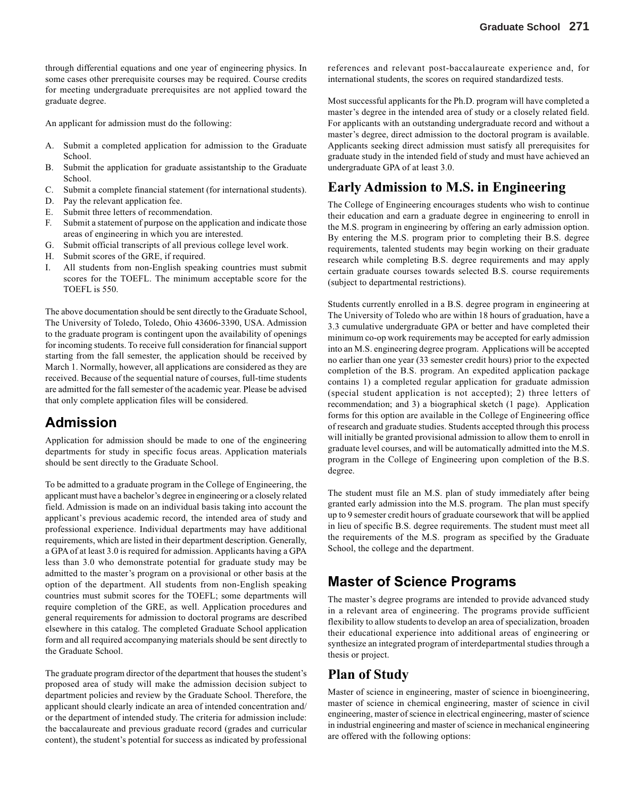through differential equations and one year of engineering physics. In some cases other prerequisite courses may be required. Course credits for meeting undergraduate prerequisites are not applied toward the graduate degree.

An applicant for admission must do the following:

- A. Submit a completed application for admission to the Graduate School.
- B. Submit the application for graduate assistantship to the Graduate School.
- C. Submit a complete financial statement (for international students).
- D. Pay the relevant application fee.
- E. Submit three letters of recommendation.
- F. Submit a statement of purpose on the application and indicate those areas of engineering in which you are interested.
- G. Submit official transcripts of all previous college level work.
- H. Submit scores of the GRE, if required.
- I. All students from non-English speaking countries must submit scores for the TOEFL. The minimum acceptable score for the TOEFL is 550.

The above documentation should be sent directly to the Graduate School, The University of Toledo, Toledo, Ohio 43606-3390, USA. Admission to the graduate program is contingent upon the availability of openings for incoming students. To receive full consideration for financial support starting from the fall semester, the application should be received by March 1. Normally, however, all applications are considered as they are received. Because of the sequential nature of courses, full-time students are admitted for the fall semester of the academic year. Please be advised that only complete application files will be considered.

### **Admission**

Application for admission should be made to one of the engineering departments for study in specific focus areas. Application materials should be sent directly to the Graduate School.

To be admitted to a graduate program in the College of Engineering, the applicant must have a bachelor's degree in engineering or a closely related field. Admission is made on an individual basis taking into account the applicant's previous academic record, the intended area of study and professional experience. Individual departments may have additional requirements, which are listed in their department description. Generally, a GPA of at least 3.0 is required for admission. Applicants having a GPA less than 3.0 who demonstrate potential for graduate study may be admitted to the master's program on a provisional or other basis at the option of the department. All students from non-English speaking countries must submit scores for the TOEFL; some departments will require completion of the GRE, as well. Application procedures and general requirements for admission to doctoral programs are described elsewhere in this catalog. The completed Graduate School application form and all required accompanying materials should be sent directly to the Graduate School.

The graduate program director of the department that houses the student's proposed area of study will make the admission decision subject to department policies and review by the Graduate School. Therefore, the applicant should clearly indicate an area of intended concentration and/ or the department of intended study. The criteria for admission include: the baccalaureate and previous graduate record (grades and curricular content), the student's potential for success as indicated by professional references and relevant post-baccalaureate experience and, for international students, the scores on required standardized tests.

Most successful applicants for the Ph.D. program will have completed a master's degree in the intended area of study or a closely related field. For applicants with an outstanding undergraduate record and without a master's degree, direct admission to the doctoral program is available. Applicants seeking direct admission must satisfy all prerequisites for graduate study in the intended field of study and must have achieved an undergraduate GPA of at least 3.0.

#### **Early Admission to M.S. in Engineering**

The College of Engineering encourages students who wish to continue their education and earn a graduate degree in engineering to enroll in the M.S. program in engineering by offering an early admission option. By entering the M.S. program prior to completing their B.S. degree requirements, talented students may begin working on their graduate research while completing B.S. degree requirements and may apply certain graduate courses towards selected B.S. course requirements (subject to departmental restrictions).

Students currently enrolled in a B.S. degree program in engineering at The University of Toledo who are within 18 hours of graduation, have a 3.3 cumulative undergraduate GPA or better and have completed their minimum co-op work requirements may be accepted for early admission into an M.S. engineering degree program. Applications will be accepted no earlier than one year (33 semester credit hours) prior to the expected completion of the B.S. program. An expedited application package contains 1) a completed regular application for graduate admission (special student application is not accepted); 2) three letters of recommendation; and 3) a biographical sketch (1 page). Application forms for this option are available in the College of Engineering office of research and graduate studies. Students accepted through this process will initially be granted provisional admission to allow them to enroll in graduate level courses, and will be automatically admitted into the M.S. program in the College of Engineering upon completion of the B.S. degree.

The student must file an M.S. plan of study immediately after being granted early admission into the M.S. program. The plan must specify up to 9 semester credit hours of graduate coursework that will be applied in lieu of specific B.S. degree requirements. The student must meet all the requirements of the M.S. program as specified by the Graduate School, the college and the department.

### **Master of Science Programs**

The master's degree programs are intended to provide advanced study in a relevant area of engineering. The programs provide sufficient flexibility to allow students to develop an area of specialization, broaden their educational experience into additional areas of engineering or synthesize an integrated program of interdepartmental studies through a thesis or project.

#### **Plan of Study**

Master of science in engineering, master of science in bioengineering, master of science in chemical engineering, master of science in civil engineering, master of science in electrical engineering, master of science in industrial engineering and master of science in mechanical engineering are offered with the following options: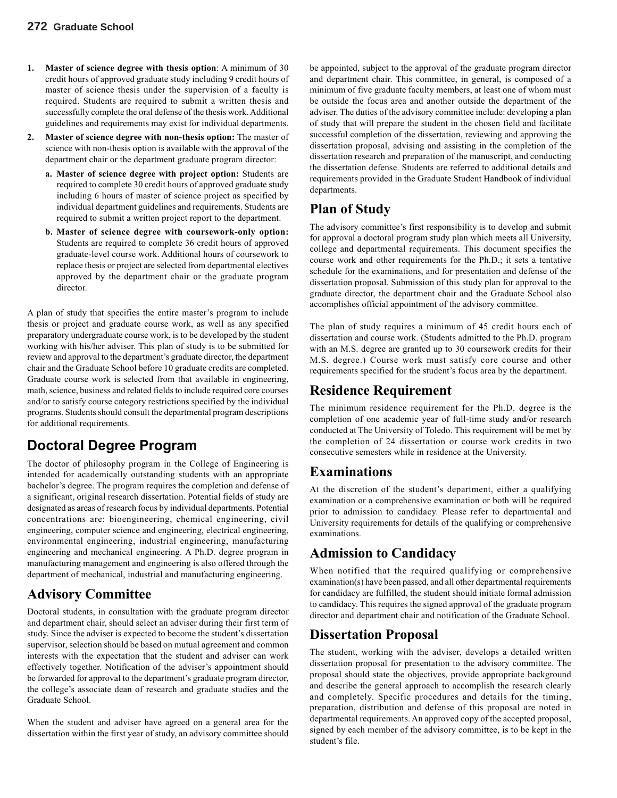- **1. Master of science degree with thesis option**: A minimum of 30 credit hours of approved graduate study including 9 credit hours of master of science thesis under the supervision of a faculty is required. Students are required to submit a written thesis and successfully complete the oral defense of the thesis work. Additional guidelines and requirements may exist for individual departments.
- **2. Master of science degree with non-thesis option:** The master of science with non-thesis option is available with the approval of the department chair or the department graduate program director:
	- **a. Master of science degree with project option:** Students are required to complete 30 credit hours of approved graduate study including 6 hours of master of science project as specified by individual department guidelines and requirements. Students are required to submit a written project report to the department.
	- **b. Master of science degree with coursework-only option:** Students are required to complete 36 credit hours of approved graduate-level course work. Additional hours of coursework to replace thesis or project are selected from departmental electives approved by the department chair or the graduate program director.

A plan of study that specifies the entire master's program to include thesis or project and graduate course work, as well as any specified preparatory undergraduate course work, is to be developed by the student working with his/her adviser. This plan of study is to be submitted for review and approval to the department's graduate director, the department chair and the Graduate School before 10 graduate credits are completed. Graduate course work is selected from that available in engineering, math, science, business and related fields to include required core courses and/or to satisfy course category restrictions specified by the individual programs. Students should consult the departmental program descriptions for additional requirements.

# **Doctoral Degree Program**

The doctor of philosophy program in the College of Engineering is intended for academically outstanding students with an appropriate bachelor's degree. The program requires the completion and defense of a significant, original research dissertation. Potential fields of study are designated as areas of research focus by individual departments. Potential concentrations are: bioengineering, chemical engineering, civil engineering, computer science and engineering, electrical engineering, environmental engineering, industrial engineering, manufacturing engineering and mechanical engineering. A Ph.D. degree program in manufacturing management and engineering is also offered through the department of mechanical, industrial and manufacturing engineering.

### **Advisory Committee**

Doctoral students, in consultation with the graduate program director and department chair, should select an adviser during their first term of study. Since the adviser is expected to become the student's dissertation supervisor, selection should be based on mutual agreement and common interests with the expectation that the student and adviser can work effectively together. Notification of the adviser's appointment should be forwarded for approval to the department's graduate program director, the college's associate dean of research and graduate studies and the Graduate School.

When the student and adviser have agreed on a general area for the dissertation within the first year of study, an advisory committee should be appointed, subject to the approval of the graduate program director and department chair. This committee, in general, is composed of a minimum of five graduate faculty members, at least one of whom must be outside the focus area and another outside the department of the adviser. The duties of the advisory committee include: developing a plan of study that will prepare the student in the chosen field and facilitate successful completion of the dissertation, reviewing and approving the dissertation proposal, advising and assisting in the completion of the dissertation research and preparation of the manuscript, and conducting the dissertation defense. Students are referred to additional details and requirements provided in the Graduate Student Handbook of individual departments.

# **Plan of Study**

The advisory committee's first responsibility is to develop and submit for approval a doctoral program study plan which meets all University, college and departmental requirements. This document specifies the course work and other requirements for the Ph.D.; it sets a tentative schedule for the examinations, and for presentation and defense of the dissertation proposal. Submission of this study plan for approval to the graduate director, the department chair and the Graduate School also accomplishes official appointment of the advisory committee.

The plan of study requires a minimum of 45 credit hours each of dissertation and course work. (Students admitted to the Ph.D. program with an M.S. degree are granted up to 30 coursework credits for their M.S. degree.) Course work must satisfy core course and other requirements specified for the student's focus area by the department.

### **Residence Requirement**

The minimum residence requirement for the Ph.D. degree is the completion of one academic year of full-time study and/or research conducted at The University of Toledo. This requirement will be met by the completion of 24 dissertation or course work credits in two consecutive semesters while in residence at the University.

### **Examinations**

At the discretion of the student's department, either a qualifying examination or a comprehensive examination or both will be required prior to admission to candidacy. Please refer to departmental and University requirements for details of the qualifying or comprehensive examinations.

# **Admission to Candidacy**

When notified that the required qualifying or comprehensive examination(s) have been passed, and all other departmental requirements for candidacy are fulfilled, the student should initiate formal admission to candidacy. This requires the signed approval of the graduate program director and department chair and notification of the Graduate School.

### **Dissertation Proposal**

The student, working with the adviser, develops a detailed written dissertation proposal for presentation to the advisory committee. The proposal should state the objectives, provide appropriate background and describe the general approach to accomplish the research clearly and completely. Specific procedures and details for the timing, preparation, distribution and defense of this proposal are noted in departmental requirements. An approved copy of the accepted proposal, signed by each member of the advisory committee, is to be kept in the student's file.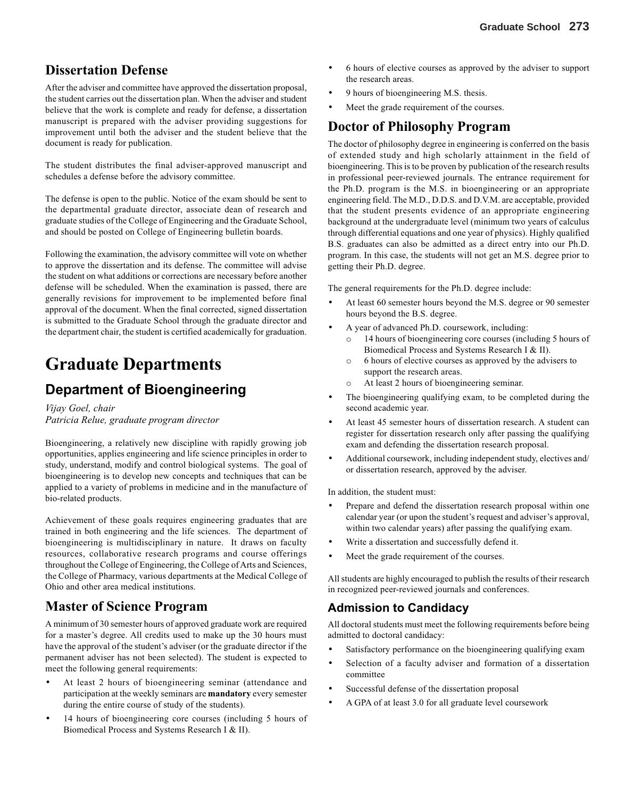### **Dissertation Defense**

After the adviser and committee have approved the dissertation proposal, the student carries out the dissertation plan. When the adviser and student believe that the work is complete and ready for defense, a dissertation manuscript is prepared with the adviser providing suggestions for improvement until both the adviser and the student believe that the document is ready for publication.

The student distributes the final adviser-approved manuscript and schedules a defense before the advisory committee.

The defense is open to the public. Notice of the exam should be sent to the departmental graduate director, associate dean of research and graduate studies of the College of Engineering and the Graduate School, and should be posted on College of Engineering bulletin boards.

Following the examination, the advisory committee will vote on whether to approve the dissertation and its defense. The committee will advise the student on what additions or corrections are necessary before another defense will be scheduled. When the examination is passed, there are generally revisions for improvement to be implemented before final approval of the document. When the final corrected, signed dissertation is submitted to the Graduate School through the graduate director and the department chair, the student is certified academically for graduation.

# **Graduate Departments**

# **Department of Bioengineering**

*Vijay Goel, chair Patricia Relue, graduate program director*

Bioengineering, a relatively new discipline with rapidly growing job opportunities, applies engineering and life science principles in order to study, understand, modify and control biological systems. The goal of bioengineering is to develop new concepts and techniques that can be applied to a variety of problems in medicine and in the manufacture of bio-related products.

Achievement of these goals requires engineering graduates that are trained in both engineering and the life sciences. The department of bioengineering is multidisciplinary in nature. It draws on faculty resources, collaborative research programs and course offerings throughout the College of Engineering, the College of Arts and Sciences, the College of Pharmacy, various departments at the Medical College of Ohio and other area medical institutions.

### **Master of Science Program**

A minimum of 30 semester hours of approved graduate work are required for a master's degree. All credits used to make up the 30 hours must have the approval of the student's adviser (or the graduate director if the permanent adviser has not been selected). The student is expected to meet the following general requirements:

- At least 2 hours of bioengineering seminar (attendance and participation at the weekly seminars are **mandatory** every semester during the entire course of study of the students).
- 14 hours of bioengineering core courses (including 5 hours of Biomedical Process and Systems Research I & II).
- 6 hours of elective courses as approved by the adviser to support the research areas.
- 9 hours of bioengineering M.S. thesis.
- Meet the grade requirement of the courses.

# **Doctor of Philosophy Program**

The doctor of philosophy degree in engineering is conferred on the basis of extended study and high scholarly attainment in the field of bioengineering. This is to be proven by publication of the research results in professional peer-reviewed journals. The entrance requirement for the Ph.D. program is the M.S. in bioengineering or an appropriate engineering field. The M.D., D.D.S. and D.V.M. are acceptable, provided that the student presents evidence of an appropriate engineering background at the undergraduate level (minimum two years of calculus through differential equations and one year of physics). Highly qualified B.S. graduates can also be admitted as a direct entry into our Ph.D. program. In this case, the students will not get an M.S. degree prior to getting their Ph.D. degree.

The general requirements for the Ph.D. degree include:

- At least 60 semester hours beyond the M.S. degree or 90 semester hours beyond the B.S. degree.
- A year of advanced Ph.D. coursework, including:
	- o 14 hours of bioengineering core courses (including 5 hours of Biomedical Process and Systems Research I & II).
	- o 6 hours of elective courses as approved by the advisers to support the research areas.
	- o At least 2 hours of bioengineering seminar.
- The bioengineering qualifying exam, to be completed during the second academic year.
- At least 45 semester hours of dissertation research. A student can register for dissertation research only after passing the qualifying exam and defending the dissertation research proposal.
- Additional coursework, including independent study, electives and/ or dissertation research, approved by the adviser.

In addition, the student must:

- Prepare and defend the dissertation research proposal within one calendar year (or upon the student's request and adviser's approval, within two calendar years) after passing the qualifying exam.
- Write a dissertation and successfully defend it.
- Meet the grade requirement of the courses.

All students are highly encouraged to publish the results of their research in recognized peer-reviewed journals and conferences.

#### **Admission to Candidacy**

All doctoral students must meet the following requirements before being admitted to doctoral candidacy:

- Satisfactory performance on the bioengineering qualifying exam
- Selection of a faculty adviser and formation of a dissertation committee
- Successful defense of the dissertation proposal
- A GPA of at least 3.0 for all graduate level coursework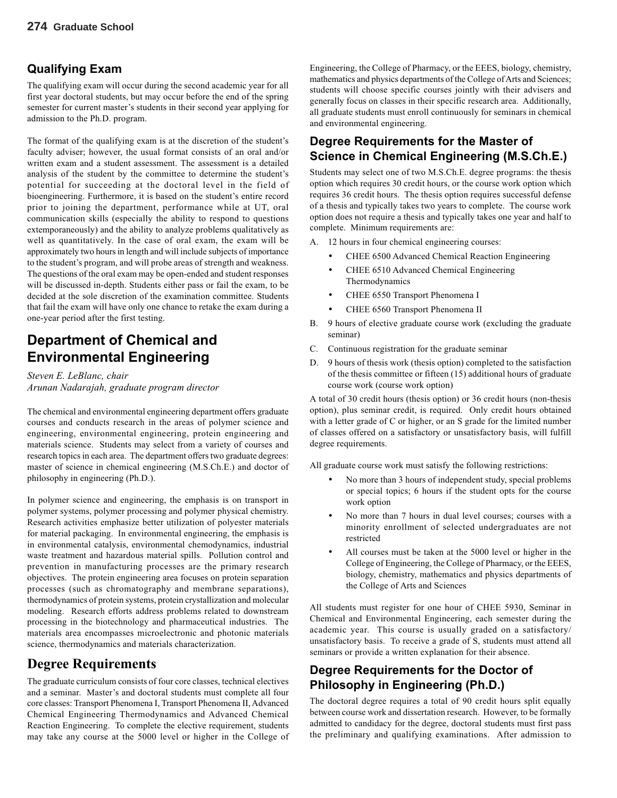### **Qualifying Exam**

The qualifying exam will occur during the second academic year for all first year doctoral students, but may occur before the end of the spring semester for current master's students in their second year applying for admission to the Ph.D. program.

The format of the qualifying exam is at the discretion of the student's faculty adviser; however, the usual format consists of an oral and/or written exam and a student assessment. The assessment is a detailed analysis of the student by the committee to determine the student's potential for succeeding at the doctoral level in the field of bioengineering. Furthermore, it is based on the student's entire record prior to joining the department, performance while at UT, oral communication skills (especially the ability to respond to questions extemporaneously) and the ability to analyze problems qualitatively as well as quantitatively. In the case of oral exam, the exam will be approximately two hours in length and will include subjects of importance to the student's program, and will probe areas of strength and weakness. The questions of the oral exam may be open-ended and student responses will be discussed in-depth. Students either pass or fail the exam, to be decided at the sole discretion of the examination committee. Students that fail the exam will have only one chance to retake the exam during a one-year period after the first testing.

# **Department of Chemical and Environmental Engineering**

*Steven E. LeBlanc, chair Arunan Nadarajah, graduate program director*

The chemical and environmental engineering department offers graduate courses and conducts research in the areas of polymer science and engineering, environmental engineering, protein engineering and materials science. Students may select from a variety of courses and research topics in each area. The department offers two graduate degrees: master of science in chemical engineering (M.S.Ch.E.) and doctor of philosophy in engineering (Ph.D.).

In polymer science and engineering, the emphasis is on transport in polymer systems, polymer processing and polymer physical chemistry. Research activities emphasize better utilization of polyester materials for material packaging. In environmental engineering, the emphasis is in environmental catalysis, environmental chemodynamics, industrial waste treatment and hazardous material spills. Pollution control and prevention in manufacturing processes are the primary research objectives. The protein engineering area focuses on protein separation processes (such as chromatography and membrane separations), thermodynamics of protein systems, protein crystallization and molecular modeling. Research efforts address problems related to downstream processing in the biotechnology and pharmaceutical industries. The materials area encompasses microelectronic and photonic materials science, thermodynamics and materials characterization.

### **Degree Requirements**

The graduate curriculum consists of four core classes, technical electives and a seminar. Master's and doctoral students must complete all four core classes: Transport Phenomena I, Transport Phenomena II, Advanced Chemical Engineering Thermodynamics and Advanced Chemical Reaction Engineering. To complete the elective requirement, students may take any course at the 5000 level or higher in the College of Engineering, the College of Pharmacy, or the EEES, biology, chemistry, mathematics and physics departments of the College of Arts and Sciences; students will choose specific courses jointly with their advisers and generally focus on classes in their specific research area. Additionally, all graduate students must enroll continuously for seminars in chemical and environmental engineering.

#### **Degree Requirements for the Master of Science in Chemical Engineering (M.S.Ch.E.)**

Students may select one of two M.S.Ch.E. degree programs: the thesis option which requires 30 credit hours, or the course work option which requires 36 credit hours. The thesis option requires successful defense of a thesis and typically takes two years to complete. The course work option does not require a thesis and typically takes one year and half to complete. Minimum requirements are:

- A. 12 hours in four chemical engineering courses:
	- CHEE 6500 Advanced Chemical Reaction Engineering
	- CHEE 6510 Advanced Chemical Engineering Thermodynamics
	- CHEE 6550 Transport Phenomena I
	- CHEE 6560 Transport Phenomena II
- B. 9 hours of elective graduate course work (excluding the graduate seminar)
- C. Continuous registration for the graduate seminar
- D. 9 hours of thesis work (thesis option) completed to the satisfaction of the thesis committee or fifteen (15) additional hours of graduate course work (course work option)

A total of 30 credit hours (thesis option) or 36 credit hours (non-thesis option), plus seminar credit, is required. Only credit hours obtained with a letter grade of C or higher, or an S grade for the limited number of classes offered on a satisfactory or unsatisfactory basis, will fulfill degree requirements.

All graduate course work must satisfy the following restrictions:

- No more than 3 hours of independent study, special problems or special topics; 6 hours if the student opts for the course work option
- No more than 7 hours in dual level courses; courses with a minority enrollment of selected undergraduates are not restricted
- All courses must be taken at the 5000 level or higher in the College of Engineering, the College of Pharmacy, or the EEES, biology, chemistry, mathematics and physics departments of the College of Arts and Sciences

All students must register for one hour of CHEE 5930, Seminar in Chemical and Environmental Engineering, each semester during the academic year. This course is usually graded on a satisfactory/ unsatisfactory basis. To receive a grade of S, students must attend all seminars or provide a written explanation for their absence.

#### **Degree Requirements for the Doctor of Philosophy in Engineering (Ph.D.)**

The doctoral degree requires a total of 90 credit hours split equally between course work and dissertation research. However, to be formally admitted to candidacy for the degree, doctoral students must first pass the preliminary and qualifying examinations. After admission to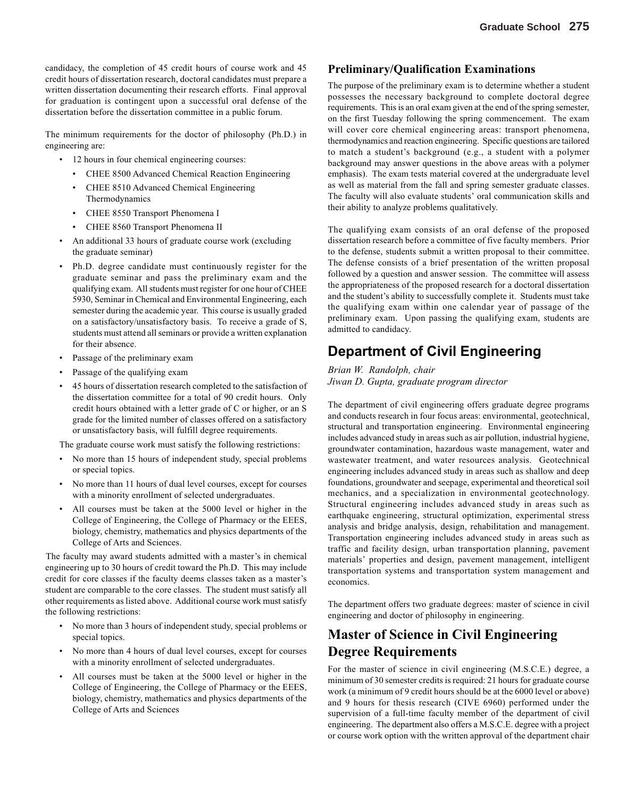candidacy, the completion of 45 credit hours of course work and 45 credit hours of dissertation research, doctoral candidates must prepare a written dissertation documenting their research efforts. Final approval for graduation is contingent upon a successful oral defense of the dissertation before the dissertation committee in a public forum.

The minimum requirements for the doctor of philosophy (Ph.D.) in engineering are:

- 12 hours in four chemical engineering courses:
	- CHEE 8500 Advanced Chemical Reaction Engineering
	- CHEE 8510 Advanced Chemical Engineering Thermodynamics
	- CHEE 8550 Transport Phenomena I
	- CHEE 8560 Transport Phenomena II
- An additional 33 hours of graduate course work (excluding the graduate seminar)
- Ph.D. degree candidate must continuously register for the graduate seminar and pass the preliminary exam and the qualifying exam. All students must register for one hour of CHEE 5930, Seminar in Chemical and Environmental Engineering, each semester during the academic year. This course is usually graded on a satisfactory/unsatisfactory basis. To receive a grade of S, students must attend all seminars or provide a written explanation for their absence.
- Passage of the preliminary exam
- Passage of the qualifying exam
- 45 hours of dissertation research completed to the satisfaction of the dissertation committee for a total of 90 credit hours. Only credit hours obtained with a letter grade of C or higher, or an S grade for the limited number of classes offered on a satisfactory or unsatisfactory basis, will fulfill degree requirements.

The graduate course work must satisfy the following restrictions:

- No more than 15 hours of independent study, special problems or special topics.
- No more than 11 hours of dual level courses, except for courses with a minority enrollment of selected undergraduates.
- All courses must be taken at the 5000 level or higher in the College of Engineering, the College of Pharmacy or the EEES, biology, chemistry, mathematics and physics departments of the College of Arts and Sciences.

The faculty may award students admitted with a master's in chemical engineering up to 30 hours of credit toward the Ph.D. This may include credit for core classes if the faculty deems classes taken as a master's student are comparable to the core classes. The student must satisfy all other requirements as listed above. Additional course work must satisfy the following restrictions:

- No more than 3 hours of independent study, special problems or special topics.
- No more than 4 hours of dual level courses, except for courses with a minority enrollment of selected undergraduates.
- All courses must be taken at the 5000 level or higher in the College of Engineering, the College of Pharmacy or the EEES, biology, chemistry, mathematics and physics departments of the College of Arts and Sciences

#### **Preliminary/Qualification Examinations**

The purpose of the preliminary exam is to determine whether a student possesses the necessary background to complete doctoral degree requirements. This is an oral exam given at the end of the spring semester, on the first Tuesday following the spring commencement. The exam will cover core chemical engineering areas: transport phenomena, thermodynamics and reaction engineering. Specific questions are tailored to match a student's background (e.g., a student with a polymer background may answer questions in the above areas with a polymer emphasis). The exam tests material covered at the undergraduate level as well as material from the fall and spring semester graduate classes. The faculty will also evaluate students' oral communication skills and their ability to analyze problems qualitatively.

The qualifying exam consists of an oral defense of the proposed dissertation research before a committee of five faculty members. Prior to the defense, students submit a written proposal to their committee. The defense consists of a brief presentation of the written proposal followed by a question and answer session. The committee will assess the appropriateness of the proposed research for a doctoral dissertation and the student's ability to successfully complete it. Students must take the qualifying exam within one calendar year of passage of the preliminary exam. Upon passing the qualifying exam, students are admitted to candidacy.

### **Department of Civil Engineering**

*Brian W. Randolph, chair Jiwan D. Gupta, graduate program director*

The department of civil engineering offers graduate degree programs and conducts research in four focus areas: environmental, geotechnical, structural and transportation engineering. Environmental engineering includes advanced study in areas such as air pollution, industrial hygiene, groundwater contamination, hazardous waste management, water and wastewater treatment, and water resources analysis. Geotechnical engineering includes advanced study in areas such as shallow and deep foundations, groundwater and seepage, experimental and theoretical soil mechanics, and a specialization in environmental geotechnology. Structural engineering includes advanced study in areas such as earthquake engineering, structural optimization, experimental stress analysis and bridge analysis, design, rehabilitation and management. Transportation engineering includes advanced study in areas such as traffic and facility design, urban transportation planning, pavement materials' properties and design, pavement management, intelligent transportation systems and transportation system management and economics.

The department offers two graduate degrees: master of science in civil engineering and doctor of philosophy in engineering.

## **Master of Science in Civil Engineering Degree Requirements**

For the master of science in civil engineering (M.S.C.E.) degree, a minimum of 30 semester credits is required: 21 hours for graduate course work (a minimum of 9 credit hours should be at the 6000 level or above) and 9 hours for thesis research (CIVE 6960) performed under the supervision of a full-time faculty member of the department of civil engineering. The department also offers a M.S.C.E. degree with a project or course work option with the written approval of the department chair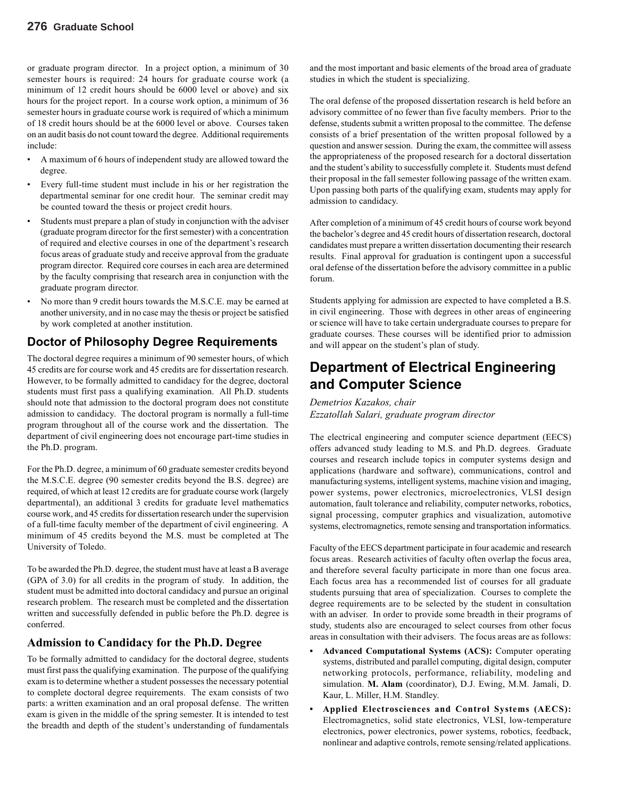or graduate program director. In a project option, a minimum of 30 semester hours is required: 24 hours for graduate course work (a minimum of 12 credit hours should be 6000 level or above) and six hours for the project report. In a course work option, a minimum of 36 semester hours in graduate course work is required of which a minimum of 18 credit hours should be at the 6000 level or above. Courses taken on an audit basis do not count toward the degree. Additional requirements include:

- A maximum of 6 hours of independent study are allowed toward the degree.
- Every full-time student must include in his or her registration the departmental seminar for one credit hour. The seminar credit may be counted toward the thesis or project credit hours.
- Students must prepare a plan of study in conjunction with the adviser (graduate program director for the first semester) with a concentration of required and elective courses in one of the department's research focus areas of graduate study and receive approval from the graduate program director. Required core courses in each area are determined by the faculty comprising that research area in conjunction with the graduate program director.
- No more than 9 credit hours towards the M.S.C.E. may be earned at another university, and in no case may the thesis or project be satisfied by work completed at another institution.

#### **Doctor of Philosophy Degree Requirements**

The doctoral degree requires a minimum of 90 semester hours, of which 45 credits are for course work and 45 credits are for dissertation research. However, to be formally admitted to candidacy for the degree, doctoral students must first pass a qualifying examination. All Ph.D. students should note that admission to the doctoral program does not constitute admission to candidacy.The doctoral program is normally a full-time program throughout all of the course work and the dissertation. The department of civil engineering does not encourage part-time studies in the Ph.D. program.

For the Ph.D. degree, a minimum of 60 graduate semester credits beyond the M.S.C.E. degree (90 semester credits beyond the B.S. degree) are required, of which at least 12 credits are for graduate course work (largely departmental), an additional 3 credits for graduate level mathematics course work, and 45 credits for dissertation research under the supervision of a full-time faculty member of the department of civil engineering. A minimum of 45 credits beyond the M.S. must be completed at The University of Toledo.

To be awarded the Ph.D. degree, the student must have at least a B average (GPA of 3.0) for all credits in the program of study. In addition, the student must be admitted into doctoral candidacy and pursue an original research problem. The research must be completed and the dissertation written and successfully defended in public before the Ph.D. degree is conferred.

#### **Admission to Candidacy for the Ph.D. Degree**

To be formally admitted to candidacy for the doctoral degree, students must first pass the qualifying examination. The purpose of the qualifying exam is to determine whether a student possesses the necessary potential to complete doctoral degree requirements. The exam consists of two parts: a written examination and an oral proposal defense. The written exam is given in the middle of the spring semester. It is intended to test the breadth and depth of the student's understanding of fundamentals

and the most important and basic elements of the broad area of graduate studies in which the student is specializing.

The oral defense of the proposed dissertation research is held before an advisory committee of no fewer than five faculty members. Prior to the defense, students submit a written proposal to the committee. The defense consists of a brief presentation of the written proposal followed by a question and answer session. During the exam, the committee will assess the appropriateness of the proposed research for a doctoral dissertation and the student's ability to successfully complete it. Students must defend their proposal in the fall semester following passage of the written exam. Upon passing both parts of the qualifying exam, students may apply for admission to candidacy.

After completion of a minimum of 45 credit hours of course work beyond the bachelor's degree and 45 credit hours of dissertation research, doctoral candidates must prepare a written dissertation documenting their research results. Final approval for graduation is contingent upon a successful oral defense of the dissertation before the advisory committee in a public forum.

Students applying for admission are expected to have completed a B.S. in civil engineering. Those with degrees in other areas of engineering or science will have to take certain undergraduate courses to prepare for graduate courses. These courses will be identified prior to admission and will appear on the student's plan of study.

# **Department of Electrical Engineering and Computer Science**

*Demetrios Kazakos, chair Ezzatollah Salari, graduate program director*

The electrical engineering and computer science department (EECS) offers advanced study leading to M.S. and Ph.D. degrees. Graduate courses and research include topics in computer systems design and applications (hardware and software), communications, control and manufacturing systems, intelligent systems, machine vision and imaging, power systems, power electronics, microelectronics, VLSI design automation, fault tolerance and reliability, computer networks, robotics, signal processing, computer graphics and visualization, automotive systems, electromagnetics, remote sensing and transportation informatics.

Faculty of the EECS department participate in four academic and research focus areas. Research activities of faculty often overlap the focus area, and therefore several faculty participate in more than one focus area. Each focus area has a recommended list of courses for all graduate students pursuing that area of specialization. Courses to complete the degree requirements are to be selected by the student in consultation with an adviser. In order to provide some breadth in their programs of study, students also are encouraged to select courses from other focus areas in consultation with their advisers. The focus areas are as follows:

- **• Advanced Computational Systems (ACS):** Computer operating systems, distributed and parallel computing, digital design, computer networking protocols, performance, reliability, modeling and simulation. **M. Alam** (coordinator), D.J. Ewing, M.M. Jamali, D. Kaur, L. Miller, H.M. Standley.
- **• Applied Electrosciences and Control Systems (AECS):** Electromagnetics, solid state electronics, VLSI, low-temperature electronics, power electronics, power systems, robotics, feedback, nonlinear and adaptive controls, remote sensing/related applications.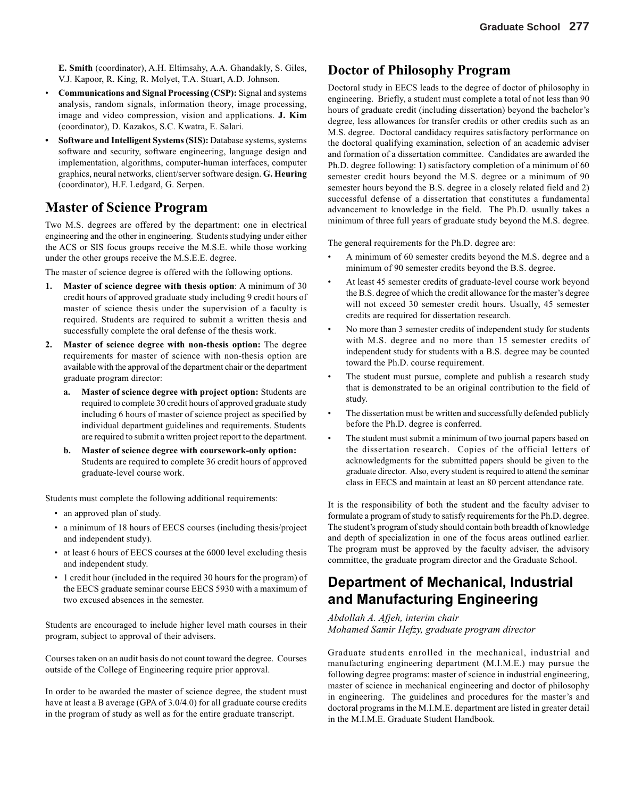**E. Smith** (coordinator), A.H. Eltimsahy, A.A. Ghandakly, S. Giles, V.J. Kapoor, R. King, R. Molyet, T.A. Stuart, A.D. Johnson.

- **Communications and Signal Processing (CSP):** Signal and systems analysis, random signals, information theory, image processing, image and video compression, vision and applications. **J. Kim** (coordinator), D. Kazakos, S.C. Kwatra, E. Salari.
- **• Software and Intelligent Systems (SIS):** Database systems, systems software and security, software engineering, language design and implementation, algorithms, computer-human interfaces, computer graphics, neural networks, client/server software design. **G. Heuring** (coordinator), H.F. Ledgard, G. Serpen.

### **Master of Science Program**

Two M.S. degrees are offered by the department: one in electrical engineering and the other in engineering. Students studying under either the ACS or SIS focus groups receive the M.S.E. while those working under the other groups receive the M.S.E.E. degree.

The master of science degree is offered with the following options.

- **1. Master of science degree with thesis option**: A minimum of 30 credit hours of approved graduate study including 9 credit hours of master of science thesis under the supervision of a faculty is required. Students are required to submit a written thesis and successfully complete the oral defense of the thesis work.
- **2. Master of science degree with non-thesis option:** The degree requirements for master of science with non-thesis option are available with the approval of the department chair or the department graduate program director:
	- **a. Master of science degree with project option:** Students are required to complete 30 credit hours of approved graduate study including 6 hours of master of science project as specified by individual department guidelines and requirements. Students are required to submit a written project report to the department.
	- **b. Master of science degree with coursework-only option:** Students are required to complete 36 credit hours of approved graduate-level course work.

Students must complete the following additional requirements:

- an approved plan of study.
- a minimum of 18 hours of EECS courses (including thesis/project and independent study).
- at least 6 hours of EECS courses at the 6000 level excluding thesis and independent study.
- 1 credit hour (included in the required 30 hours for the program) of the EECS graduate seminar course EECS 5930 with a maximum of two excused absences in the semester.

Students are encouraged to include higher level math courses in their program, subject to approval of their advisers.

Courses taken on an audit basis do not count toward the degree. Courses outside of the College of Engineering require prior approval.

In order to be awarded the master of science degree, the student must have at least a B average (GPA of 3.0/4.0) for all graduate course credits in the program of study as well as for the entire graduate transcript.

### **Doctor of Philosophy Program**

Doctoral study in EECS leads to the degree of doctor of philosophy in engineering. Briefly, a student must complete a total of not less than 90 hours of graduate credit (including dissertation) beyond the bachelor's degree, less allowances for transfer credits or other credits such as an M.S. degree. Doctoral candidacy requires satisfactory performance on the doctoral qualifying examination, selection of an academic adviser and formation of a dissertation committee. Candidates are awarded the Ph.D. degree following: 1) satisfactory completion of a minimum of 60 semester credit hours beyond the M.S. degree or a minimum of 90 semester hours beyond the B.S. degree in a closely related field and 2) successful defense of a dissertation that constitutes a fundamental advancement to knowledge in the field. The Ph.D. usually takes a minimum of three full years of graduate study beyond the M.S. degree.

The general requirements for the Ph.D. degree are:

- A minimum of 60 semester credits beyond the M.S. degree and a minimum of 90 semester credits beyond the B.S. degree.
- At least 45 semester credits of graduate-level course work beyond the B.S. degree of which the credit allowance for the master's degree will not exceed 30 semester credit hours. Usually, 45 semester credits are required for dissertation research.
- No more than 3 semester credits of independent study for students with M.S. degree and no more than 15 semester credits of independent study for students with a B.S. degree may be counted toward the Ph.D. course requirement.
- The student must pursue, complete and publish a research study that is demonstrated to be an original contribution to the field of study.
- The dissertation must be written and successfully defended publicly before the Ph.D. degree is conferred.
- The student must submit a minimum of two journal papers based on the dissertation research. Copies of the official letters of acknowledgments for the submitted papers should be given to the graduate director. Also, every student is required to attend the seminar class in EECS and maintain at least an 80 percent attendance rate.

It is the responsibility of both the student and the faculty adviser to formulate a program of study to satisfy requirements for the Ph.D. degree. The student's program of study should contain both breadth of knowledge and depth of specialization in one of the focus areas outlined earlier. The program must be approved by the faculty adviser, the advisory committee, the graduate program director and the Graduate School.

## **Department of Mechanical, Industrial and Manufacturing Engineering**

*Abdollah A. Afjeh, interim chair Mohamed Samir Hefzy, graduate program director*

Graduate students enrolled in the mechanical, industrial and manufacturing engineering department (M.I.M.E.) may pursue the following degree programs: master of science in industrial engineering, master of science in mechanical engineering and doctor of philosophy in engineering. The guidelines and procedures for the master's and doctoral programs in the M.I.M.E. department are listed in greater detail in the M.I.M.E. Graduate Student Handbook.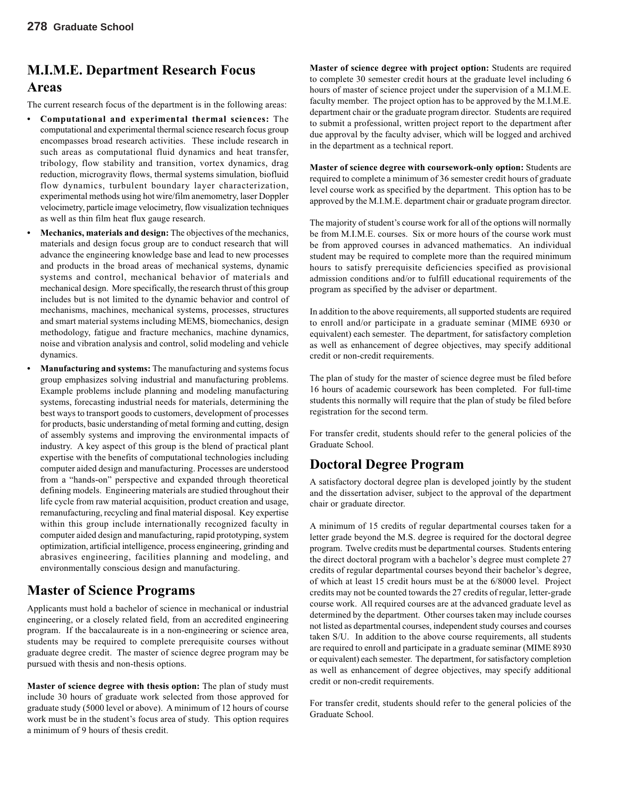# **M.I.M.E. Department Research Focus Areas**

The current research focus of the department is in the following areas:

- **• Computational and experimental thermal sciences:** The computational and experimental thermal science research focus group encompasses broad research activities. These include research in such areas as computational fluid dynamics and heat transfer, tribology, flow stability and transition, vortex dynamics, drag reduction, microgravity flows, thermal systems simulation, biofluid flow dynamics, turbulent boundary layer characterization, experimental methods using hot wire/film anemometry, laser Doppler velocimetry, particle image velocimetry, flow visualization techniques as well as thin film heat flux gauge research.
- **• Mechanics, materials and design:** The objectives of the mechanics, materials and design focus group are to conduct research that will advance the engineering knowledge base and lead to new processes and products in the broad areas of mechanical systems, dynamic systems and control, mechanical behavior of materials and mechanical design. More specifically, the research thrust of this group includes but is not limited to the dynamic behavior and control of mechanisms, machines, mechanical systems, processes, structures and smart material systems including MEMS, biomechanics, design methodology, fatigue and fracture mechanics, machine dynamics, noise and vibration analysis and control, solid modeling and vehicle dynamics.
- **• Manufacturing and systems:** The manufacturing and systems focus group emphasizes solving industrial and manufacturing problems. Example problems include planning and modeling manufacturing systems, forecasting industrial needs for materials, determining the best ways to transport goods to customers, development of processes for products, basic understanding of metal forming and cutting, design of assembly systems and improving the environmental impacts of industry. A key aspect of this group is the blend of practical plant expertise with the benefits of computational technologies including computer aided design and manufacturing. Processes are understood from a "hands-on" perspective and expanded through theoretical defining models. Engineering materials are studied throughout their life cycle from raw material acquisition, product creation and usage, remanufacturing, recycling and final material disposal. Key expertise within this group include internationally recognized faculty in computer aided design and manufacturing, rapid prototyping, system optimization, artificial intelligence, process engineering, grinding and abrasives engineering, facilities planning and modeling, and environmentally conscious design and manufacturing.

### **Master of Science Programs**

Applicants must hold a bachelor of science in mechanical or industrial engineering, or a closely related field, from an accredited engineering program. If the baccalaureate is in a non-engineering or science area, students may be required to complete prerequisite courses without graduate degree credit. The master of science degree program may be pursued with thesis and non-thesis options.

**Master of science degree with thesis option:** The plan of study must include 30 hours of graduate work selected from those approved for graduate study (5000 level or above). A minimum of 12 hours of course work must be in the student's focus area of study. This option requires a minimum of 9 hours of thesis credit.

**Master of science degree with project option:** Students are required to complete 30 semester credit hours at the graduate level including 6 hours of master of science project under the supervision of a M.I.M.E. faculty member. The project option has to be approved by the M.I.M.E. department chair or the graduate program director. Students are required to submit a professional, written project report to the department after due approval by the faculty adviser, which will be logged and archived in the department as a technical report.

**Master of science degree with coursework-only option:** Students are required to complete a minimum of 36 semester credit hours of graduate level course work as specified by the department. This option has to be approved by the M.I.M.E. department chair or graduate program director.

The majority of student's course work for all of the options will normally be from M.I.M.E. courses. Six or more hours of the course work must be from approved courses in advanced mathematics. An individual student may be required to complete more than the required minimum hours to satisfy prerequisite deficiencies specified as provisional admission conditions and/or to fulfill educational requirements of the program as specified by the adviser or department.

In addition to the above requirements, all supported students are required to enroll and/or participate in a graduate seminar (MIME 6930 or equivalent) each semester. The department, for satisfactory completion as well as enhancement of degree objectives, may specify additional credit or non-credit requirements.

The plan of study for the master of science degree must be filed before 16 hours of academic coursework has been completed. For full-time students this normally will require that the plan of study be filed before registration for the second term.

For transfer credit, students should refer to the general policies of the Graduate School.

### **Doctoral Degree Program**

A satisfactory doctoral degree plan is developed jointly by the student and the dissertation adviser, subject to the approval of the department chair or graduate director.

A minimum of 15 credits of regular departmental courses taken for a letter grade beyond the M.S. degree is required for the doctoral degree program. Twelve credits must be departmental courses. Students entering the direct doctoral program with a bachelor's degree must complete 27 credits of regular departmental courses beyond their bachelor's degree, of which at least 15 credit hours must be at the 6/8000 level. Project credits may not be counted towards the 27 credits of regular, letter-grade course work. All required courses are at the advanced graduate level as determined by the department. Other courses taken may include courses not listed as departmental courses, independent study courses and courses taken S/U. In addition to the above course requirements, all students are required to enroll and participate in a graduate seminar (MIME 8930 or equivalent) each semester. The department, for satisfactory completion as well as enhancement of degree objectives, may specify additional credit or non-credit requirements.

For transfer credit, students should refer to the general policies of the Graduate School.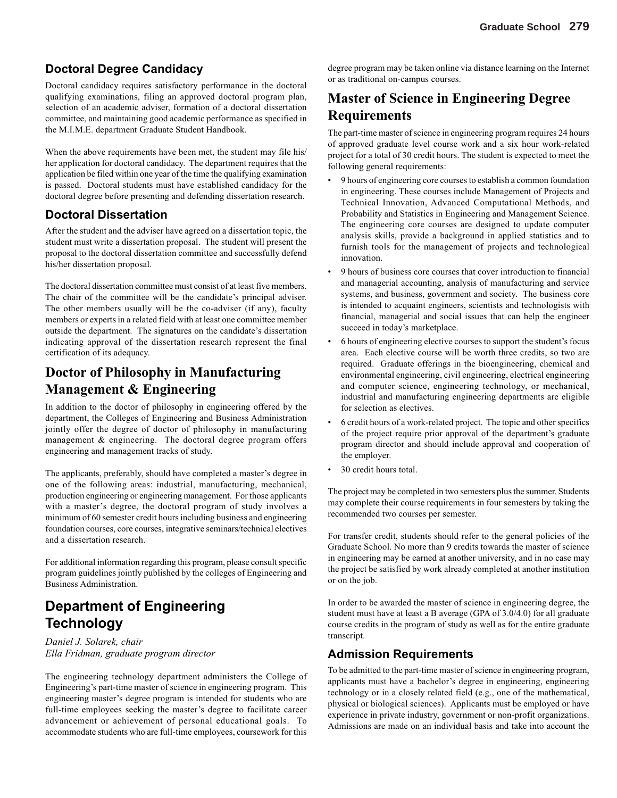### **Doctoral Degree Candidacy**

Doctoral candidacy requires satisfactory performance in the doctoral qualifying examinations, filing an approved doctoral program plan, selection of an academic adviser, formation of a doctoral dissertation committee, and maintaining good academic performance as specified in the M.I.M.E. department Graduate Student Handbook.

When the above requirements have been met, the student may file his/ her application for doctoral candidacy. The department requires that the application be filed within one year of the time the qualifying examination is passed. Doctoral students must have established candidacy for the doctoral degree before presenting and defending dissertation research.

#### **Doctoral Dissertation**

After the student and the adviser have agreed on a dissertation topic, the student must write a dissertation proposal. The student will present the proposal to the doctoral dissertation committee and successfully defend his/her dissertation proposal.

The doctoral dissertation committee must consist of at least five members. The chair of the committee will be the candidate's principal adviser. The other members usually will be the co-adviser (if any), faculty members or experts in a related field with at least one committee member outside the department. The signatures on the candidate's dissertation indicating approval of the dissertation research represent the final certification of its adequacy.

# **Doctor of Philosophy in Manufacturing Management & Engineering**

In addition to the doctor of philosophy in engineering offered by the department, the Colleges of Engineering and Business Administration jointly offer the degree of doctor of philosophy in manufacturing management & engineering. The doctoral degree program offers engineering and management tracks of study.

The applicants, preferably, should have completed a master's degree in one of the following areas: industrial, manufacturing, mechanical, production engineering or engineering management. For those applicants with a master's degree, the doctoral program of study involves a minimum of 60 semester credit hours including business and engineering foundation courses, core courses, integrative seminars/technical electives and a dissertation research.

For additional information regarding this program, please consult specific program guidelines jointly published by the colleges of Engineering and Business Administration.

# **Department of Engineering Technology**

*Daniel J. Solarek, chair Ella Fridman, graduate program director*

The engineering technology department administers the College of Engineering's part-time master of science in engineering program. This engineering master's degree program is intended for students who are full-time employees seeking the master's degree to facilitate career advancement or achievement of personal educational goals. To accommodate students who are full-time employees, coursework for this

degree program may be taken online via distance learning on the Internet or as traditional on-campus courses.

# **Master of Science in Engineering Degree Requirements**

The part-time master of science in engineering program requires 24 hours of approved graduate level course work and a six hour work-related project for a total of 30 credit hours. The student is expected to meet the following general requirements:

- 9 hours of engineering core courses to establish a common foundation in engineering. These courses include Management of Projects and Technical Innovation, Advanced Computational Methods, and Probability and Statistics in Engineering and Management Science. The engineering core courses are designed to update computer analysis skills, provide a background in applied statistics and to furnish tools for the management of projects and technological innovation.
- 9 hours of business core courses that cover introduction to financial and managerial accounting, analysis of manufacturing and service systems, and business, government and society. The business core is intended to acquaint engineers, scientists and technologists with financial, managerial and social issues that can help the engineer succeed in today's marketplace.
- 6 hours of engineering elective courses to support the student's focus area. Each elective course will be worth three credits, so two are required. Graduate offerings in the bioengineering, chemical and environmental engineering, civil engineering, electrical engineering and computer science, engineering technology, or mechanical, industrial and manufacturing engineering departments are eligible for selection as electives.
- 6 credit hours of a work-related project. The topic and other specifics of the project require prior approval of the department's graduate program director and should include approval and cooperation of the employer.
- 30 credit hours total.

The project may be completed in two semesters plus the summer. Students may complete their course requirements in four semesters by taking the recommended two courses per semester.

For transfer credit, students should refer to the general policies of the Graduate School. No more than 9 credits towards the master of science in engineering may be earned at another university, and in no case may the project be satisfied by work already completed at another institution or on the job.

In order to be awarded the master of science in engineering degree, the student must have at least a B average (GPA of 3.0/4.0) for all graduate course credits in the program of study as well as for the entire graduate transcript.

#### **Admission Requirements**

To be admitted to the part-time master of science in engineering program, applicants must have a bachelor's degree in engineering, engineering technology or in a closely related field (e.g., one of the mathematical, physical or biological sciences). Applicants must be employed or have experience in private industry, government or non-profit organizations. Admissions are made on an individual basis and take into account the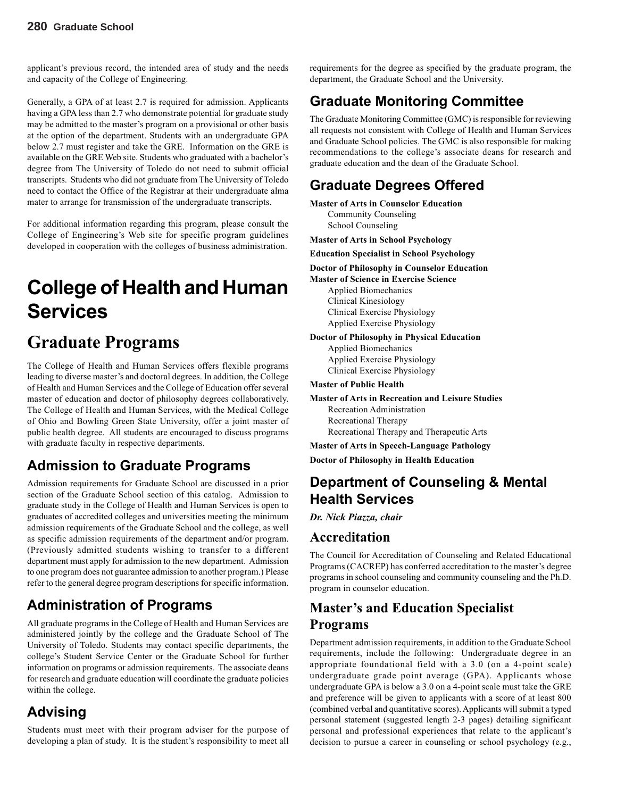applicant's previous record, the intended area of study and the needs and capacity of the College of Engineering.

Generally, a GPA of at least 2.7 is required for admission. Applicants having a GPA less than 2.7 who demonstrate potential for graduate study may be admitted to the master's program on a provisional or other basis at the option of the department. Students with an undergraduate GPA below 2.7 must register and take the GRE. Information on the GRE is available on the GRE Web site. Students who graduated with a bachelor's degree from The University of Toledo do not need to submit official transcripts. Students who did not graduate from The University of Toledo need to contact the Office of the Registrar at their undergraduate alma mater to arrange for transmission of the undergraduate transcripts.

For additional information regarding this program, please consult the College of Engineering's Web site for specific program guidelines developed in cooperation with the colleges of business administration.

# **College of Health and Human Services**

# **Graduate Programs**

The College of Health and Human Services offers flexible programs leading to diverse master's and doctoral degrees. In addition, the College of Health and Human Services and the College of Education offer several master of education and doctor of philosophy degrees collaboratively. The College of Health and Human Services, with the Medical College of Ohio and Bowling Green State University, offer a joint master of public health degree. All students are encouraged to discuss programs with graduate faculty in respective departments.

# **Admission to Graduate Programs**

Admission requirements for Graduate School are discussed in a prior section of the Graduate School section of this catalog. Admission to graduate study in the College of Health and Human Services is open to graduates of accredited colleges and universities meeting the minimum admission requirements of the Graduate School and the college, as well as specific admission requirements of the department and/or program. (Previously admitted students wishing to transfer to a different department must apply for admission to the new department. Admission to one program does not guarantee admission to another program.) Please refer to the general degree program descriptions for specific information.

# **Administration of Programs**

All graduate programs in the College of Health and Human Services are administered jointly by the college and the Graduate School of The University of Toledo. Students may contact specific departments, the college's Student Service Center or the Graduate School for further information on programs or admission requirements. The associate deans for research and graduate education will coordinate the graduate policies within the college.

# **Advising**

Students must meet with their program adviser for the purpose of developing a plan of study. It is the student's responsibility to meet all requirements for the degree as specified by the graduate program, the department, the Graduate School and the University.

# **Graduate Monitoring Committee**

The Graduate Monitoring Committee (GMC) is responsible for reviewing all requests not consistent with College of Health and Human Services and Graduate School policies. The GMC is also responsible for making recommendations to the college's associate deans for research and graduate education and the dean of the Graduate School.

# **Graduate Degrees Offered**

- **Master of Arts in Counselor Education** Community Counseling School Counseling
- **Master of Arts in School Psychology**
- **Education Specialist in School Psychology**
- **Doctor of Philosophy in Counselor Education**

**Master of Science in Exercise Science** Applied Biomechanics Clinical Kinesiology Clinical Exercise Physiology Applied Exercise Physiology

**Doctor of Philosophy in Physical Education**

Applied Biomechanics Applied Exercise Physiology Clinical Exercise Physiology

#### **Master of Public Health**

**Master of Arts in Recreation and Leisure Studies** Recreation Administration Recreational Therapy

Recreational Therapy and Therapeutic Arts

**Master of Arts in Speech-Language Pathology**

**Doctor of Philosophy in Health Education**

# **Department of Counseling & Mental Health Services**

*Dr. Nick Piazza, chair*

### **Accre**d**itation**

The Council for Accreditation of Counseling and Related Educational Programs (CACREP) has conferred accreditation to the master's degree programs in school counseling and community counseling and the Ph.D. program in counselor education.

# **Master's and Education Specialist Programs**

Department admission requirements, in addition to the Graduate School requirements, include the following: Undergraduate degree in an appropriate foundational field with a 3.0 (on a 4-point scale) undergraduate grade point average (GPA). Applicants whose undergraduate GPA is below a 3.0 on a 4-point scale must take the GRE and preference will be given to applicants with a score of at least 800 (combined verbal and quantitative scores). Applicants will submit a typed personal statement (suggested length 2-3 pages) detailing significant personal and professional experiences that relate to the applicant's decision to pursue a career in counseling or school psychology (e.g.,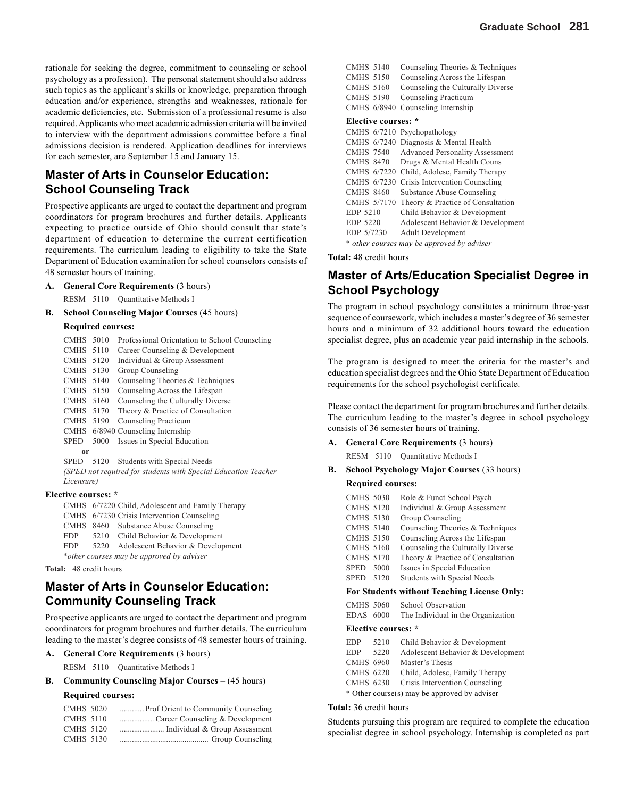rationale for seeking the degree, commitment to counseling or school psychology as a profession). The personal statement should also address such topics as the applicant's skills or knowledge, preparation through education and/or experience, strengths and weaknesses, rationale for academic deficiencies, etc. Submission of a professional resume is also required. Applicants who meet academic admission criteria will be invited to interview with the department admissions committee before a final admissions decision is rendered. Application deadlines for interviews for each semester, are September 15 and January 15.

#### **Master of Arts in Counselor Education: School Counseling Track**

Prospective applicants are urged to contact the department and program coordinators for program brochures and further details. Applicants expecting to practice outside of Ohio should consult that state's department of education to determine the current certification requirements. The curriculum leading to eligibility to take the State Department of Education examination for school counselors consists of 48 semester hours of training.

- **A. General Core Requirements** (3 hours)
	- RESM 5110 Quantitative Methods I
- **B. School Counseling Major Courses** (45 hours) **Required courses:**

| <b>CMHS</b> 5010 |                     | Professional Orientation to School Counseling                  |
|------------------|---------------------|----------------------------------------------------------------|
| <b>CMHS</b> 5110 |                     | Career Counseling & Development                                |
| CMHS 5120        |                     | Individual & Group Assessment                                  |
| CMHS 5130        |                     | Group Counseling                                               |
| CMHS 5140        |                     | Counseling Theories & Techniques                               |
| CMHS 5150        |                     | Counseling Across the Lifespan                                 |
| CMHS 5160        |                     | Counseling the Culturally Diverse                              |
| CMHS 5170        |                     | Theory & Practice of Consultation                              |
| CMHS 5190        |                     | Counseling Practicum                                           |
|                  |                     | CMHS 6/8940 Counseling Internship                              |
| <b>SPED</b>      | 5000                | Issues in Special Education                                    |
| 0r               |                     |                                                                |
| <b>SPED</b>      | 5120                | Students with Special Needs                                    |
|                  |                     | (SPED not required for students with Special Education Teacher |
| Licensure)       |                     |                                                                |
|                  | Elective courses: * |                                                                |

CMHS 6/7220 Child, Adolescent and Family Therapy CMHS 6/7230 Crisis Intervention Counseling CMHS 8460 Substance Abuse Counseling EDP 5210 Child Behavior & Development EDP 5220 Adolescent Behavior & Development \**other courses may be approved by adviser*

**Total:** 48 credit hours

### **Master of Arts in Counselor Education: Community Counseling Track**

Prospective applicants are urged to contact the department and program coordinators for program brochures and further details. The curriculum leading to the master's degree consists of 48 semester hours of training.

#### **A. General Core Requirements** (3 hours)

RESM 5110 Quantitative Methods I

#### **B.** Community Counseling Major Courses – (45 hours)

#### **Required courses:**

| Prof Orient to Community Counseling | <b>CMHS 5020</b> |
|-------------------------------------|------------------|
|                                     | <b>CMHS 5110</b> |
| Individual & Group Assessment       | <b>CMHS 5120</b> |
|                                     | CMHS 5130        |

|            | <b>CMHS 5140</b>                           |             | Counseling Theories & Techniques       |  |
|------------|--------------------------------------------|-------------|----------------------------------------|--|
|            | <b>CMHS 5150</b>                           |             | Counseling Across the Lifespan         |  |
|            | <b>CMHS 5160</b>                           |             | Counseling the Culturally Diverse      |  |
|            |                                            |             |                                        |  |
|            | <b>CMHS 5190</b>                           |             | Counseling Practicum                   |  |
|            | CMHS 6/8940                                |             | Counseling Internship                  |  |
|            | Elective courses: *                        |             |                                        |  |
|            |                                            |             | CMHS 6/7210 Psychopathology            |  |
|            |                                            | CMHS 6/7240 | Diagnosis & Mental Health              |  |
|            | <b>CMHS 7540</b>                           |             | <b>Advanced Personality Assessment</b> |  |
|            | <b>CMHS 8470</b>                           |             | Drugs & Mental Health Couns            |  |
|            | CMHS 6/7220                                |             | Child, Adolesc, Family Therapy         |  |
|            | CMHS 6/7230                                |             | Crisis Intervention Counseling         |  |
|            | <b>CMHS 8460</b>                           |             | <b>Substance Abuse Counseling</b>      |  |
|            | CMHS 5/7170                                |             | Theory & Practice of Consultation      |  |
| EDP 5210   |                                            |             | Child Behavior & Development           |  |
| EDP 5220   |                                            |             | Adolescent Behavior & Development      |  |
| EDP 5/7230 |                                            |             | <b>Adult Development</b>               |  |
|            | * other courses may be approved by adviser |             |                                        |  |

**Total:** 48 credit hours

#### **Master of Arts/Education Specialist Degree in School Psychology**

The program in school psychology constitutes a minimum three-year sequence of coursework, which includes a master's degree of 36 semester hours and a minimum of 32 additional hours toward the education specialist degree, plus an academic year paid internship in the schools.

The program is designed to meet the criteria for the master's and education specialist degrees and the Ohio State Department of Education requirements for the school psychologist certificate.

Please contact the department for program brochures and further details. The curriculum leading to the master's degree in school psychology consists of 36 semester hours of training.

**A. General Core Requirements** (3 hours)

RESM 5110 Quantitative Methods I

**B. School Psychology Major Courses** (33 hours) **Required courses:**

| <b>CMHS 5030</b> | Role & Funct School Psych         |
|------------------|-----------------------------------|
| <b>CMHS 5120</b> | Individual & Group Assessment     |
| <b>CMHS 5130</b> | Group Counseling                  |
| <b>CMHS 5140</b> | Counseling Theories & Techniques  |
| <b>CMHS 5150</b> | Counseling Across the Lifespan    |
| <b>CMHS 5160</b> | Counseling the Culturally Diverse |
| <b>CMHS 5170</b> | Theory & Practice of Consultation |
| SPED 5000        | Issues in Special Education       |
| SPED 5120        | Students with Special Needs       |
|                  | п сининги не те он                |

#### **For Students without Teaching License Only:**

| CMHS 5060 | School Observation                 |
|-----------|------------------------------------|
| EDAS 6000 | The Individual in the Organization |

#### **Elective courses: \***

| <b>EDP</b>       | 5210 | Child Behavior & Development                 |
|------------------|------|----------------------------------------------|
| <b>EDP</b>       | 5220 | Adolescent Behavior & Development            |
| <b>CMHS 6960</b> |      | Master's Thesis                              |
| <b>CMHS 6220</b> |      | Child, Adolesc, Family Therapy               |
| <b>CMHS</b> 6230 |      | Crisis Intervention Counseling               |
|                  |      | * Other course(s) may be approved by adviser |

#### **Total:** 36 credit hours

Students pursuing this program are required to complete the education specialist degree in school psychology. Internship is completed as part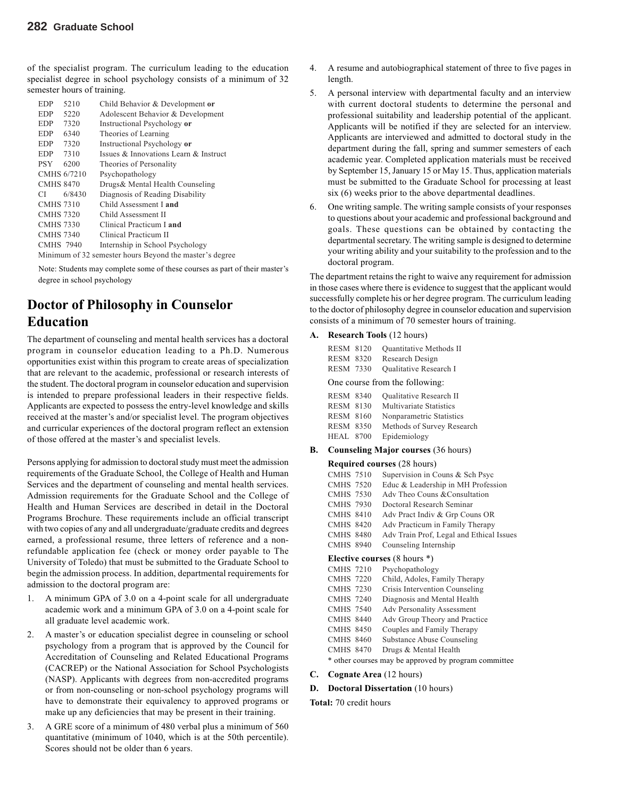of the specialist program. The curriculum leading to the education specialist degree in school psychology consists of a minimum of 32 semester hours of training.

| EDP              | 5210        | Child Behavior & Development or                         |
|------------------|-------------|---------------------------------------------------------|
| EDP.             | 5220        | Adolescent Behavior & Development                       |
| <b>EDP</b>       | 7320        | Instructional Psychology or                             |
| EDP.             | 6340        | Theories of Learning                                    |
| EDP.             | 7320        | Instructional Psychology or                             |
| <b>EDP</b>       | 7310        | Issues & Innovations Learn & Instruct                   |
| <b>PSY</b>       | 6200        | Theories of Personality                                 |
|                  | CMHS 6/7210 | Psychopathology                                         |
| <b>CMHS 8470</b> |             | Drugs& Mental Health Counseling                         |
| СI               | 6/8430      | Diagnosis of Reading Disability                         |
| <b>CMHS 7310</b> |             | Child Assessment I and                                  |
| <b>CMHS 7320</b> |             | Child Assessment II                                     |
| <b>CMHS 7330</b> |             | Clinical Practicum I and                                |
| <b>CMHS 7340</b> |             | Clinical Practicum II                                   |
| <b>CMHS 7940</b> |             | Internship in School Psychology                         |
|                  |             | Minimum of 32 semester hours Beyond the master's degree |

Note: Students may complete some of these courses as part of their master's degree in school psychology

# **Doctor of Philosophy in Counselor Education**

The department of counseling and mental health services has a doctoral program in counselor education leading to a Ph.D. Numerous opportunities exist within this program to create areas of specialization that are relevant to the academic, professional or research interests of the student. The doctoral program in counselor education and supervision is intended to prepare professional leaders in their respective fields. Applicants are expected to possess the entry-level knowledge and skills received at the master's and/or specialist level. The program objectives and curricular experiences of the doctoral program reflect an extension of those offered at the master's and specialist levels.

Persons applying for admission to doctoral study must meet the admission requirements of the Graduate School, the College of Health and Human Services and the department of counseling and mental health services. Admission requirements for the Graduate School and the College of Health and Human Services are described in detail in the Doctoral Programs Brochure. These requirements include an official transcript with two copies of any and all undergraduate/graduate credits and degrees earned, a professional resume, three letters of reference and a nonrefundable application fee (check or money order payable to The University of Toledo) that must be submitted to the Graduate School to begin the admission process. In addition, departmental requirements for admission to the doctoral program are:

- 1. A minimum GPA of 3.0 on a 4-point scale for all undergraduate academic work and a minimum GPA of 3.0 on a 4-point scale for all graduate level academic work.
- 2. A master's or education specialist degree in counseling or school psychology from a program that is approved by the Council for Accreditation of Counseling and Related Educational Programs (CACREP) or the National Association for School Psychologists (NASP). Applicants with degrees from non-accredited programs or from non-counseling or non-school psychology programs will have to demonstrate their equivalency to approved programs or make up any deficiencies that may be present in their training.
- 3. A GRE score of a minimum of 480 verbal plus a minimum of 560 quantitative (minimum of 1040, which is at the 50th percentile). Scores should not be older than 6 years.
- 4. A resume and autobiographical statement of three to five pages in length.
- 5. A personal interview with departmental faculty and an interview with current doctoral students to determine the personal and professional suitability and leadership potential of the applicant. Applicants will be notified if they are selected for an interview. Applicants are interviewed and admitted to doctoral study in the department during the fall, spring and summer semesters of each academic year. Completed application materials must be received by September 15, January 15 or May 15. Thus, application materials must be submitted to the Graduate School for processing at least six (6) weeks prior to the above departmental deadlines.
- 6. One writing sample. The writing sample consists of your responses to questions about your academic and professional background and goals. These questions can be obtained by contacting the departmental secretary. The writing sample is designed to determine your writing ability and your suitability to the profession and to the doctoral program.

The department retains the right to waive any requirement for admission in those cases where there is evidence to suggest that the applicant would successfully complete his or her degree program. The curriculum leading to the doctor of philosophy degree in counselor education and supervision consists of a minimum of 70 semester hours of training.

#### **A. Research Tools** (12 hours)

| <b>RESM 8120</b>               |  | <b>Ouantitative Methods II</b> |  |  |
|--------------------------------|--|--------------------------------|--|--|
| <b>RESM 8320</b>               |  | Research Design                |  |  |
| <b>RESM 7330</b>               |  | <b>Oualitative Research I</b>  |  |  |
| One course from the following: |  |                                |  |  |

| <b>RESM 8340</b> | <b>Oualitative Research II</b> |
|------------------|--------------------------------|
| <b>RESM 8130</b> | <b>Multivariate Statistics</b> |
| <b>RESM 8160</b> | Nonparametric Statistics       |
| <b>RESM 8350</b> | Methods of Survey Research     |
| <b>HEAL 8700</b> | Epidemiology                   |

#### **B. Counseling Major courses** (36 hours)

#### **Required courses** (28 hours)

| <b>CMHS 7510</b> | Supervision in Couns & Sch Psyc                      |  |  |
|------------------|------------------------------------------------------|--|--|
| <b>CMHS 7520</b> | Educ & Leadership in MH Profession                   |  |  |
| <b>CMHS 7530</b> | Adv Theo Couns & Consultation                        |  |  |
| <b>CMHS 7930</b> | Doctoral Research Seminar                            |  |  |
| <b>CMHS 8410</b> | Adv Pract Indiv & Grp Couns OR                       |  |  |
| <b>CMHS 8420</b> | Adv Practicum in Family Therapy                      |  |  |
| <b>CMHS 8480</b> | Adv Train Prof, Legal and Ethical Issues             |  |  |
| <b>CMHS 8940</b> | Counseling Internship                                |  |  |
|                  | <b>Elective courses</b> $(8 \text{ hours}^*)$        |  |  |
| <b>CMHS 7210</b> | Psychopathology                                      |  |  |
| <b>CMHS 7220</b> | Child, Adoles, Family Therapy                        |  |  |
| <b>CMHS 7230</b> | Crisis Intervention Counseling                       |  |  |
| <b>CMHS 7240</b> | Diagnosis and Mental Health                          |  |  |
| <b>CMHS 7540</b> | Adv Personality Assessment                           |  |  |
| <b>CMHS 8440</b> | Adv Group Theory and Practice                        |  |  |
| <b>CMHS 8450</b> | Couples and Family Therapy                           |  |  |
| <b>CMHS 8460</b> | <b>Substance Abuse Counseling</b>                    |  |  |
| <b>CMHS 8470</b> | Drugs & Mental Health                                |  |  |
|                  | * other courses may be approved by program committee |  |  |

**C. Cognate Area** (12 hours)

#### **D. Doctoral Dissertation** (10 hours)

**Total:** 70 credit hours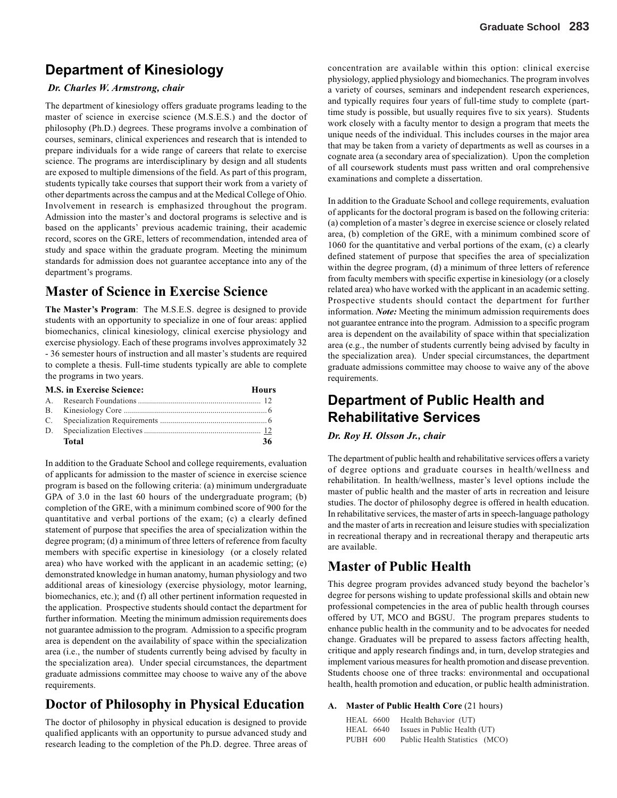# **Department of Kinesiology**

#### *Dr. Charles W. Armstrong, chair*

The department of kinesiology offers graduate programs leading to the master of science in exercise science (M.S.E.S.) and the doctor of philosophy (Ph.D.) degrees. These programs involve a combination of courses, seminars, clinical experiences and research that is intended to prepare individuals for a wide range of careers that relate to exercise science. The programs are interdisciplinary by design and all students are exposed to multiple dimensions of the field. As part of this program, students typically take courses that support their work from a variety of other departments across the campus and at the Medical College of Ohio. Involvement in research is emphasized throughout the program. Admission into the master's and doctoral programs is selective and is based on the applicants' previous academic training, their academic record, scores on the GRE, letters of recommendation, intended area of study and space within the graduate program. Meeting the minimum standards for admission does not guarantee acceptance into any of the department's programs.

### **Master of Science in Exercise Science**

**The Master's Program**: The M.S.E.S. degree is designed to provide students with an opportunity to specialize in one of four areas: applied biomechanics, clinical kinesiology, clinical exercise physiology and exercise physiology. Each of these programs involves approximately 32 - 36 semester hours of instruction and all master's students are required to complete a thesis. Full-time students typically are able to complete the programs in two years.

| <b>M.S. in Exercise Science:</b> | Hours |
|----------------------------------|-------|
|                                  |       |
|                                  |       |
|                                  |       |
|                                  |       |
| <b>Total</b>                     | 36    |

In addition to the Graduate School and college requirements, evaluation of applicants for admission to the master of science in exercise science program is based on the following criteria: (a) minimum undergraduate GPA of 3.0 in the last 60 hours of the undergraduate program; (b) completion of the GRE, with a minimum combined score of 900 for the quantitative and verbal portions of the exam; (c) a clearly defined statement of purpose that specifies the area of specialization within the degree program; (d) a minimum of three letters of reference from faculty members with specific expertise in kinesiology (or a closely related area) who have worked with the applicant in an academic setting; (e) demonstrated knowledge in human anatomy, human physiology and two additional areas of kinesiology (exercise physiology, motor learning, biomechanics, etc.); and (f) all other pertinent information requested in the application. Prospective students should contact the department for further information. Meeting the minimum admission requirements does not guarantee admission to the program. Admission to a specific program area is dependent on the availability of space within the specialization area (i.e., the number of students currently being advised by faculty in the specialization area). Under special circumstances, the department graduate admissions committee may choose to waive any of the above requirements.

### **Doctor of Philosophy in Physical Education**

The doctor of philosophy in physical education is designed to provide qualified applicants with an opportunity to pursue advanced study and research leading to the completion of the Ph.D. degree. Three areas of concentration are available within this option: clinical exercise physiology, applied physiology and biomechanics. The program involves a variety of courses, seminars and independent research experiences, and typically requires four years of full-time study to complete (parttime study is possible, but usually requires five to six years). Students work closely with a faculty mentor to design a program that meets the unique needs of the individual. This includes courses in the major area that may be taken from a variety of departments as well as courses in a cognate area (a secondary area of specialization). Upon the completion of all coursework students must pass written and oral comprehensive examinations and complete a dissertation.

In addition to the Graduate School and college requirements, evaluation of applicants for the doctoral program is based on the following criteria: (a) completion of a master's degree in exercise science or closely related area, (b) completion of the GRE, with a minimum combined score of 1060 for the quantitative and verbal portions of the exam, (c) a clearly defined statement of purpose that specifies the area of specialization within the degree program, (d) a minimum of three letters of reference from faculty members with specific expertise in kinesiology (or a closely related area) who have worked with the applicant in an academic setting. Prospective students should contact the department for further information. *Note:* Meeting the minimum admission requirements does not guarantee entrance into the program. Admission to a specific program area is dependent on the availability of space within that specialization area (e.g., the number of students currently being advised by faculty in the specialization area). Under special circumstances, the department graduate admissions committee may choose to waive any of the above requirements.

# **Department of Public Health and Rehabilitative Services**

#### *Dr. Roy H. Olsson Jr., chair*

The department of public health and rehabilitative services offers a variety of degree options and graduate courses in health/wellness and rehabilitation. In health/wellness, master's level options include the master of public health and the master of arts in recreation and leisure studies. The doctor of philosophy degree is offered in health education. In rehabilitative services, the master of arts in speech-language pathology and the master of arts in recreation and leisure studies with specialization in recreational therapy and in recreational therapy and therapeutic arts are available.

### **Master of Public Health**

This degree program provides advanced study beyond the bachelor's degree for persons wishing to update professional skills and obtain new professional competencies in the area of public health through courses offered by UT, MCO and BGSU. The program prepares students to enhance public health in the community and to be advocates for needed change. Graduates will be prepared to assess factors affecting health, critique and apply research findings and, in turn, develop strategies and implement various measures for health promotion and disease prevention. Students choose one of three tracks: environmental and occupational health, health promotion and education, or public health administration.

#### **A. Master of Public Health Core** (21 hours)

| <b>HEAL</b> 6600 | Health Behavior (UT)           |
|------------------|--------------------------------|
| <b>HEAL</b> 6640 | Issues in Public Health (UT)   |
| PUBH 600         | Public Health Statistics (MCO) |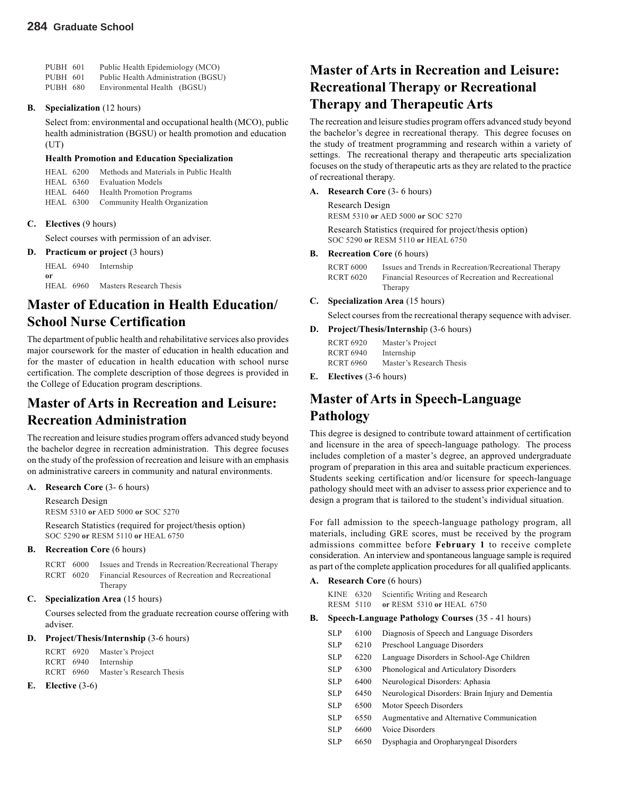| <b>PUBH 601</b> | Public Health Epidemiology (MCO)    |
|-----------------|-------------------------------------|
| PUBH 601        | Public Health Administration (BGSU) |
| <b>PUBH 680</b> | Environmental Health (BGSU)         |

#### **B. Specialization** (12 hours)

Select from: environmental and occupational health (MCO), public health administration (BGSU) or health promotion and education (UT)

#### **Health Promotion and Education Specialization**

| <b>HEAL 6200</b> | Methods and Materials in Public Health  |
|------------------|-----------------------------------------|
| HEAL 6360        | <b>Evaluation Models</b>                |
| HEAL 6460        | <b>Health Promotion Programs</b>        |
|                  | HEAL 6300 Community Health Organization |
|                  |                                         |

#### **C. Electives** (9 hours)

Select courses with permission of an adviser.

#### **D. Practicum or project** (3 hours)

HEAL 6940 Internship **or** HEAL 6960 Masters Research Thesis

### **Master of Education in Health Education/ School Nurse Certification**

The department of public health and rehabilitative services also provides major coursework for the master of education in health education and for the master of education in health education with school nurse certification. The complete description of those degrees is provided in the College of Education program descriptions.

### **Master of Arts in Recreation and Leisure: Recreation Administration**

The recreation and leisure studies program offers advanced study beyond the bachelor degree in recreation administration. This degree focuses on the study of the profession of recreation and leisure with an emphasis on administrative careers in community and natural environments.

**A. Research Core** (3- 6 hours)

Research Design

RESM 5310 **or** AED 5000 **or** SOC 5270

Research Statistics (required for project/thesis option) SOC 5290 **or** RESM 5110 **or** HEAL 6750

**B. Recreation Core** (6 hours)

| RCRT 6000 | Issues and Trends in Recreation/Recreational Therapy         |
|-----------|--------------------------------------------------------------|
|           | RCRT 6020 Financial Resources of Recreation and Recreational |
|           | Therapy                                                      |

#### **C. Specialization Area** (15 hours)

Courses selected from the graduate recreation course offering with adviser.

#### **D. Project/Thesis/Internship** (3-6 hours)

RCRT 6920 Master's Project RCRT 6940 Internship RCRT 6960 Master's Research Thesis

**E. Elective** (3-6)

# **Master of Arts in Recreation and Leisure: Recreational Therapy or Recreational Therapy and Therapeutic Arts**

The recreation and leisure studies program offers advanced study beyond the bachelor's degree in recreational therapy. This degree focuses on the study of treatment programming and research within a variety of settings. The recreational therapy and therapeutic arts specialization focuses on the study of therapeutic arts as they are related to the practice of recreational therapy.

- **A. Research Core** (3- 6 hours)
	- Research Design RESM 5310 **or** AED 5000 **or** SOC 5270

Research Statistics (required for project/thesis option) SOC 5290 **or** RESM 5110 **or** HEAL 6750

#### **B. Recreation Core** (6 hours)

RCRT 6000 Issues and Trends in Recreation/Recreational Therapy RCRT 6020 Financial Resources of Recreation and Recreational Therapy

#### **C. Specialization Area** (15 hours)

Select courses from the recreational therapy sequence with adviser.

#### **D. Project/Thesis/Internshi**p (3-6 hours) RCRT 6920 Master's Project

| -----------      |                          |
|------------------|--------------------------|
| <b>RCRT 6940</b> | Internship               |
| <b>RCRT 6960</b> | Master's Research Thesis |
|                  |                          |

**E. Electives** (3-6 hours)

# **Master of Arts in Speech-Language Pathology**

This degree is designed to contribute toward attainment of certification and licensure in the area of speech-language pathology. The process includes completion of a master's degree, an approved undergraduate program of preparation in this area and suitable practicum experiences. Students seeking certification and/or licensure for speech-language pathology should meet with an adviser to assess prior experience and to design a program that is tailored to the student's individual situation.

For fall admission to the speech-language pathology program, all materials, including GRE scores, must be received by the program admissions committee before **February 1** to receive complete consideration. An interview and spontaneous language sample is required as part of the complete application procedures for all qualified applicants.

**A. Research Core** (6 hours)

| KINE 6320 | Scientific Writing and Research |
|-----------|---------------------------------|
| RESM 5110 | or RESM 5310 or HEAL 6750       |

- **B. Speech-Language Pathology Courses** (35 41 hours)
	- SLP 6100 Diagnosis of Speech and Language Disorders SLP 6210 Preschool Language Disorders SLP 6220 Language Disorders in School-Age Children SLP 6300 Phonological and Articulatory Disorders SLP 6400 Neurological Disorders: Aphasia SLP 6450 Neurological Disorders: Brain Injury and Dementia SLP 6500 Motor Speech Disorders SLP 6550 Augmentative and Alternative Communication SLP 6600 Voice Disorders
	- SLP 6650 Dysphagia and Oropharyngeal Disorders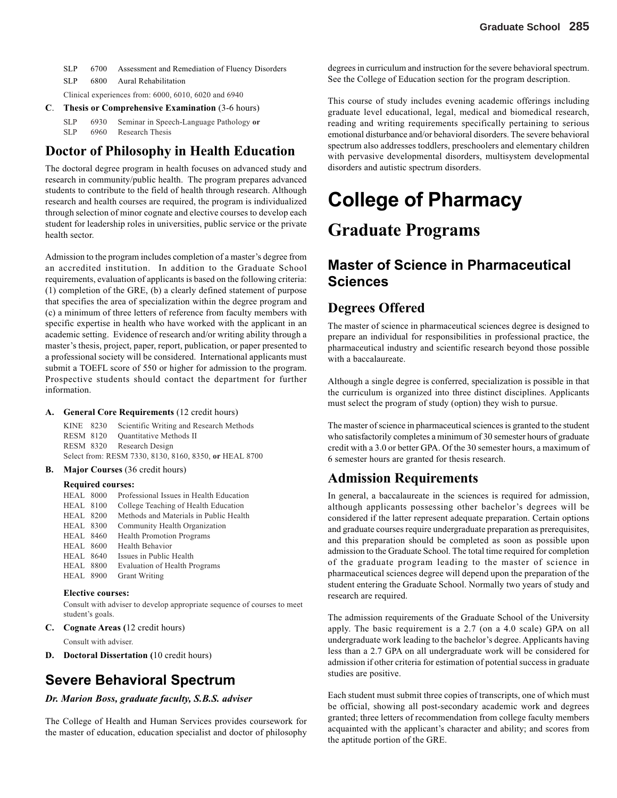SLP 6700 Assessment and Remediation of Fluency Disorders SLP 6800 Aural Rehabilitation

Clinical experiences from: 6000, 6010, 6020 and 6940

**C**. **Thesis or Comprehensive Examination** (3-6 hours)

SLP 6930 Seminar in Speech-Language Pathology **or** 6960 Research Thesis

### **Doctor of Philosophy in Health Education**

The doctoral degree program in health focuses on advanced study and research in community/public health. The program prepares advanced students to contribute to the field of health through research. Although research and health courses are required, the program is individualized through selection of minor cognate and elective courses to develop each student for leadership roles in universities, public service or the private health sector.

Admission to the program includes completion of a master's degree from an accredited institution. In addition to the Graduate School requirements, evaluation of applicants is based on the following criteria: (1) completion of the GRE, (b) a clearly defined statement of purpose that specifies the area of specialization within the degree program and (c) a minimum of three letters of reference from faculty members with specific expertise in health who have worked with the applicant in an academic setting. Evidence of research and/or writing ability through a master's thesis, project, paper, report, publication, or paper presented to a professional society will be considered. International applicants must submit a TOEFL score of 550 or higher for admission to the program. Prospective students should contact the department for further information.

#### **A. General Core Requirements** (12 credit hours)

KINE 8230 Scientific Writing and Research Methods RESM 8120 Quantitative Methods II RESM 8320 Research Design Select from: RESM 7330, 8130, 8160, 8350, **or** HEAL 8700

#### **B. Major Courses** (36 credit hours)

#### **Required courses:**

| <b>HEAL 8000</b> | Professional Issues in Health Education |
|------------------|-----------------------------------------|
| <b>HEAL 8100</b> | College Teaching of Health Education    |
| <b>HEAL 8200</b> | Methods and Materials in Public Health  |
| <b>HEAL 8300</b> | Community Health Organization           |
| <b>HEAL 8460</b> | <b>Health Promotion Programs</b>        |
| <b>HEAL 8600</b> | Health Behavior                         |
| <b>HEAL</b> 8640 | Issues in Public Health                 |
| <b>HEAL 8800</b> | <b>Evaluation of Health Programs</b>    |
| <b>HEAL 8900</b> | <b>Grant Writing</b>                    |
|                  |                                         |

#### **Elective courses:**

Consult with adviser to develop appropriate sequence of courses to meet student's goals.

**C. Cognate Areas (**12 credit hours)

Consult with adviser.

**D. Doctoral Dissertation (**10 credit hours)

### **Severe Behavioral Spectrum**

#### *Dr. Marion Boss, graduate faculty, S.B.S. adviser*

The College of Health and Human Services provides coursework for the master of education, education specialist and doctor of philosophy

degrees in curriculum and instruction for the severe behavioral spectrum. See the College of Education section for the program description.

This course of study includes evening academic offerings including graduate level educational, legal, medical and biomedical research, reading and writing requirements specifically pertaining to serious emotional disturbance and/or behavioral disorders. The severe behavioral spectrum also addresses toddlers, preschoolers and elementary children with pervasive developmental disorders, multisystem developmental disorders and autistic spectrum disorders.

# **College of Pharmacy**

# **Graduate Programs**

## **Master of Science in Pharmaceutical Sciences**

#### **Degrees Offered**

The master of science in pharmaceutical sciences degree is designed to prepare an individual for responsibilities in professional practice, the pharmaceutical industry and scientific research beyond those possible with a baccalaureate.

Although a single degree is conferred, specialization is possible in that the curriculum is organized into three distinct disciplines. Applicants must select the program of study (option) they wish to pursue.

The master of science in pharmaceutical sciences is granted to the student who satisfactorily completes a minimum of 30 semester hours of graduate credit with a 3.0 or better GPA. Of the 30 semester hours, a maximum of 6 semester hours are granted for thesis research.

### **Admission Requirements**

In general, a baccalaureate in the sciences is required for admission, although applicants possessing other bachelor's degrees will be considered if the latter represent adequate preparation. Certain options and graduate courses require undergraduate preparation as prerequisites, and this preparation should be completed as soon as possible upon admission to the Graduate School. The total time required for completion of the graduate program leading to the master of science in pharmaceutical sciences degree will depend upon the preparation of the student entering the Graduate School. Normally two years of study and research are required.

The admission requirements of the Graduate School of the University apply. The basic requirement is a 2.7 (on a 4.0 scale) GPA on all undergraduate work leading to the bachelor's degree. Applicants having less than a 2.7 GPA on all undergraduate work will be considered for admission if other criteria for estimation of potential success in graduate studies are positive.

Each student must submit three copies of transcripts, one of which must be official, showing all post-secondary academic work and degrees granted; three letters of recommendation from college faculty members acquainted with the applicant's character and ability; and scores from the aptitude portion of the GRE.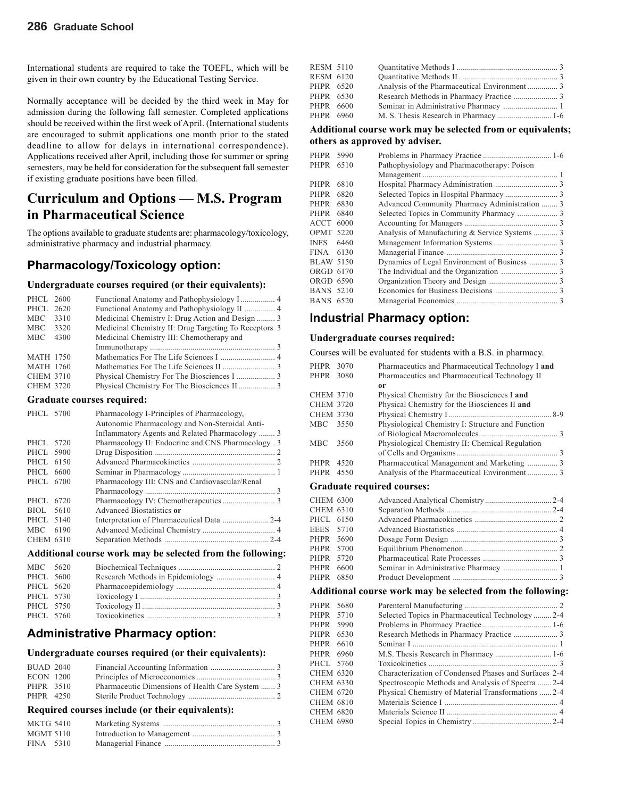International students are required to take the TOEFL, which will be given in their own country by the Educational Testing Service.

Normally acceptance will be decided by the third week in May for admission during the following fall semester. Completed applications should be received within the first week of April. (International students are encouraged to submit applications one month prior to the stated deadline to allow for delays in international correspondence). Applications received after April, including those for summer or spring semesters, may be held for consideration for the subsequent fall semester if existing graduate positions have been filled.

# **Curriculum and Options — M.S. Program in Pharmaceutical Science**

The options available to graduate students are: pharmacology/toxicology, administrative pharmacy and industrial pharmacy.

#### **Pharmacology/Toxicology option:**

#### **Undergraduate courses required (or their equivalents):**

| PHCL 2600        |      |                                                       |  |
|------------------|------|-------------------------------------------------------|--|
| PHCL 2620        |      |                                                       |  |
| MBC              | 3310 | Medicinal Chemistry I: Drug Action and Design  3      |  |
| MBC              | 3320 | Medicinal Chemistry II: Drug Targeting To Receptors 3 |  |
| <b>MBC</b>       | 4300 | Medicinal Chemistry III: Chemotherapy and             |  |
|                  |      |                                                       |  |
| <b>MATH 1750</b> |      |                                                       |  |
| <b>MATH 1760</b> |      |                                                       |  |
| <b>CHEM 3710</b> |      |                                                       |  |
| <b>CHEM 3720</b> |      |                                                       |  |
|                  |      |                                                       |  |

#### **Graduate courses required:**

| PHCL 5700 |      | Pharmacology I-Principles of Pharmacology,                 |
|-----------|------|------------------------------------------------------------|
|           |      | Autonomic Pharmacology and Non-Steroidal Anti-             |
|           |      | Inflammatory Agents and Related Pharmacology  3            |
| PHCL 5720 |      | Pharmacology II: Endocrine and CNS Pharmacology . 3        |
| PHCL 5900 |      |                                                            |
| PHCL 6150 |      |                                                            |
| PHCL 6600 |      |                                                            |
| PHCL 6700 |      | Pharmacology III: CNS and Cardiovascular/Renal             |
|           |      |                                                            |
| PHCL.     | 6720 |                                                            |
| BIOL 5610 |      | Advanced Biostatistics or                                  |
| PHCL 5140 |      | Interpretation of Pharmaceutical Data  2-4                 |
| MBC 6190  |      |                                                            |
| CHEM 6310 |      |                                                            |
|           |      | Additional course work may be selected from the following: |

| MBC 5620  |  |
|-----------|--|
| PHCL 5600 |  |
| PHCL 5620 |  |
| PHCL 5730 |  |
| PHCL 5750 |  |
| PHCL 5760 |  |

#### **Administrative Pharmacy option:**

#### **Undergraduate courses required (or their equivalents):**

| <b>BUAD 2040</b> |                                                  |  |
|------------------|--------------------------------------------------|--|
| <b>ECON 1200</b> |                                                  |  |
| PHPR 3510        | Pharmaceutic Dimensions of Health Care System  3 |  |
| PHPR 4250        |                                                  |  |

#### **Required courses include (or their equivalents):**

| <b>MKTG 5410</b> |  |
|------------------|--|
| <b>MGMT 5110</b> |  |
| FINA 5310        |  |

| RESM 5110        |  |  |
|------------------|--|--|
| <b>RESM 6120</b> |  |  |
| PHPR 6520        |  |  |
| PHPR 6530        |  |  |
| PHPR 6600        |  |  |
| PHPR 6960        |  |  |
|                  |  |  |

#### **Additional course work may be selected from or equivalents; others as approved by adviser.**

| PHPR             | 5990 |                                               |  |
|------------------|------|-----------------------------------------------|--|
| PHPR             | 6510 | Pathophysiology and Pharmacotherapy: Poison   |  |
|                  |      |                                               |  |
| PHPR             | 6810 |                                               |  |
| PHPR             | 6820 |                                               |  |
| <b>PHPR</b>      | 6830 | Advanced Community Pharmacy Administration  3 |  |
| PHPR             | 6840 |                                               |  |
| ACCT             | 6000 |                                               |  |
| <b>OPMT 5220</b> |      |                                               |  |
| INFS             | 6460 |                                               |  |
| FINA 6130        |      |                                               |  |
| BLAW 5150        |      |                                               |  |
| ORGD 6170        |      |                                               |  |
| ORGD 6590        |      |                                               |  |
| <b>BANS 5210</b> |      |                                               |  |
| <b>BANS 6520</b> |      |                                               |  |

#### **Industrial Pharmacy option:**

#### **Undergraduate courses required:**

Courses will be evaluated for students with a B.S. in pharmacy.

| PHPR 3070        |      | Pharmaceutics and Pharmaceutical Technology I and |  |
|------------------|------|---------------------------------------------------|--|
| PHPR 3080        |      | Pharmaceutics and Pharmaceutical Technology II    |  |
|                  |      | or                                                |  |
| <b>CHEM 3710</b> |      | Physical Chemistry for the Biosciences I and      |  |
| <b>CHEM 3720</b> |      | Physical Chemistry for the Biosciences II and     |  |
| <b>CHEM 3730</b> |      |                                                   |  |
| MBC 3550         |      | Physiological Chemistry I: Structure and Function |  |
|                  |      |                                                   |  |
| MBC.             | 3560 | Physiological Chemistry II: Chemical Regulation   |  |
|                  |      |                                                   |  |
| PHPR             | 4520 |                                                   |  |
| PHPR 4550        |      |                                                   |  |
|                  |      |                                                   |  |

#### **Graduate required courses:**

| <b>CHEM 6300</b> |  |  |
|------------------|--|--|
| <b>CHEM 6310</b> |  |  |
| PHCL 6150        |  |  |
| EEES 5710        |  |  |
| PHPR 5690        |  |  |
| PHPR 5700        |  |  |
| PHPR 5720        |  |  |
| PHPR 6600        |  |  |
| PHPR 6850        |  |  |
|                  |  |  |

#### **Additional course work may be selected from the following:**

| PHPR 5680        |      |                                                       |  |
|------------------|------|-------------------------------------------------------|--|
| PHPR 5710        |      | Selected Topics in Pharmaceutical Technology2-4       |  |
| PHPR 5990        |      |                                                       |  |
| PHPR             | 6530 |                                                       |  |
| PHPR 6610        |      |                                                       |  |
| PHPR 6960        |      |                                                       |  |
| PHCL 5760        |      |                                                       |  |
| CHEM 6320        |      | Characterization of Condensed Phases and Surfaces 2-4 |  |
| CHEM 6330        |      | Spectroscopic Methods and Analysis of Spectra  2-4    |  |
| <b>CHEM 6720</b> |      | Physical Chemistry of Material Transformations  2-4   |  |
| CHEM 6810        |      |                                                       |  |
| <b>CHEM 6820</b> |      |                                                       |  |
| <b>CHEM 6980</b> |      |                                                       |  |
|                  |      |                                                       |  |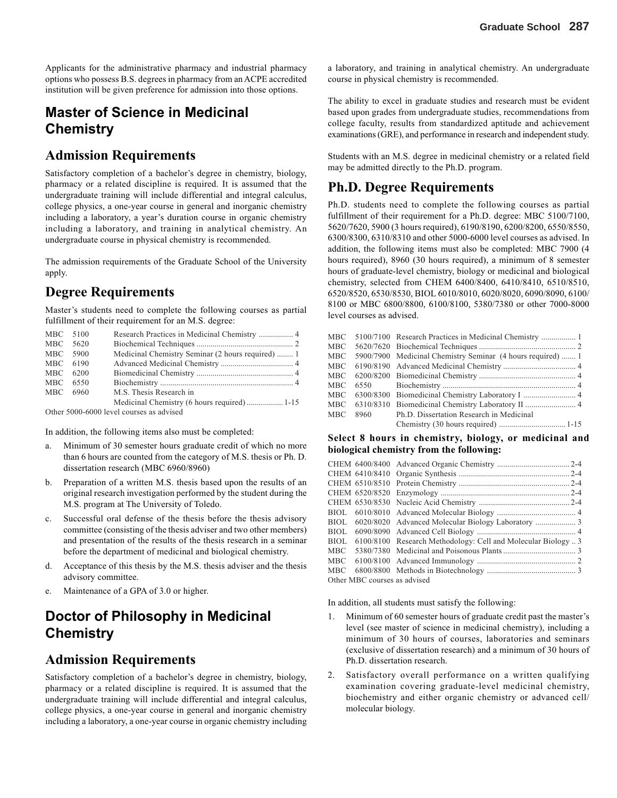Applicants for the administrative pharmacy and industrial pharmacy options who possess B.S. degrees in pharmacy from an ACPE accredited institution will be given preference for admission into those options.

# **Master of Science in Medicinal Chemistry**

#### **Admission Requirements**

Satisfactory completion of a bachelor's degree in chemistry, biology, pharmacy or a related discipline is required. It is assumed that the undergraduate training will include differential and integral calculus, college physics, a one-year course in general and inorganic chemistry including a laboratory, a year's duration course in organic chemistry including a laboratory, and training in analytical chemistry. An undergraduate course in physical chemistry is recommended.

The admission requirements of the Graduate School of the University apply.

## **Degree Requirements**

Master's students need to complete the following courses as partial fulfillment of their requirement for an M.S. degree:

| MBC 5100                                 |  |                                                   |  |  |
|------------------------------------------|--|---------------------------------------------------|--|--|
| MBC 5620                                 |  |                                                   |  |  |
| MBC 5900                                 |  | Medicinal Chemistry Seminar (2 hours required)  1 |  |  |
| MBC 6190                                 |  |                                                   |  |  |
| MBC 6200                                 |  |                                                   |  |  |
| MBC 6550                                 |  |                                                   |  |  |
| MBC 6960                                 |  | M.S. Thesis Research in                           |  |  |
|                                          |  |                                                   |  |  |
| Other 5000-6000 level courses as advised |  |                                                   |  |  |

Other 5000-6000 level courses as advised

In addition, the following items also must be completed:

- a. Minimum of 30 semester hours graduate credit of which no more than 6 hours are counted from the category of M.S. thesis or Ph. D. dissertation research (MBC 6960/8960)
- b. Preparation of a written M.S. thesis based upon the results of an original research investigation performed by the student during the M.S. program at The University of Toledo.
- c. Successful oral defense of the thesis before the thesis advisory committee (consisting of the thesis adviser and two other members) and presentation of the results of the thesis research in a seminar before the department of medicinal and biological chemistry.
- d. Acceptance of this thesis by the M.S. thesis adviser and the thesis advisory committee.
- e. Maintenance of a GPA of 3.0 or higher.

# **Doctor of Philosophy in Medicinal Chemistry**

### **Admission Requirements**

Satisfactory completion of a bachelor's degree in chemistry, biology, pharmacy or a related discipline is required. It is assumed that the undergraduate training will include differential and integral calculus, college physics, a one-year course in general and inorganic chemistry including a laboratory, a one-year course in organic chemistry including a laboratory, and training in analytical chemistry. An undergraduate course in physical chemistry is recommended.

The ability to excel in graduate studies and research must be evident based upon grades from undergraduate studies, recommendations from college faculty, results from standardized aptitude and achievement examinations (GRE), and performance in research and independent study.

Students with an M.S. degree in medicinal chemistry or a related field may be admitted directly to the Ph.D. program.

## **Ph.D. Degree Requirements**

Ph.D. students need to complete the following courses as partial fulfillment of their requirement for a Ph.D. degree: MBC 5100/7100, 5620/7620, 5900 (3 hours required), 6190/8190, 6200/8200, 6550/8550, 6300/8300, 6310/8310 and other 5000-6000 level courses as advised. In addition, the following items must also be completed: MBC 7900 (4 hours required), 8960 (30 hours required), a minimum of 8 semester hours of graduate-level chemistry, biology or medicinal and biological chemistry, selected from CHEM 6400/8400, 6410/8410, 6510/8510, 6520/8520, 6530/8530, BIOL 6010/8010, 6020/8020, 6090/8090, 6100/ 8100 or MBC 6800/8800, 6100/8100, 5380/7380 or other 7000-8000 level courses as advised.

|     | MBC 5100/7100 Research Practices in Medicinal Chemistry  1      |
|-----|-----------------------------------------------------------------|
|     |                                                                 |
|     | MBC 5900/7900 Medicinal Chemistry Seminar (4 hours required)  1 |
|     |                                                                 |
|     |                                                                 |
| МВС |                                                                 |
|     | MBC 6300/8300 Biomedicinal Chemistry Laboratory I  4            |
|     |                                                                 |
| MBC | 8960 Ph.D. Dissertation Research in Medicinal                   |
|     |                                                                 |
|     |                                                                 |

#### **Select 8 hours in chemistry, biology, or medicinal and biological chemistry from the following:**

|                              |  | BIOL 6100/8100 Research Methodology: Cell and Molecular Biology  3 |  |  |
|------------------------------|--|--------------------------------------------------------------------|--|--|
|                              |  |                                                                    |  |  |
|                              |  |                                                                    |  |  |
|                              |  |                                                                    |  |  |
| Other MBC courses as advised |  |                                                                    |  |  |

In addition, all students must satisfy the following:

- 1. Minimum of 60 semester hours of graduate credit past the master's level (see master of science in medicinal chemistry), including a minimum of 30 hours of courses, laboratories and seminars (exclusive of dissertation research) and a minimum of 30 hours of Ph.D. dissertation research.
- 2. Satisfactory overall performance on a written qualifying examination covering graduate-level medicinal chemistry, biochemistry and either organic chemistry or advanced cell/ molecular biology.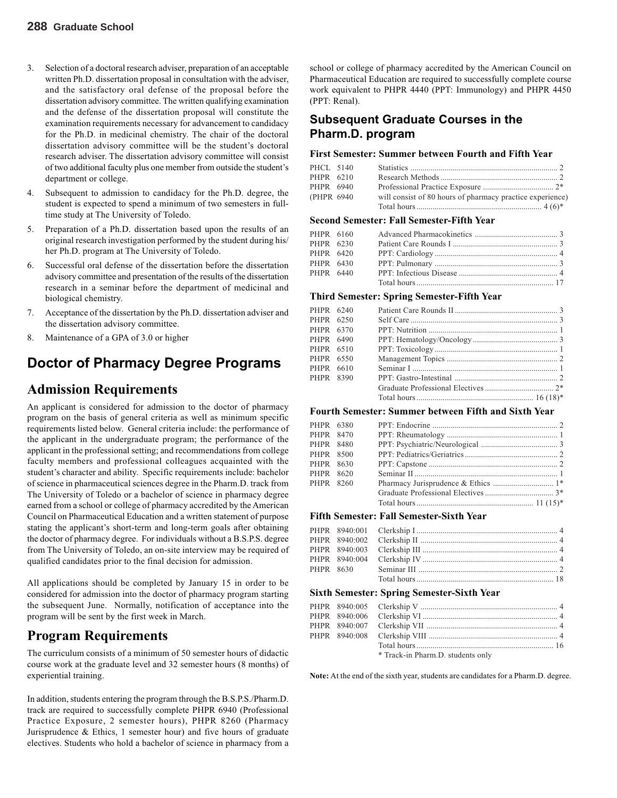- 3. Selection of a doctoral research adviser, preparation of an acceptable written Ph.D. dissertation proposal in consultation with the adviser, and the satisfactory oral defense of the proposal before the dissertation advisory committee. The written qualifying examination and the defense of the dissertation proposal will constitute the examination requirements necessary for advancement to candidacy for the Ph.D. in medicinal chemistry. The chair of the doctoral dissertation advisory committee will be the student's doctoral research adviser. The dissertation advisory committee will consist of two additional faculty plus one member from outside the student's department or college.
- 4. Subsequent to admission to candidacy for the Ph.D. degree, the student is expected to spend a minimum of two semesters in fulltime study at The University of Toledo.
- 5. Preparation of a Ph.D. dissertation based upon the results of an original research investigation performed by the student during his/ her Ph.D. program at The University of Toledo.
- 6. Successful oral defense of the dissertation before the dissertation advisory committee and presentation of the results of the dissertation research in a seminar before the department of medicinal and biological chemistry.
- 7. Acceptance of the dissertation by the Ph.D. dissertation adviser and the dissertation advisory committee.
- 8. Maintenance of a GPA of 3.0 or higher

## **Doctor of Pharmacy Degree Programs**

#### **Admission Requirements**

An applicant is considered for admission to the doctor of pharmacy program on the basis of general criteria as well as minimum specific requirements listed below. General criteria include: the performance of the applicant in the undergraduate program; the performance of the applicant in the professional setting; and recommendations from college faculty members and professional colleagues acquainted with the student's character and ability. Specific requirements include: bachelor of science in pharmaceutical sciences degree in the Pharm.D. track from The University of Toledo or a bachelor of science in pharmacy degree earned from a school or college of pharmacy accredited by the American Council on Pharmaceutical Education and a written statement of purpose stating the applicant's short-term and long-term goals after obtaining the doctor of pharmacy degree. For individuals without a B.S.P.S. degree from The University of Toledo, an on-site interview may be required of qualified candidates prior to the final decision for admission.

All applications should be completed by January 15 in order to be considered for admission into the doctor of pharmacy program starting the subsequent June. Normally, notification of acceptance into the program will be sent by the first week in March.

### **Program Requirements**

The curriculum consists of a minimum of 50 semester hours of didactic course work at the graduate level and 32 semester hours (8 months) of experiential training.

In addition, students entering the program through the B.S.P.S./Pharm.D. track are required to successfully complete PHPR 6940 (Professional Practice Exposure, 2 semester hours), PHPR 8260 (Pharmacy Jurisprudence & Ethics, 1 semester hour) and five hours of graduate electives. Students who hold a bachelor of science in pharmacy from a

school or college of pharmacy accredited by the American Council on Pharmaceutical Education are required to successfully complete course work equivalent to PHPR 4440 (PPT: Immunology) and PHPR 4450 (PPT: Renal).

#### **Subsequent Graduate Courses in the Pharm.D. program**

#### **First Semester: Summer between Fourth and Fifth Year**

| PHCL 5140   |                                                           |  |
|-------------|-----------------------------------------------------------|--|
| PHPR 6210   |                                                           |  |
| PHPR 6940   |                                                           |  |
| (PHPR 6940) | will consist of 80 hours of pharmacy practice experience) |  |
|             |                                                           |  |

#### **Second Semester: Fall Semester-Fifth Year**

| PHPR 6160 |  |
|-----------|--|
| PHPR 6230 |  |
| PHPR 6420 |  |
| PHPR 6430 |  |
| PHPR 6440 |  |
|           |  |

#### **Third Semester: Spring Semester-Fifth Year**

| PHPR 6240 |  |  |
|-----------|--|--|
| PHPR 6250 |  |  |
| PHPR 6370 |  |  |
| PHPR 6490 |  |  |
| PHPR 6510 |  |  |
| PHPR 6550 |  |  |
| PHPR 6610 |  |  |
| PHPR 8390 |  |  |
|           |  |  |
|           |  |  |
|           |  |  |

#### **Fourth Semester: Summer between Fifth and Sixth Year**

| PHPR 6380 |  |  |
|-----------|--|--|
| PHPR 8470 |  |  |
| PHPR 8480 |  |  |
| PHPR 8500 |  |  |
| PHPR 8630 |  |  |
| PHPR 8620 |  |  |
| PHPR 8260 |  |  |
|           |  |  |
|           |  |  |
|           |  |  |

#### **Fifth Semester: Fall Semester-Sixth Year**

#### **Sixth Semester: Spring Semester-Sixth Year**

|  | * Track-in Pharm.D. students only |  |
|--|-----------------------------------|--|

**Note:** At the end of the sixth year, students are candidates for a Pharm.D. degree.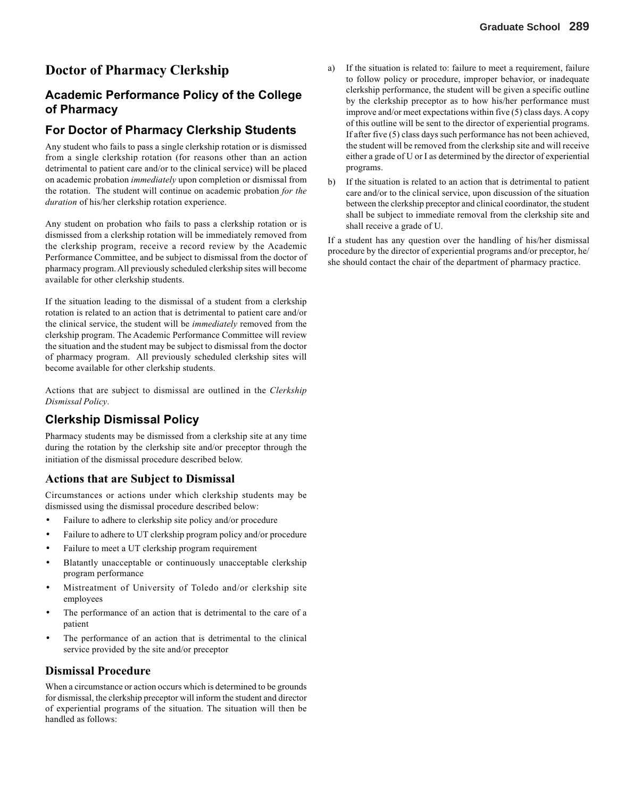# **Doctor of Pharmacy Clerkship**

#### **Academic Performance Policy of the College of Pharmacy**

#### **For Doctor of Pharmacy Clerkship Students**

Any student who fails to pass a single clerkship rotation or is dismissed from a single clerkship rotation (for reasons other than an action detrimental to patient care and/or to the clinical service) will be placed on academic probation *immediately* upon completion or dismissal from the rotation. The student will continue on academic probation *for the duration* of his/her clerkship rotation experience.

Any student on probation who fails to pass a clerkship rotation or is dismissed from a clerkship rotation will be immediately removed from the clerkship program, receive a record review by the Academic Performance Committee, and be subject to dismissal from the doctor of pharmacy program. All previously scheduled clerkship sites will become available for other clerkship students.

If the situation leading to the dismissal of a student from a clerkship rotation is related to an action that is detrimental to patient care and/or the clinical service, the student will be *immediately* removed from the clerkship program. The Academic Performance Committee will review the situation and the student may be subject to dismissal from the doctor of pharmacy program. All previously scheduled clerkship sites will become available for other clerkship students.

Actions that are subject to dismissal are outlined in the *Clerkship Dismissal Policy*.

#### **Clerkship Dismissal Policy**

Pharmacy students may be dismissed from a clerkship site at any time during the rotation by the clerkship site and/or preceptor through the initiation of the dismissal procedure described below.

#### **Actions that are Subject to Dismissal**

Circumstances or actions under which clerkship students may be dismissed using the dismissal procedure described below:

- Failure to adhere to clerkship site policy and/or procedure
- Failure to adhere to UT clerkship program policy and/or procedure
- Failure to meet a UT clerkship program requirement
- Blatantly unacceptable or continuously unacceptable clerkship program performance
- Mistreatment of University of Toledo and/or clerkship site employees
- The performance of an action that is detrimental to the care of a patient
- The performance of an action that is detrimental to the clinical service provided by the site and/or preceptor

#### **Dismissal Procedure**

When a circumstance or action occurs which is determined to be grounds for dismissal, the clerkship preceptor will inform the student and director of experiential programs of the situation. The situation will then be handled as follows:

- a) If the situation is related to: failure to meet a requirement, failure to follow policy or procedure, improper behavior, or inadequate clerkship performance, the student will be given a specific outline by the clerkship preceptor as to how his/her performance must improve and/or meet expectations within five (5) class days. A copy of this outline will be sent to the director of experiential programs. If after five (5) class days such performance has not been achieved, the student will be removed from the clerkship site and will receive either a grade of U or I as determined by the director of experiential programs.
- b) If the situation is related to an action that is detrimental to patient care and/or to the clinical service, upon discussion of the situation between the clerkship preceptor and clinical coordinator, the student shall be subject to immediate removal from the clerkship site and shall receive a grade of U.

If a student has any question over the handling of his/her dismissal procedure by the director of experiential programs and/or preceptor, he/ she should contact the chair of the department of pharmacy practice.